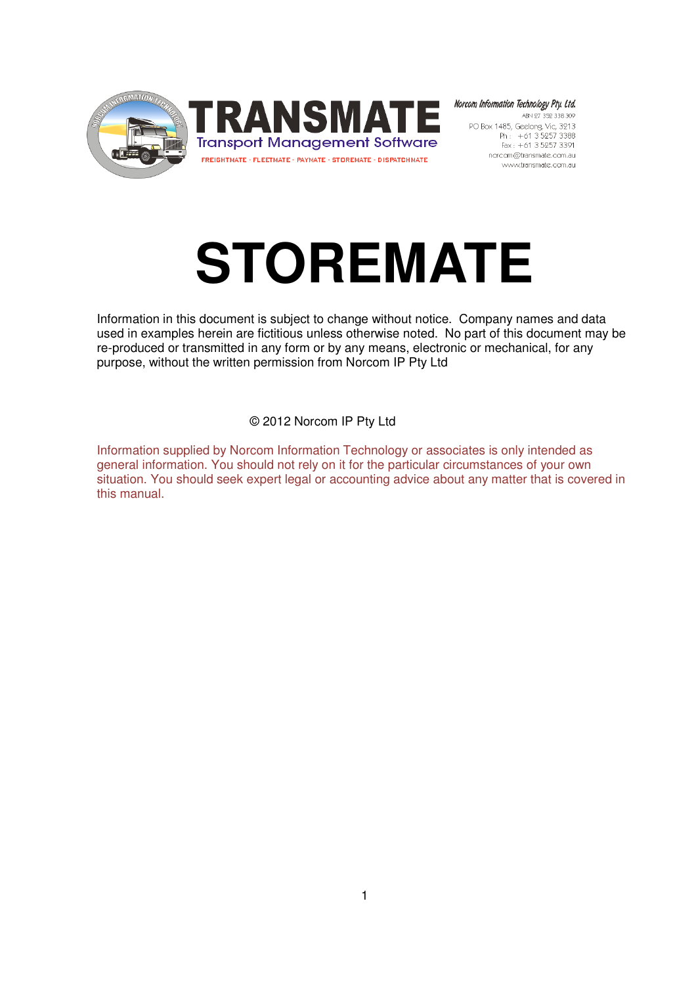



Norcom Information Technology Pty. Ltd. ABN 27 352 338 309 PO Box 1485, Geelong, Vic, 3213 norcom@transmate.com.au www.transmate.com.au

# **STOREMATE**

Information in this document is subject to change without notice. Company names and data used in examples herein are fictitious unless otherwise noted. No part of this document may be re-produced or transmitted in any form or by any means, electronic or mechanical, for any purpose, without the written permission from Norcom IP Pty Ltd

© 2012 Norcom IP Pty Ltd

Information supplied by Norcom Information Technology or associates is only intended as general information. You should not rely on it for the particular circumstances of your own situation. You should seek expert legal or accounting advice about any matter that is covered in this manual.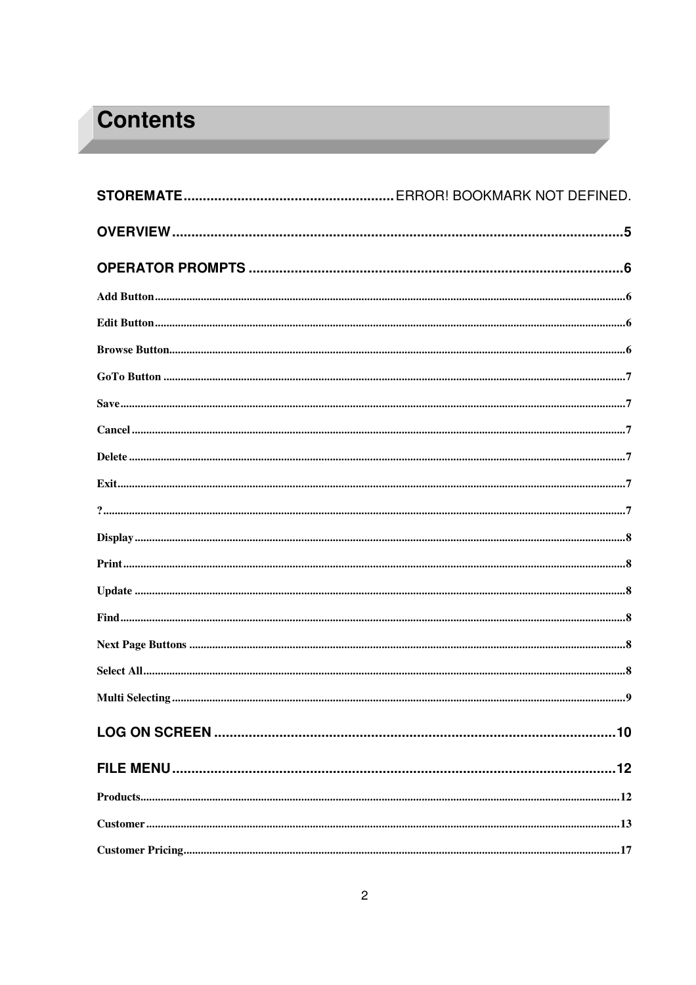## **Contents**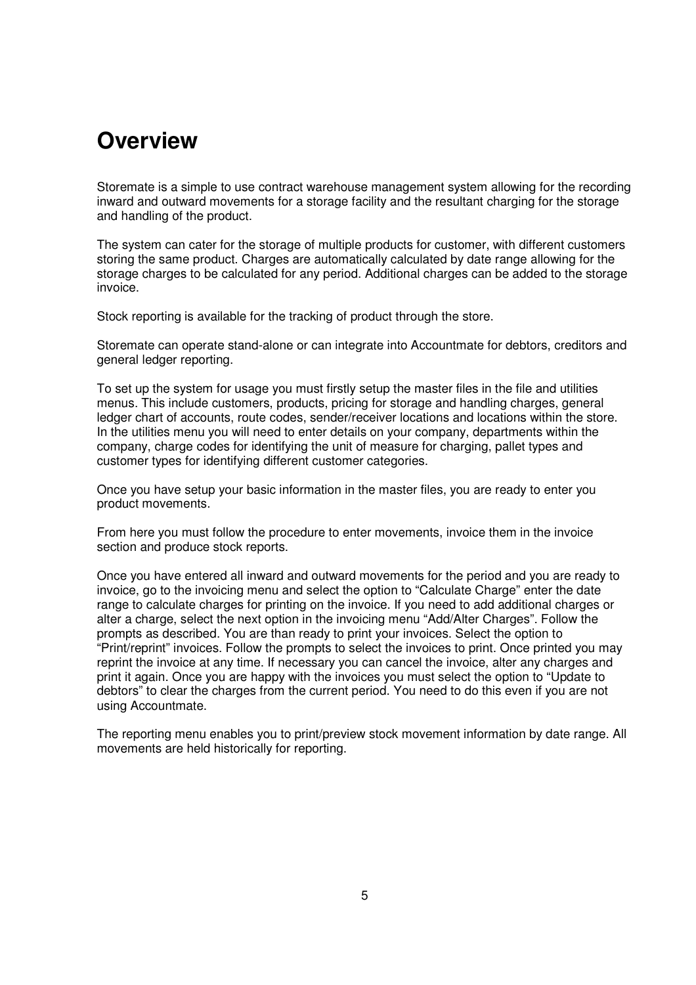## **Overview**

Storemate is a simple to use contract warehouse management system allowing for the recording inward and outward movements for a storage facility and the resultant charging for the storage and handling of the product.

The system can cater for the storage of multiple products for customer, with different customers storing the same product. Charges are automatically calculated by date range allowing for the storage charges to be calculated for any period. Additional charges can be added to the storage invoice.

Stock reporting is available for the tracking of product through the store.

Storemate can operate stand-alone or can integrate into Accountmate for debtors, creditors and general ledger reporting.

To set up the system for usage you must firstly setup the master files in the file and utilities menus. This include customers, products, pricing for storage and handling charges, general ledger chart of accounts, route codes, sender/receiver locations and locations within the store. In the utilities menu you will need to enter details on your company, departments within the company, charge codes for identifying the unit of measure for charging, pallet types and customer types for identifying different customer categories.

Once you have setup your basic information in the master files, you are ready to enter you product movements.

From here you must follow the procedure to enter movements, invoice them in the invoice section and produce stock reports.

Once you have entered all inward and outward movements for the period and you are ready to invoice, go to the invoicing menu and select the option to "Calculate Charge" enter the date range to calculate charges for printing on the invoice. If you need to add additional charges or alter a charge, select the next option in the invoicing menu "Add/Alter Charges". Follow the prompts as described. You are than ready to print your invoices. Select the option to "Print/reprint" invoices. Follow the prompts to select the invoices to print. Once printed you may reprint the invoice at any time. If necessary you can cancel the invoice, alter any charges and print it again. Once you are happy with the invoices you must select the option to "Update to debtors" to clear the charges from the current period. You need to do this even if you are not using Accountmate.

The reporting menu enables you to print/preview stock movement information by date range. All movements are held historically for reporting.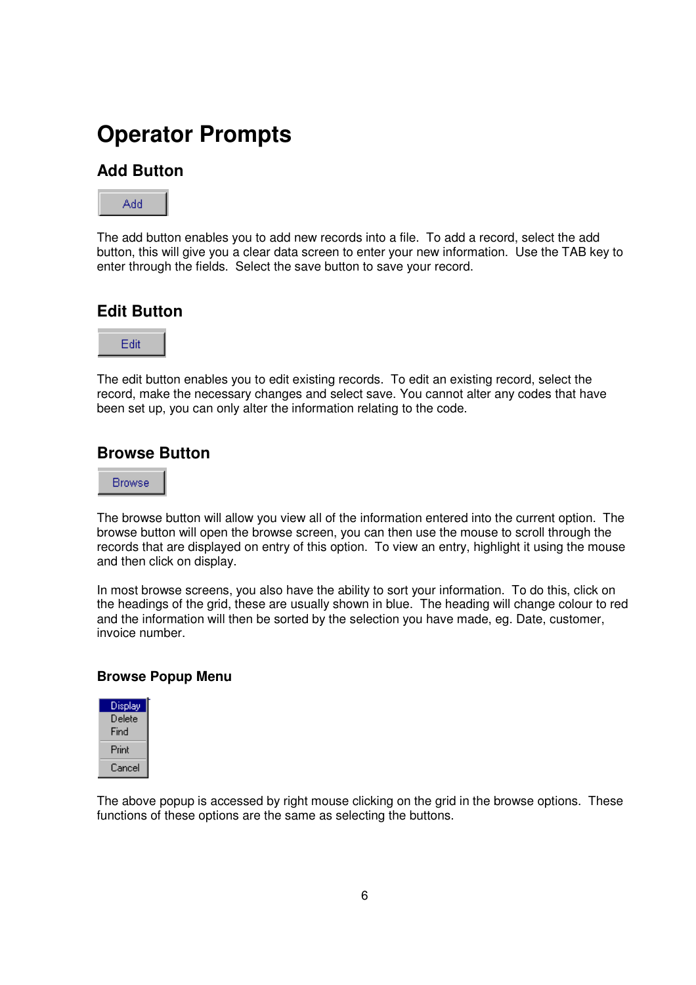## **Operator Prompts**

### **Add Button**



The add button enables you to add new records into a file. To add a record, select the add button, this will give you a clear data screen to enter your new information. Use the TAB key to enter through the fields. Select the save button to save your record.

### **Edit Button**



The edit button enables you to edit existing records. To edit an existing record, select the record, make the necessary changes and select save. You cannot alter any codes that have been set up, you can only alter the information relating to the code.

#### **Browse Button**



The browse button will allow you view all of the information entered into the current option. The browse button will open the browse screen, you can then use the mouse to scroll through the records that are displayed on entry of this option. To view an entry, highlight it using the mouse and then click on display.

In most browse screens, you also have the ability to sort your information. To do this, click on the headings of the grid, these are usually shown in blue. The heading will change colour to red and the information will then be sorted by the selection you have made, eg. Date, customer, invoice number.

#### **Browse Popup Menu**



The above popup is accessed by right mouse clicking on the grid in the browse options. These functions of these options are the same as selecting the buttons.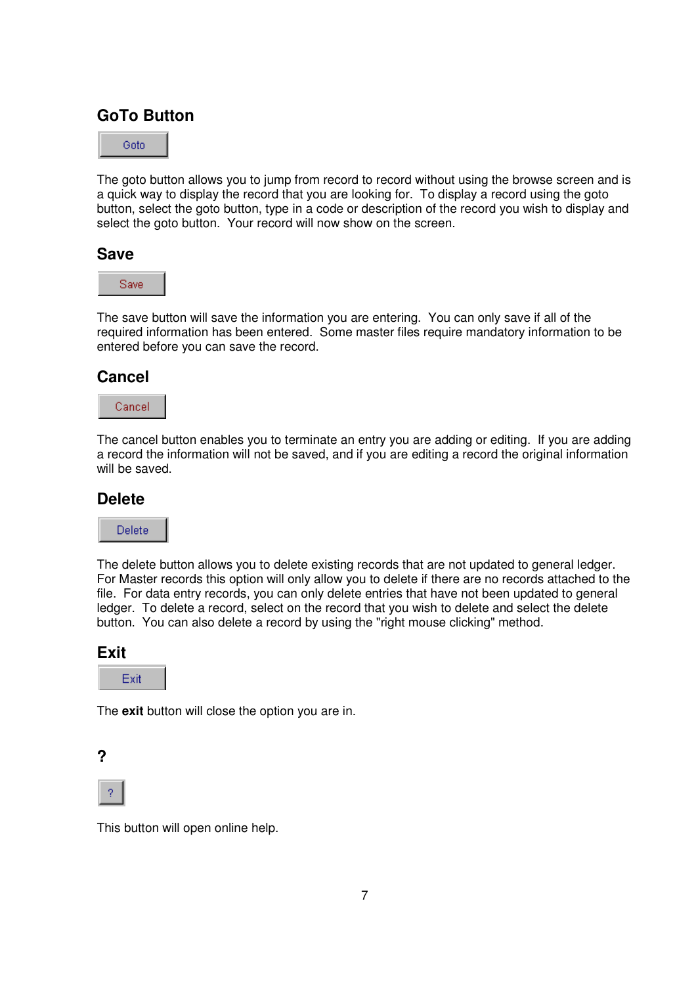## **GoTo Button**

Goto

The goto button allows you to jump from record to record without using the browse screen and is a quick way to display the record that you are looking for. To display a record using the goto button, select the goto button, type in a code or description of the record you wish to display and select the goto button. Your record will now show on the screen.

#### **Save**



The save button will save the information you are entering. You can only save if all of the required information has been entered. Some master files require mandatory information to be entered before you can save the record.

#### **Cancel**



The cancel button enables you to terminate an entry you are adding or editing. If you are adding a record the information will not be saved, and if you are editing a record the original information will be saved.

#### **Delete**



The delete button allows you to delete existing records that are not updated to general ledger. For Master records this option will only allow you to delete if there are no records attached to the file. For data entry records, you can only delete entries that have not been updated to general ledger. To delete a record, select on the record that you wish to delete and select the delete button. You can also delete a record by using the "right mouse clicking" method.

#### **Exit**



The **exit** button will close the option you are in.





This button will open online help.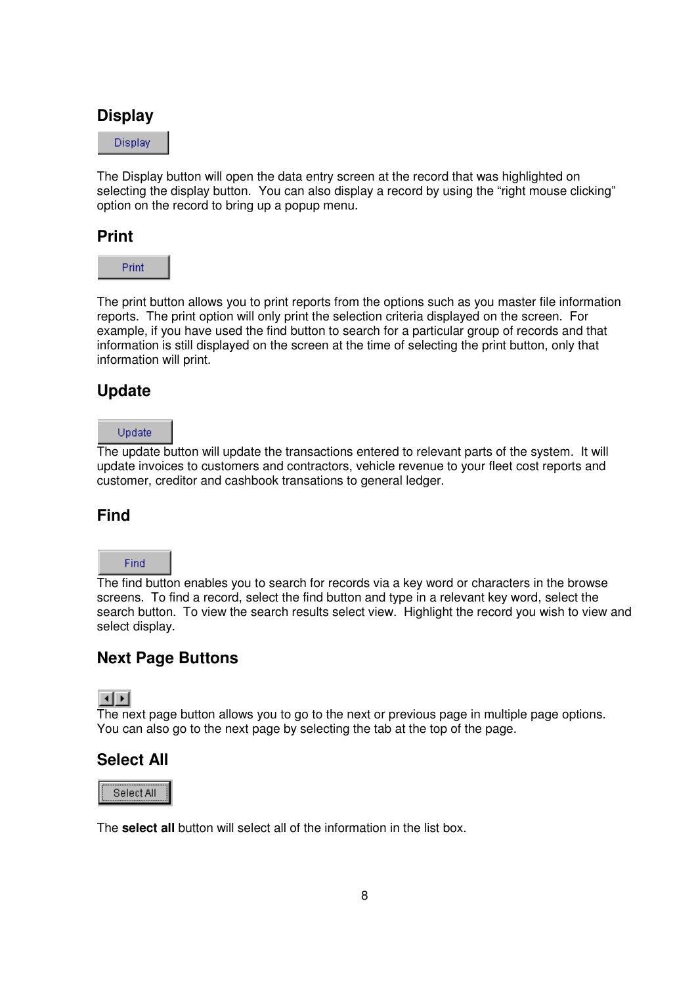#### **Display**

**Display** 

The Display button will open the data entry screen at the record that was highlighted on selecting the display button. You can also display a record by using the "right mouse clicking" option on the record to bring up a popup menu.

#### **Print**



The print button allows you to print reports from the options such as you master file information reports. The print option will only print the selection criteria displayed on the screen. For example, if you have used the find button to search for a particular group of records and that information is still displayed on the screen at the time of selecting the print button, only that information will print.

### **Update**

#### Update

The update button will update the transactions entered to relevant parts of the system. It will update invoices to customers and contractors, vehicle revenue to your fleet cost reports and customer, creditor and cashbook transations to general ledger.

### **Find**

## Find

The find button enables you to search for records via a key word or characters in the browse screens. To find a record, select the find button and type in a relevant key word, select the search button. To view the search results select view. Highlight the record you wish to view and select display.

### **Next Page Buttons**



The next page button allows you to go to the next or previous page in multiple page options. You can also go to the next page by selecting the tab at the top of the page.

### **Select All**

Select All

The **select all** button will select all of the information in the list box.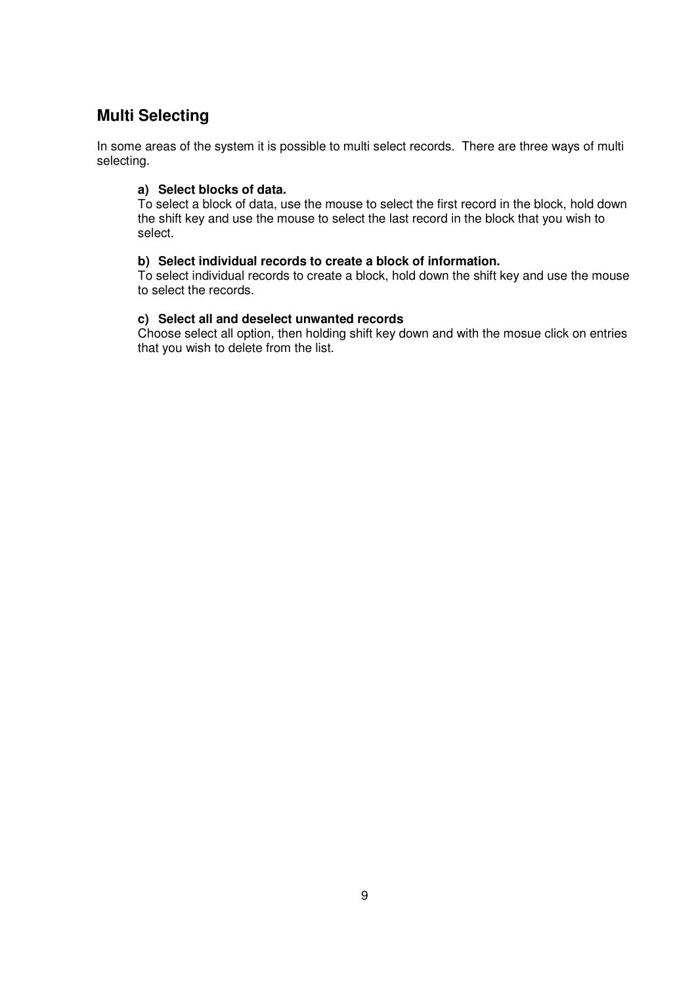## **Multi Selecting**

In some areas of the system it is possible to multi select records. There are three ways of multi selecting.

#### **a) Select blocks of data.**

To select a block of data, use the mouse to select the first record in the block, hold down the shift key and use the mouse to select the last record in the block that you wish to select.

#### **b) Select individual records to create a block of information.**

To select individual records to create a block, hold down the shift key and use the mouse to select the records.

#### **c) Select all and deselect unwanted records**

Choose select all option, then holding shift key down and with the mosue click on entries that you wish to delete from the list.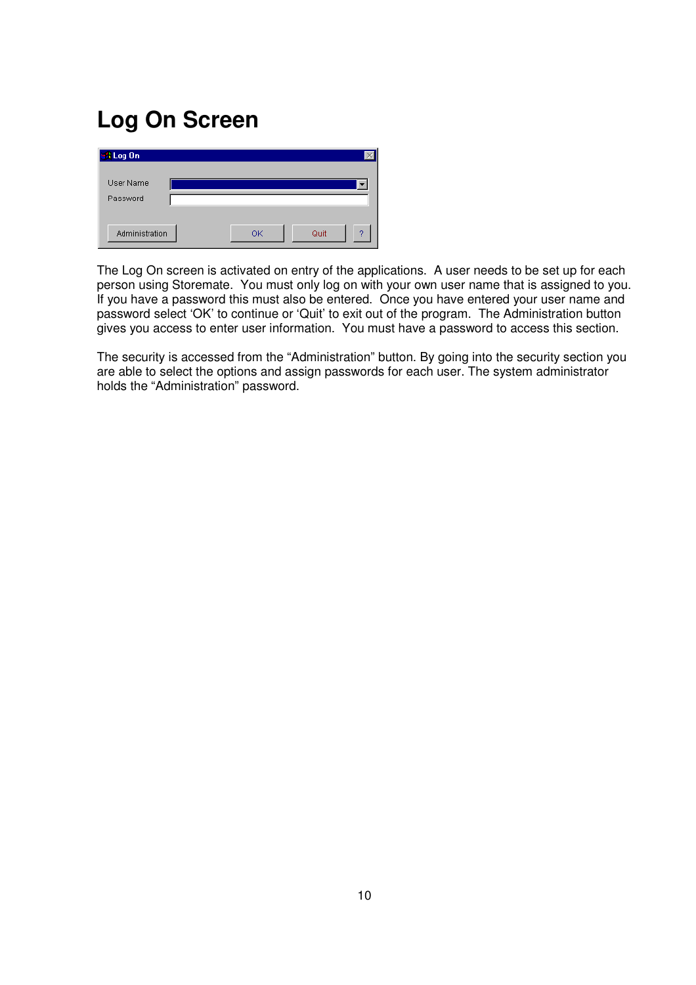## **Log On Screen**

| I Log On              |    |      |   |
|-----------------------|----|------|---|
| User Name<br>Password |    |      |   |
| Administration        | ОK | Quit | 2 |

The Log On screen is activated on entry of the applications. A user needs to be set up for each person using Storemate. You must only log on with your own user name that is assigned to you. If you have a password this must also be entered. Once you have entered your user name and password select 'OK' to continue or 'Quit' to exit out of the program. The Administration button gives you access to enter user information. You must have a password to access this section.

The security is accessed from the "Administration" button. By going into the security section you are able to select the options and assign passwords for each user. The system administrator holds the "Administration" password.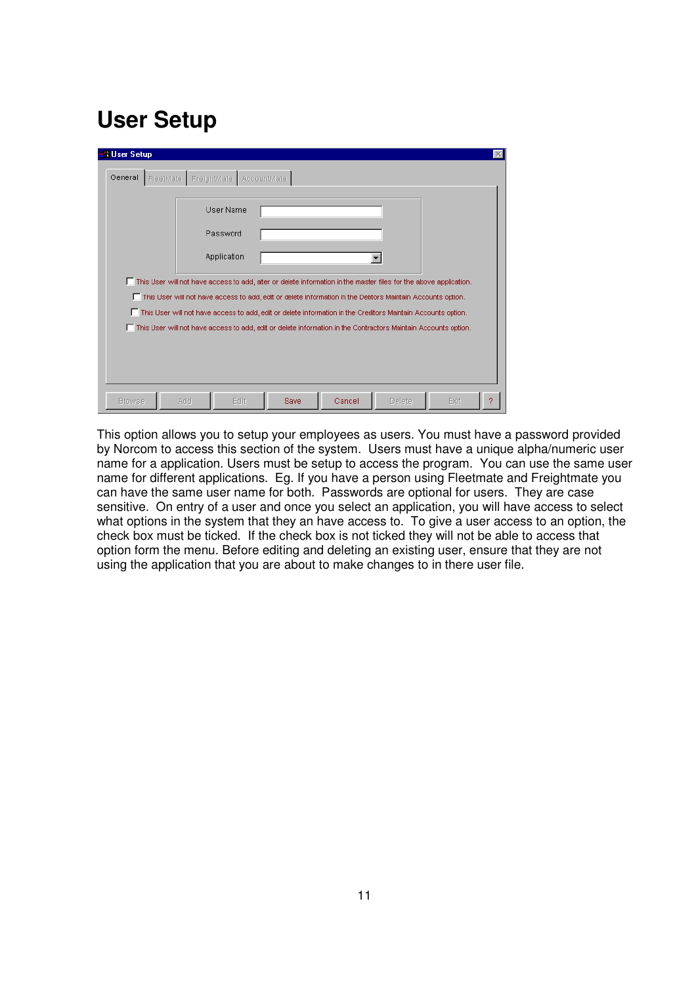## **User Setup**

| User Name                                                                                                         |
|-------------------------------------------------------------------------------------------------------------------|
| Password                                                                                                          |
| Application                                                                                                       |
|                                                                                                                   |
| This User will not have access to add, alter or delete information in the master files for the above application. |
| This User will not have access to add, edit or delete information in the Debtors Maintain Accounts option.        |
| This User will not have access to add, edit or delete information in the Creditors Maintain Accounts option.      |
| This User will not have access to add, edit or delete information in the Contractors Maintain Accounts option.    |

This option allows you to setup your employees as users. You must have a password provided by Norcom to access this section of the system. Users must have a unique alpha/numeric user name for a application. Users must be setup to access the program. You can use the same user name for different applications. Eg. If you have a person using Fleetmate and Freightmate you can have the same user name for both. Passwords are optional for users. They are case sensitive. On entry of a user and once you select an application, you will have access to select what options in the system that they an have access to. To give a user access to an option, the check box must be ticked. If the check box is not ticked they will not be able to access that option form the menu. Before editing and deleting an existing user, ensure that they are not using the application that you are about to make changes to in there user file.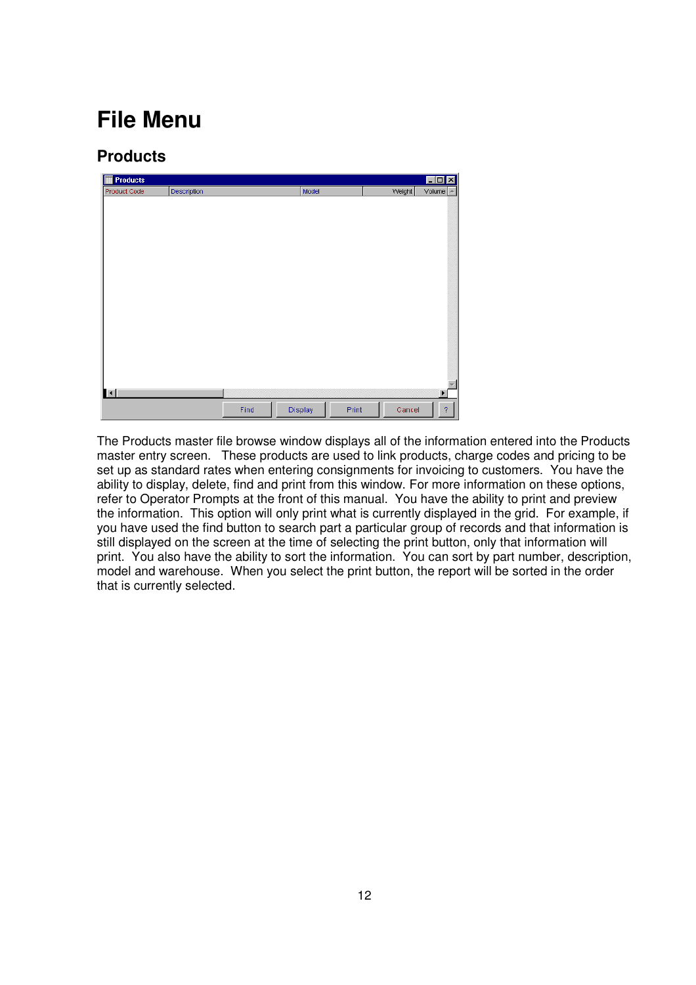## **File Menu**

## **Products**

| <b>Products</b><br>ı<br>F |             |      |         |       |        | $ \Box$     |
|---------------------------|-------------|------|---------|-------|--------|-------------|
| Product Code              | Description |      | Model   |       | Weight | Volume<br>A |
|                           |             |      |         |       |        |             |
|                           |             |      |         |       |        |             |
|                           |             |      |         |       |        |             |
|                           |             |      |         |       |        |             |
|                           |             |      |         |       |        |             |
|                           |             |      |         |       |        |             |
|                           |             |      |         |       |        |             |
|                           |             |      |         |       |        |             |
|                           |             |      |         |       |        |             |
|                           |             |      |         |       |        |             |
|                           |             |      |         |       |        |             |
|                           |             |      |         |       |        |             |
|                           |             |      |         |       |        |             |
|                           |             |      |         |       |        |             |
|                           |             |      |         |       |        |             |
|                           |             |      |         |       |        |             |
|                           |             |      |         |       |        |             |
| $\blacksquare$            |             |      |         |       |        | Þ           |
|                           |             | Find | Display | Print | Cancel | $\bar{?}$   |
|                           |             |      |         |       |        |             |

The Products master file browse window displays all of the information entered into the Products master entry screen. These products are used to link products, charge codes and pricing to be set up as standard rates when entering consignments for invoicing to customers. You have the ability to display, delete, find and print from this window. For more information on these options, refer to Operator Prompts at the front of this manual. You have the ability to print and preview the information. This option will only print what is currently displayed in the grid. For example, if you have used the find button to search part a particular group of records and that information is still displayed on the screen at the time of selecting the print button, only that information will print. You also have the ability to sort the information. You can sort by part number, description, model and warehouse. When you select the print button, the report will be sorted in the order that is currently selected.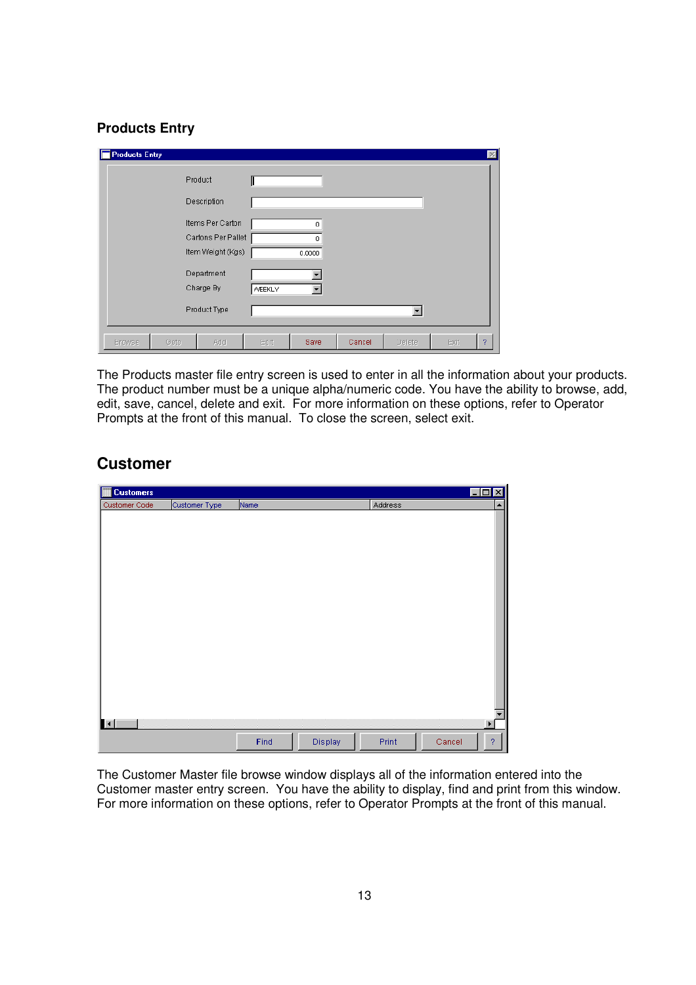#### **Products Entry**

| <b>Products Entry</b> |                    |               |                          |        |        |      | $\vert \times \vert$ |
|-----------------------|--------------------|---------------|--------------------------|--------|--------|------|----------------------|
|                       | Product            |               |                          |        |        |      |                      |
|                       | Description        |               |                          |        |        |      |                      |
|                       | Items Per Carton   |               | 0                        |        |        |      |                      |
|                       | Cartons Per Pallet |               | n                        |        |        |      |                      |
|                       | Item Weight (Kgs)  |               | 0.0000                   |        |        |      |                      |
|                       | Department         |               |                          |        |        |      |                      |
|                       | Charge By          | <b>WEEKLY</b> | $\overline{\phantom{a}}$ |        |        |      |                      |
|                       |                    |               |                          |        |        |      |                      |
|                       | Product Type       |               |                          |        |        |      |                      |
| Goto<br><b>Browse</b> | Add                | Edit          | Save                     | Cancel | Delete | Exit | 2                    |

The Products master file entry screen is used to enter in all the information about your products. The product number must be a unique alpha/numeric code. You have the ability to browse, add, edit, save, cancel, delete and exit. For more information on these options, refer to Operator Prompts at the front of this manual. To close the screen, select exit.

## **Customer**

| F<br><b>Customers</b> |               |      |         |         |        | $\Box$ o $\times$     |
|-----------------------|---------------|------|---------|---------|--------|-----------------------|
| Customer Code         | Customer Type | Name |         | Address |        | $\blacktriangle$      |
|                       |               |      |         |         |        |                       |
|                       |               |      |         |         |        |                       |
|                       |               |      |         |         |        |                       |
|                       |               |      |         |         |        |                       |
|                       |               |      |         |         |        |                       |
|                       |               |      |         |         |        |                       |
|                       |               |      |         |         |        |                       |
|                       |               |      |         |         |        |                       |
|                       |               |      |         |         |        |                       |
|                       |               |      |         |         |        |                       |
|                       |               |      |         |         |        |                       |
|                       |               |      |         |         |        |                       |
|                       |               |      |         |         |        |                       |
|                       |               |      |         |         |        |                       |
|                       |               |      |         |         |        |                       |
|                       |               |      |         |         |        |                       |
|                       |               |      |         |         |        |                       |
| $\mathbf{H}$          |               |      |         |         |        | $\blacktriangleright$ |
|                       |               |      |         |         |        |                       |
|                       |               | Find | Display | Print   | Cancel | $\overline{?}$        |

The Customer Master file browse window displays all of the information entered into the Customer master entry screen. You have the ability to display, find and print from this window. For more information on these options, refer to Operator Prompts at the front of this manual.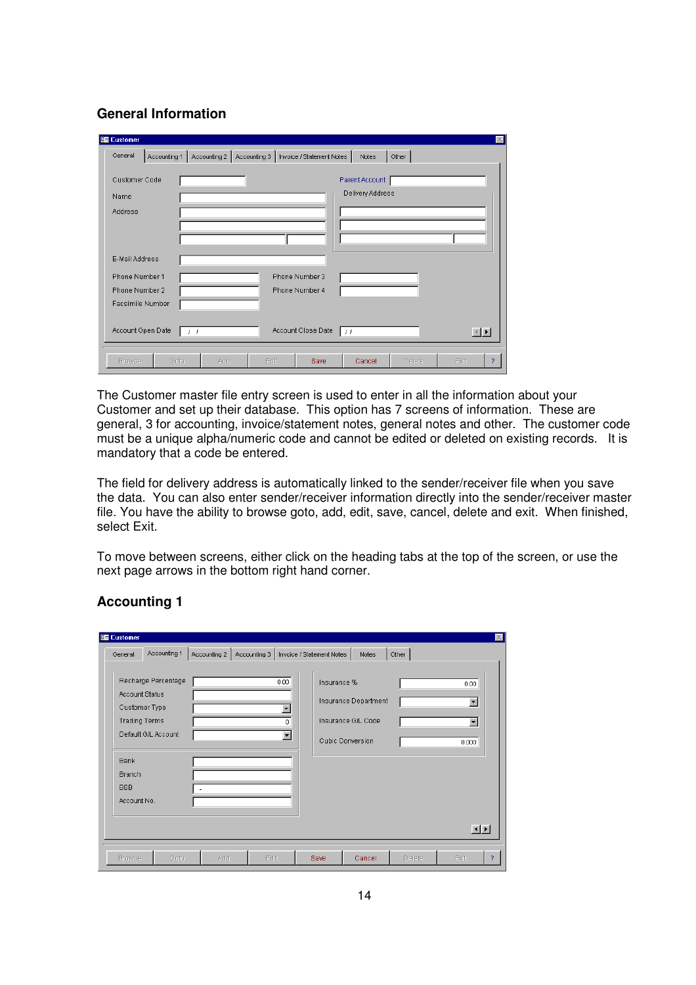#### **General Information**

| <b>E</b> Customer                           |                                                                           | $\mathbbmss{}$                          |
|---------------------------------------------|---------------------------------------------------------------------------|-----------------------------------------|
| General<br>Accounting 1                     | Accounting 2   Accounting 3   Invoice / Statement Notes<br>Other<br>Notes |                                         |
| Customer Code<br>Name<br>Address            | Parent Account<br>Delivery Address                                        |                                         |
| E-Mail Address<br>Phone Number 1            | Phone Number 3                                                            |                                         |
| Phone Number 2<br>Facsimile Number          | Phone Number 4                                                            |                                         |
| Account Open Date<br>$\left  \cdot \right $ | Account Close Date<br>  1 T                                               | $\vert \cdot \vert$ $\vert \cdot \vert$ |
| Goto<br><b>Browse</b>                       | Edit<br>Cancel<br>Exit<br>Add<br><b>Save</b><br>Delete                    | ?                                       |

The Customer master file entry screen is used to enter in all the information about your Customer and set up their database. This option has 7 screens of information. These are general, 3 for accounting, invoice/statement notes, general notes and other. The customer code must be a unique alpha/numeric code and cannot be edited or deleted on existing records. It is mandatory that a code be entered.

The field for delivery address is automatically linked to the sender/receiver file when you save the data. You can also enter sender/receiver information directly into the sender/receiver master file. You have the ability to browse goto, add, edit, save, cancel, delete and exit. When finished, select Exit.

To move between screens, either click on the heading tabs at the top of the screen, or use the next page arrows in the bottom right hand corner.

| General               | Accounting 1         |     | Accounting 2   Accounting 3 |                          | Invoice / Statement Notes | Notes                | Other  |                      |
|-----------------------|----------------------|-----|-----------------------------|--------------------------|---------------------------|----------------------|--------|----------------------|
|                       | Recharge Percentage  |     |                             | 0.00                     | Insurance %               |                      |        | 0.00                 |
| <b>Account Status</b> |                      |     |                             |                          |                           |                      |        |                      |
|                       | Customer Type        |     |                             | $\overline{\phantom{a}}$ |                           | Insurance Department |        | $\blacktriangledown$ |
|                       | <b>Trading Terms</b> |     |                             | 0.                       |                           | Insurance G/L Code   |        | $\blacktriangledown$ |
|                       | Default G/L Account  |     |                             | $\blacktriangledown$     |                           | Cubic Conversion     |        | 0.000                |
| <b>Bank</b>           |                      |     |                             |                          |                           |                      |        |                      |
| <b>Branch</b>         |                      |     |                             |                          |                           |                      |        |                      |
| <b>BSB</b>            |                      | ٠   |                             |                          |                           |                      |        |                      |
| Account No.           |                      |     |                             |                          |                           |                      |        |                      |
|                       |                      |     |                             |                          |                           |                      |        |                      |
|                       |                      |     |                             |                          |                           |                      |        | $\vert \cdot \vert$  |
|                       |                      |     |                             |                          |                           |                      |        |                      |
| <b>Browse</b>         | Goto                 | Add | Edit                        |                          | <b>Save</b>               | Cancel               | Delete | Exit<br>2            |

#### **Accounting 1**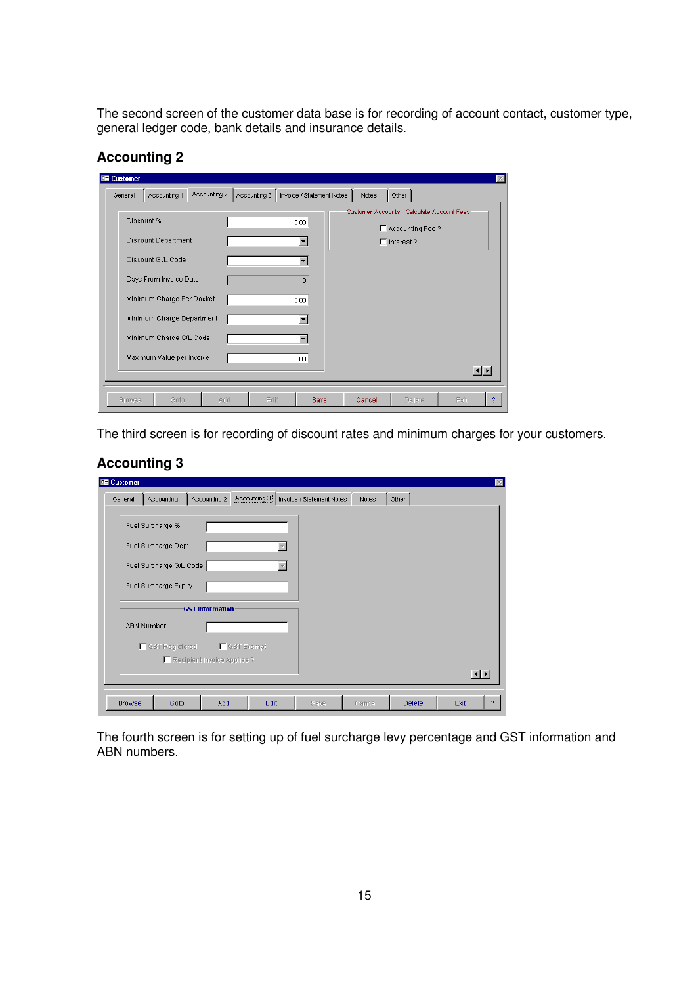The second screen of the customer data base is for recording of account contact, customer type, general ledger code, bank details and insurance details.

| <b>Accounting 2</b> |  |
|---------------------|--|
|---------------------|--|

| <b>Ed Customer</b> |                                                        |              |              |                           |        |                                                                   |                        |  |
|--------------------|--------------------------------------------------------|--------------|--------------|---------------------------|--------|-------------------------------------------------------------------|------------------------|--|
| General            | Accounting 1                                           | Accounting 2 | Accounting 3 | Invoice / Statement Notes | Notes  | Other                                                             |                        |  |
| Discount %         |                                                        |              |              | 0.00                      |        | Customer Accounts - Calculate Account Fees:<br>F Accounting Fee ? |                        |  |
|                    | <b>Discount Department</b><br>Discount G /L Code       |              |              |                           |        | $\Box$ Interest?                                                  |                        |  |
|                    | Days From Invoice Date                                 |              |              | $\overline{0}$            |        |                                                                   |                        |  |
|                    | Minimum Charge Per Docket<br>Minimum Charge Department |              |              | 0.00                      |        |                                                                   |                        |  |
|                    | Minimum Charge G/L Code                                |              |              |                           |        |                                                                   |                        |  |
|                    | Maximum Value per Invoice                              |              |              | 0.00                      |        |                                                                   | $\left  \cdot \right $ |  |
| <b>Browse</b>      | Goto                                                   | Add          | Edit         | <b>Save</b>               | Cancel | Delete                                                            | Exit                   |  |

The third screen is for recording of discount rates and minimum charges for your customers.

#### **Accounting 3**

| General           | Accounting 1            | Accounting 2                | [Accounting 3] Invoice / Statement Notes | Notes | Other |                     |
|-------------------|-------------------------|-----------------------------|------------------------------------------|-------|-------|---------------------|
|                   | Fuel Surcharge %        |                             |                                          |       |       |                     |
|                   | Fuel Surcharge Dept.    |                             |                                          |       |       |                     |
|                   | Fuel Surcharge G/L Code |                             |                                          |       |       |                     |
|                   | Fuel Surcharge Expiry   |                             |                                          |       |       |                     |
|                   |                         | <b>GST Information</b>      |                                          |       |       |                     |
| <b>ABN Number</b> |                         |                             |                                          |       |       |                     |
|                   | ■ GST Registered        | <b>F</b> GST Exempt         |                                          |       |       |                     |
|                   |                         | Recipient Invoice Applies ? |                                          |       |       |                     |
|                   |                         |                             |                                          |       |       | $\vert \cdot \vert$ |
|                   |                         |                             |                                          |       |       |                     |

The fourth screen is for setting up of fuel surcharge levy percentage and GST information and ABN numbers.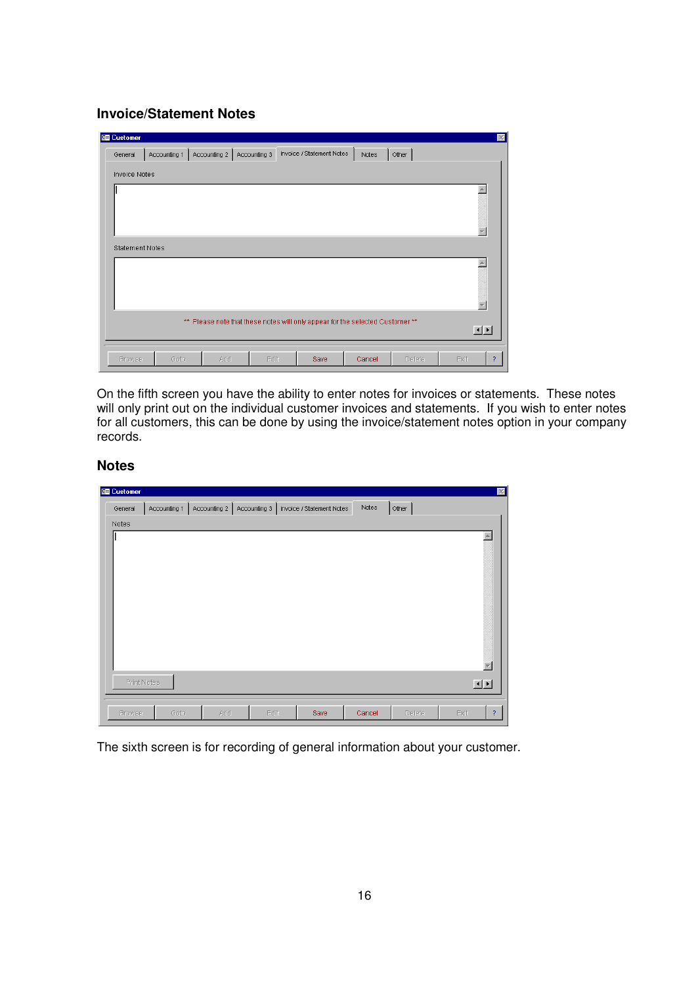#### **Invoice/Statement Notes**

| <b>Ed Customer</b>     |                                                                                     |              |              |                           |        |        |  | $\vert \times \vert$  |  |
|------------------------|-------------------------------------------------------------------------------------|--------------|--------------|---------------------------|--------|--------|--|-----------------------|--|
| General                | Accounting 1                                                                        | Accounting 2 | Accounting 3 | Invoice / Statement Notes | Notes  | Other  |  |                       |  |
| <b>Invoice Notes</b>   |                                                                                     |              |              |                           |        |        |  |                       |  |
|                        |                                                                                     |              |              |                           |        |        |  |                       |  |
| <b>Statement Notes</b> |                                                                                     |              |              |                           |        |        |  |                       |  |
|                        |                                                                                     |              |              |                           |        |        |  |                       |  |
|                        | ** Please note that these notes will only appear for the selected Customer **<br>回回 |              |              |                           |        |        |  |                       |  |
| <b>Browse</b>          | Goto                                                                                | Add          | Edit         | Save                      | Cancel | Delete |  | Exit<br>$\mathcal{P}$ |  |

On the fifth screen you have the ability to enter notes for invoices or statements. These notes will only print out on the individual customer invoices and statements. If you wish to enter notes for all customers, this can be done by using the invoice/statement notes option in your company records.

#### **Notes**

| <b>Ed Customer</b> |              |              |              |                           |        |               | $\mathbbmss{}$         |  |
|--------------------|--------------|--------------|--------------|---------------------------|--------|---------------|------------------------|--|
| General            | Accounting 1 | Accounting 2 | Accounting 3 | Invoice / Statement Notes | Notes  | Other         |                        |  |
| Notes              |              |              |              |                           |        |               |                        |  |
|                    |              |              |              |                           |        |               |                        |  |
|                    |              |              |              |                           |        |               |                        |  |
|                    |              |              |              |                           |        |               |                        |  |
|                    |              |              |              |                           |        |               |                        |  |
|                    |              |              |              |                           |        |               |                        |  |
|                    |              |              |              |                           |        |               |                        |  |
|                    |              |              |              |                           |        |               |                        |  |
|                    |              |              |              |                           |        |               |                        |  |
| Print Notes        |              |              |              |                           |        |               | 回回                     |  |
|                    |              |              |              |                           |        |               |                        |  |
| <b>Browse</b>      | Goto         | Add          | Edit         | Save                      | Cancel | <b>Delete</b> | $\overline{?}$<br>Exit |  |

The sixth screen is for recording of general information about your customer.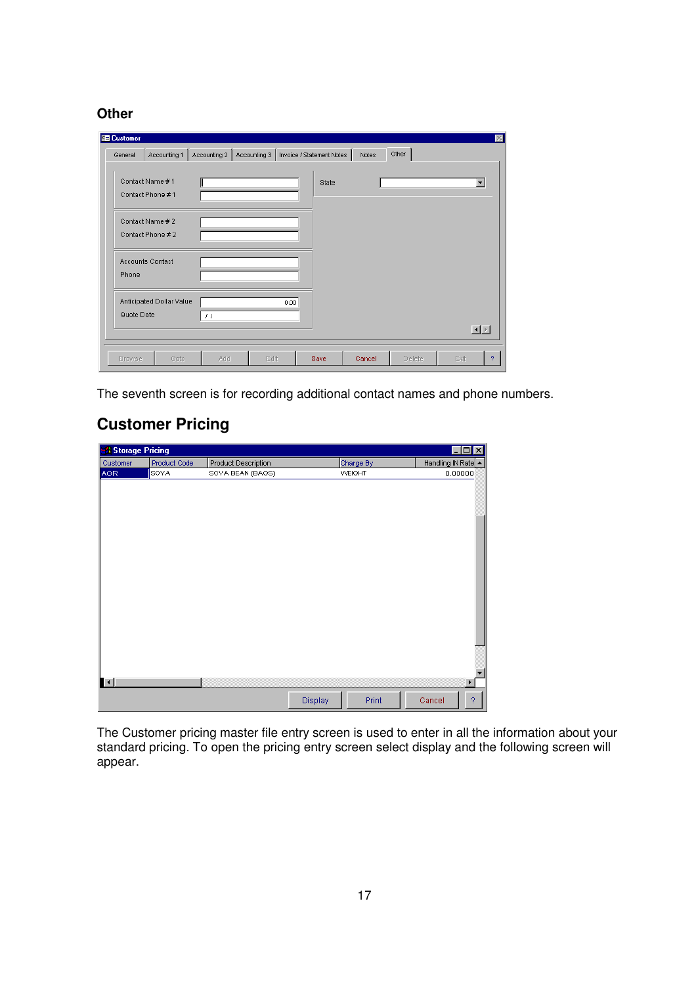**Other** 

| <b>Ed Customer</b> |                          |                        |                                          |       |        |        |                          |
|--------------------|--------------------------|------------------------|------------------------------------------|-------|--------|--------|--------------------------|
| General            | Accounting 1             | Accounting 2           | Accounting 3   Invoice / Statement Notes |       | Notes  | Other  |                          |
|                    | Contact Name #1          |                        |                                          | State |        |        | $\overline{\phantom{a}}$ |
|                    | Contact Phone #1         |                        |                                          |       |        |        |                          |
|                    |                          |                        |                                          |       |        |        |                          |
|                    | Contact Name # 2         |                        |                                          |       |        |        |                          |
|                    | Contact Phone # 2        |                        |                                          |       |        |        |                          |
|                    |                          |                        |                                          |       |        |        |                          |
|                    | Accounts Contact         |                        |                                          |       |        |        |                          |
| Phone              |                          |                        |                                          |       |        |        |                          |
|                    | Anticipated Dollar Value |                        | 0.00                                     |       |        |        |                          |
| Quote Date         |                          |                        |                                          |       |        |        |                          |
|                    |                          | $\left  \cdot \right $ |                                          |       |        |        |                          |
|                    |                          |                        |                                          |       |        |        | $\boxed{1}$              |
|                    |                          |                        |                                          |       |        |        |                          |
| Browse             | Goto                     | Add                    | Edit                                     | Save  | Cancel | Delete | Exit<br>$\overline{?}$   |

The seventh screen is for recording additional contact names and phone numbers.

## **Customer Pricing**

| <b>Storage Pricing</b> |              |                     |         |           | $\Box$ D $\Box$          |
|------------------------|--------------|---------------------|---------|-----------|--------------------------|
| Customer               | Product Code | Product Description |         | Charge By | Handling IN Rate -       |
| <b>AGR</b>             | SOYA         | SOYA BEAN (BAGS)    |         | WEIGHT    | 0.00000                  |
| $\mathbf{H}$           |              |                     |         |           | ь                        |
|                        |              |                     | Display | Print     | Cancel<br>$\overline{?}$ |

The Customer pricing master file entry screen is used to enter in all the information about your standard pricing. To open the pricing entry screen select display and the following screen will appear.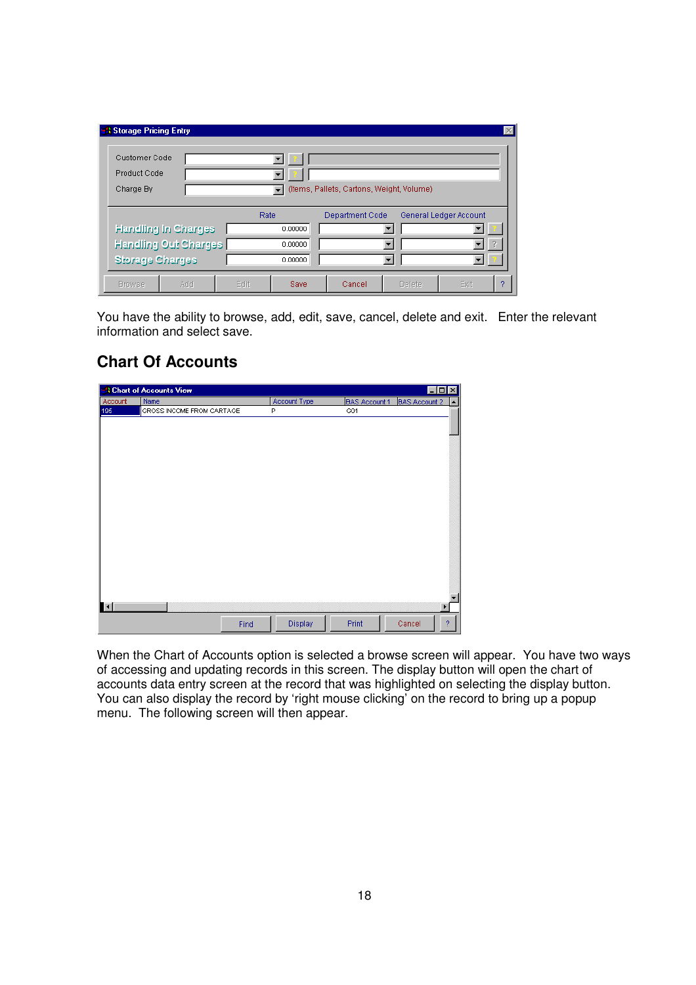| <b>B</b> Storage Pricing Entry |                      |      |         |                                           |        |                        | $\times$ |
|--------------------------------|----------------------|------|---------|-------------------------------------------|--------|------------------------|----------|
| Customer Code                  |                      |      |         |                                           |        |                        |          |
| Product Code                   |                      |      |         |                                           |        |                        |          |
| Charge By                      |                      |      |         | (Items, Pallets, Cartons, Weight, Volume) |        |                        |          |
|                                |                      |      |         |                                           |        |                        |          |
|                                |                      | Rate |         | Department Code                           |        | General Ledger Account |          |
|                                | Handling In Charges  |      | 0.00000 |                                           |        |                        |          |
|                                | Handling Out Charges |      | 0.00000 |                                           |        |                        |          |
| Storage Charges                |                      |      | 0.00000 |                                           |        |                        |          |
| <b>Browse</b>                  | Add                  | Edit | Save    | Cancel                                    | Delete | Exit                   | 2        |

You have the ability to browse, add, edit, save, cancel, delete and exit. Enter the relevant information and select save.

## **Chart Of Accounts**

|                       | <b>A Chart of Accounts View</b> |              |                      | FOX                       |
|-----------------------|---------------------------------|--------------|----------------------|---------------------------|
| Account               | Name                            | Account Type | <b>BAS Account 1</b> | <b>BAS Account 2</b><br>▲ |
| 195                   | GROSS INCOME FROM CARTAGE       | P            | G01                  |                           |
|                       |                                 |              |                      |                           |
|                       |                                 |              |                      |                           |
|                       |                                 |              |                      |                           |
|                       |                                 |              |                      |                           |
|                       |                                 |              |                      |                           |
|                       |                                 |              |                      |                           |
|                       |                                 |              |                      |                           |
|                       |                                 |              |                      |                           |
|                       |                                 |              |                      |                           |
|                       |                                 |              |                      |                           |
|                       |                                 |              |                      |                           |
|                       |                                 |              |                      |                           |
|                       |                                 |              |                      |                           |
|                       |                                 |              |                      |                           |
|                       |                                 |              |                      |                           |
|                       |                                 |              |                      |                           |
|                       |                                 |              |                      |                           |
|                       |                                 |              |                      |                           |
| $\lvert \cdot \rvert$ |                                 |              |                      |                           |
|                       |                                 |              |                      |                           |
|                       | Find                            | Display      | Print                | Cancel<br>$\overline{2}$  |
|                       |                                 |              |                      |                           |

When the Chart of Accounts option is selected a browse screen will appear. You have two ways of accessing and updating records in this screen. The display button will open the chart of accounts data entry screen at the record that was highlighted on selecting the display button. You can also display the record by 'right mouse clicking' on the record to bring up a popup menu. The following screen will then appear.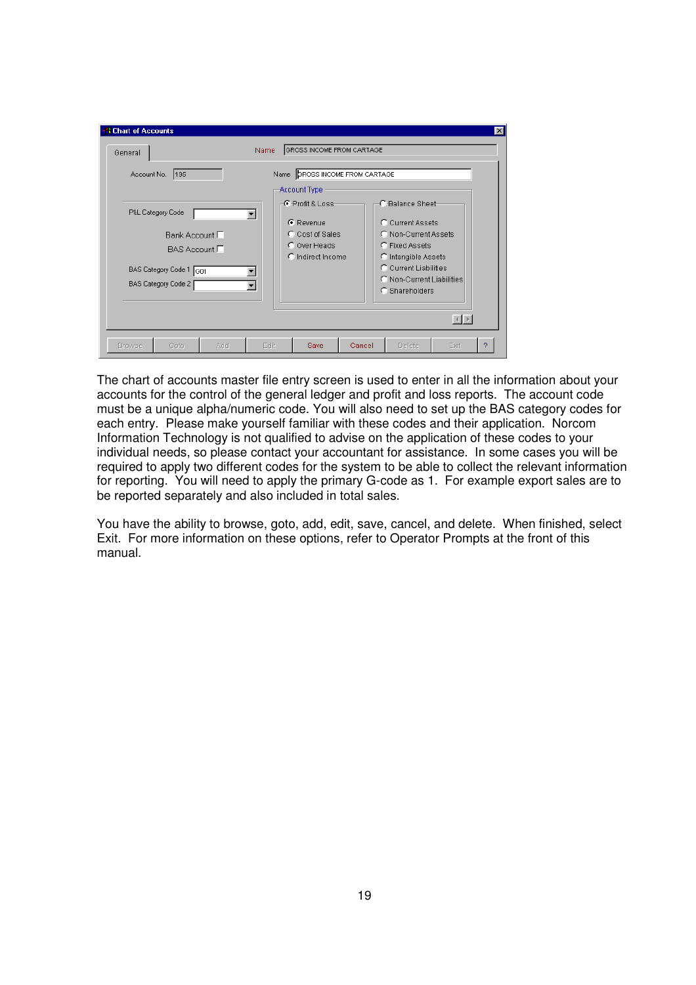| <b>A Chart of Accounts</b><br>General                               |                                      | Name                                   | GROSS INCOME FROM CARTAGE                                                                 |        |                                                                                                                                                                                       |                                                                | $\mathbf{x}$ |
|---------------------------------------------------------------------|--------------------------------------|----------------------------------------|-------------------------------------------------------------------------------------------|--------|---------------------------------------------------------------------------------------------------------------------------------------------------------------------------------------|----------------------------------------------------------------|--------------|
| Account No. 195                                                     |                                      |                                        | Name CROSS INCOME FROM CARTAGE<br>Account Type                                            |        |                                                                                                                                                                                       |                                                                |              |
| P&L Category Code<br>BAS Category Code 1 G01<br>BAS Category Code 2 | Bank Account $\Box$<br>BAS Account □ | $\blacktriangledown$<br>$\blacksquare$ | $-F$ -Profit & Loss-<br>C Revenue<br>C Cost of Sales<br>C Over Heads<br>C Indirect Income |        | <b>C</b> -Balance Sheet-<br>C Current Assets<br>C Non-Current Assets<br>C Fixed Assets<br>C Intangible Assets<br>C Current Liabilities<br>C Non-Current Liabilities<br>C Shareholders |                                                                |              |
| Goto<br><b>Browse</b>                                               | Add                                  | Edit                                   | <b>Save</b>                                                                               | Cancel | Delete                                                                                                                                                                                | $\left \left \left \left \right \right \right \right $<br>Exit | 2            |

The chart of accounts master file entry screen is used to enter in all the information about your accounts for the control of the general ledger and profit and loss reports. The account code must be a unique alpha/numeric code. You will also need to set up the BAS category codes for each entry. Please make yourself familiar with these codes and their application. Norcom Information Technology is not qualified to advise on the application of these codes to your individual needs, so please contact your accountant for assistance. In some cases you will be required to apply two different codes for the system to be able to collect the relevant information for reporting. You will need to apply the primary G-code as 1. For example export sales are to be reported separately and also included in total sales.

You have the ability to browse, goto, add, edit, save, cancel, and delete. When finished, select Exit. For more information on these options, refer to Operator Prompts at the front of this manual.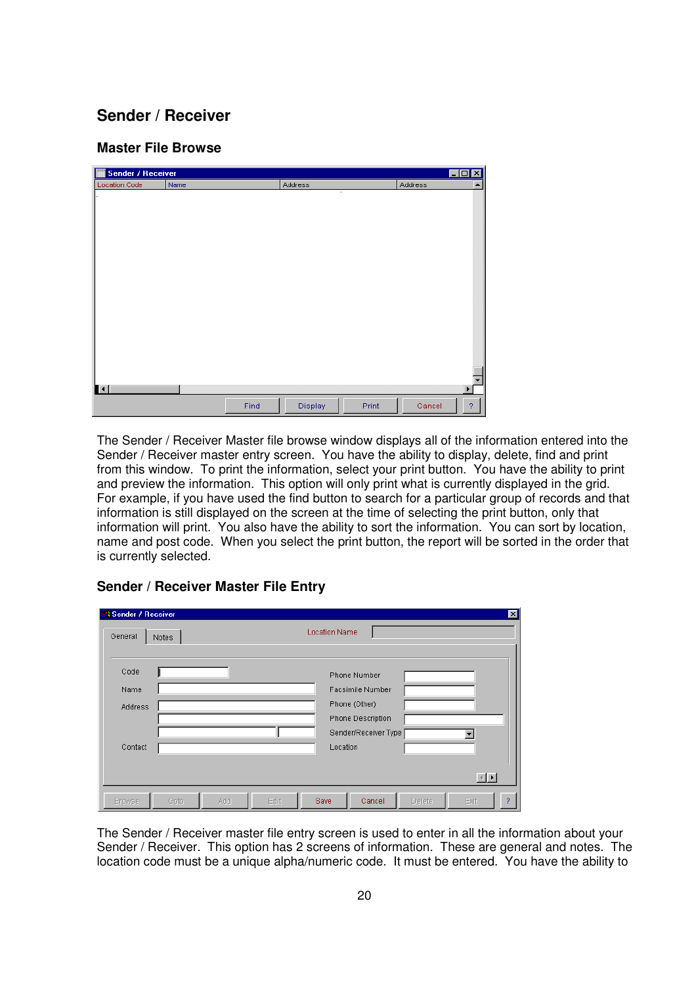## **Sender / Receiver**

#### **Master File Browse**

| m<br><b>Sender / Receiver</b> |      |      |         |       |         | ⊠<br>$\Box$ o  |
|-------------------------------|------|------|---------|-------|---------|----------------|
| <b>Location Code</b>          | Name |      | Address |       | Address | ▲              |
|                               |      |      | ٠       |       |         |                |
|                               |      |      |         |       |         |                |
|                               |      |      |         |       |         |                |
|                               |      |      |         |       |         |                |
|                               |      |      |         |       |         |                |
|                               |      |      |         |       |         |                |
|                               |      |      |         |       |         |                |
|                               |      |      |         |       |         |                |
|                               |      |      |         |       |         |                |
|                               |      |      |         |       |         |                |
|                               |      |      |         |       |         |                |
|                               |      |      |         |       |         |                |
|                               |      |      |         |       |         |                |
|                               |      |      |         |       |         |                |
|                               |      |      |         |       |         |                |
|                               |      |      |         |       |         |                |
|                               |      |      |         |       |         |                |
|                               |      |      |         |       |         |                |
| $\mathbf{H}$                  |      |      |         |       |         | ▶              |
|                               |      | Find | Display | Print | Cancel  | $\overline{?}$ |

The Sender / Receiver Master file browse window displays all of the information entered into the Sender / Receiver master entry screen. You have the ability to display, delete, find and print from this window. To print the information, select your print button. You have the ability to print and preview the information. This option will only print what is currently displayed in the grid. For example, if you have used the find button to search for a particular group of records and that information is still displayed on the screen at the time of selecting the print button, only that information will print. You also have the ability to sort the information. You can sort by location, name and post code. When you select the print button, the report will be sorted in the order that is currently selected.

| <b>A Sender / Receiver</b> |       |     |      |                      |                      |        |      | × |
|----------------------------|-------|-----|------|----------------------|----------------------|--------|------|---|
| General                    | Notes |     |      | <b>Location Name</b> |                      |        |      |   |
| Code                       |       |     |      |                      | Phone Number         |        |      |   |
| Name                       |       |     |      |                      | Facsimile Number     |        |      |   |
| Address                    |       |     |      |                      | Phone (Other)        |        |      |   |
|                            |       |     |      |                      | Phone Description    |        |      |   |
|                            |       |     |      |                      | Sender/Receiver Type |        |      |   |
| Contact                    |       |     |      | Location             |                      |        |      |   |
|                            |       |     |      |                      |                      |        |      |   |
|                            |       |     |      |                      |                      |        | 国国   |   |
| <b>Browse</b>              | Goto  | Add | Edit | Save                 | Cancel               | Delete | Exit | ? |

#### **Sender / Receiver Master File Entry**

The Sender / Receiver master file entry screen is used to enter in all the information about your Sender / Receiver. This option has 2 screens of information. These are general and notes. The location code must be a unique alpha/numeric code. It must be entered. You have the ability to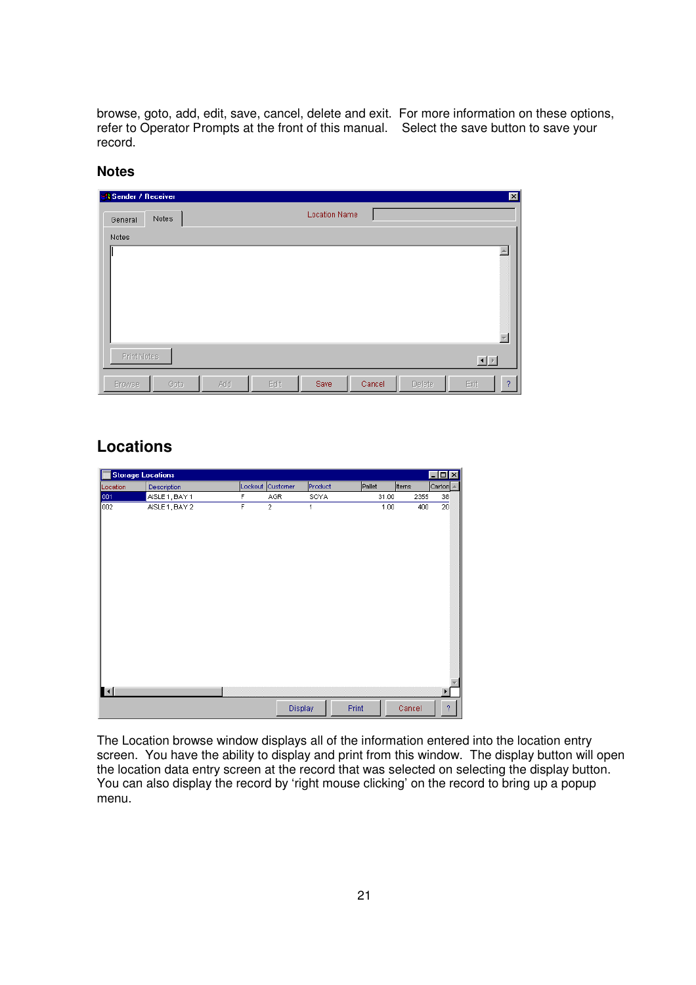browse, goto, add, edit, save, cancel, delete and exit. For more information on these options, refer to Operator Prompts at the front of this manual. Select the save button to save your record.

#### **Notes**

| <b>Sender / Receiver</b> |                      | 図                             |
|--------------------------|----------------------|-------------------------------|
| Notes<br>General         | <b>Location Name</b> |                               |
| Notes                    |                      |                               |
|                          |                      | A.                            |
| Print Notes              |                      | 回回                            |
| Goto<br><b>Browse</b>    | Edit<br>Add<br>Save  | Cancel<br>Exit<br>Delete<br>2 |

## **Locations**

| <b>Storage Locations</b> |                |   |                  |         |        |        | $-$ O $\times$ |
|--------------------------|----------------|---|------------------|---------|--------|--------|----------------|
| Location                 | Description    |   | Lockout Customer | Product | Pallet | ttems  | Carton         |
| 001                      | AISLE 1, BAY 1 | F | AGR              | SOYA    | 31.00  | 2355   | 38             |
| 002                      | AISLE 1, BAY 2 | F | $\overline{2}$   | 1       | 1.00   | 400    | 20             |
| $\mathbf{H}$             |                |   |                  |         |        |        | ١              |
|                          |                |   | Display          | Print   |        | Cancel | 2              |

The Location browse window displays all of the information entered into the location entry screen. You have the ability to display and print from this window. The display button will open the location data entry screen at the record that was selected on selecting the display button. You can also display the record by 'right mouse clicking' on the record to bring up a popup menu.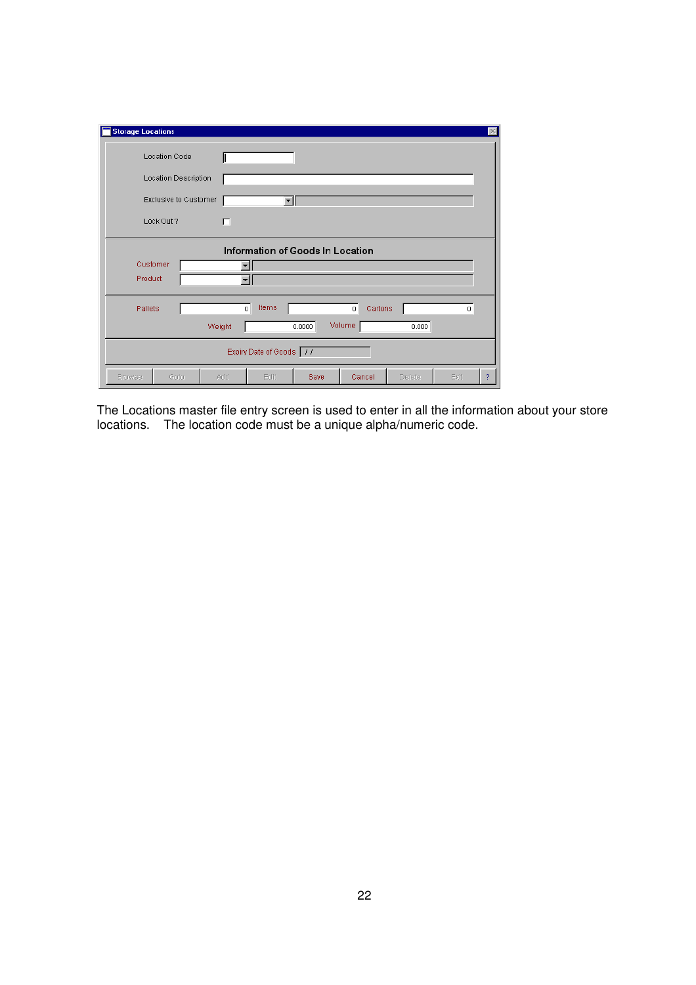| <b>Storage Locations</b><br>$\mathbb{X}$                                                   |  |  |  |  |  |  |  |  |  |  |
|--------------------------------------------------------------------------------------------|--|--|--|--|--|--|--|--|--|--|
| Location Code                                                                              |  |  |  |  |  |  |  |  |  |  |
| Location Description                                                                       |  |  |  |  |  |  |  |  |  |  |
| Exclusive to Customer                                                                      |  |  |  |  |  |  |  |  |  |  |
| Lock Out ?<br>п                                                                            |  |  |  |  |  |  |  |  |  |  |
| Information of Goods In Location                                                           |  |  |  |  |  |  |  |  |  |  |
| Customer                                                                                   |  |  |  |  |  |  |  |  |  |  |
| Product                                                                                    |  |  |  |  |  |  |  |  |  |  |
| Items<br>$\overline{0}$<br>Pallets<br>$\,0\,$<br>Cartons<br>$\overline{0}$                 |  |  |  |  |  |  |  |  |  |  |
| Volume<br>0.0000<br>0.000<br>Weight                                                        |  |  |  |  |  |  |  |  |  |  |
| Expiry Date of Goods 77                                                                    |  |  |  |  |  |  |  |  |  |  |
| $\overline{?}$<br>Cancel<br>Add<br>Edit<br>Save<br>Delete<br>Exit<br><b>Browse</b><br>Gota |  |  |  |  |  |  |  |  |  |  |

The Locations master file entry screen is used to enter in all the information about your store locations. The location code must be a unique alpha/numeric code.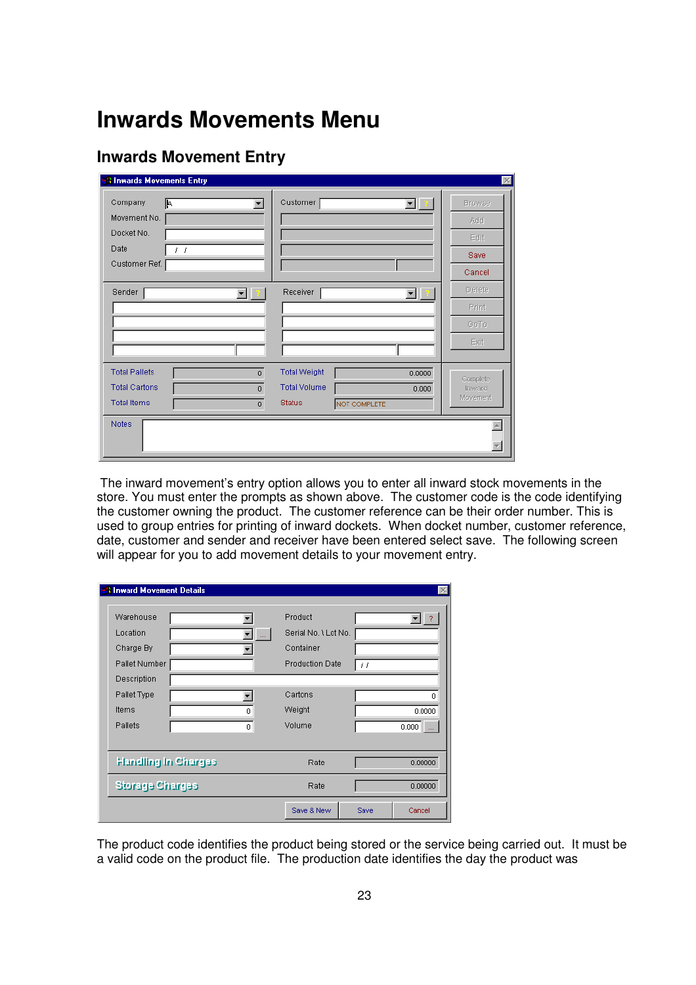## **Inwards Movements Menu**

## **Inwards Movement Entry**

| Company<br>區<br>Movement No.<br>Docket No.   | $\overline{\phantom{a}}$         | Customer                                   |              | $\blacksquare$<br><b>Browse</b><br>Add            |  |
|----------------------------------------------|----------------------------------|--------------------------------------------|--------------|---------------------------------------------------|--|
| Date<br>$\left  \cdot \right $               |                                  |                                            |              | Edit                                              |  |
| Customer Ref.                                |                                  |                                            |              | Save                                              |  |
|                                              |                                  |                                            |              | Cancel<br>Delete                                  |  |
| Sender                                       | ▾▏                               | Receiver                                   |              | ▼∥∃<br>Print                                      |  |
|                                              |                                  |                                            |              | GoTo                                              |  |
|                                              |                                  |                                            |              | Exit                                              |  |
| <b>Total Pallets</b><br><b>Total Cartons</b> | $\overline{0}$<br>$\overline{0}$ | <b>Total Weight</b><br><b>Total Volume</b> |              | 0.0000<br>Complete<br>0.000<br>Inward<br>Movement |  |
| <b>Total Items</b><br><b>Notes</b>           | $\overline{0}$                   | <b>Status</b>                              | NOT COMPLETE |                                                   |  |

 The inward movement's entry option allows you to enter all inward stock movements in the store. You must enter the prompts as shown above. The customer code is the code identifying the customer owning the product. The customer reference can be their order number. This is used to group entries for printing of inward dockets. When docket number, customer reference, date, customer and sender and receiver have been entered select save. The following screen will appear for you to add movement details to your movement entry.

| <b>Howard Movement Details</b> |      |                        |                   |         |
|--------------------------------|------|------------------------|-------------------|---------|
| Warehouse                      |      | Product                |                   |         |
| Location                       |      | Serial No. \ Lot No.   |                   |         |
| Charge By                      |      | Container              |                   |         |
| Pallet Number                  |      | <b>Production Date</b> | $\prime$ $\prime$ |         |
| Description                    |      |                        |                   |         |
| Pallet Type                    |      | Cartons                |                   | 0       |
| Items                          | n.   | Weight                 |                   | 0.0000  |
| Pallets                        | 0    | Volume                 |                   | $0.000$ |
|                                |      |                        |                   |         |
| <b>Handling In Charges</b>     |      | Rate                   |                   | 0.00000 |
| <b>Storage Charges</b>         | Rate |                        | 0.00000           |         |
|                                |      | Save & New             | Save              | Cancel  |

The product code identifies the product being stored or the service being carried out. It must be a valid code on the product file. The production date identifies the day the product was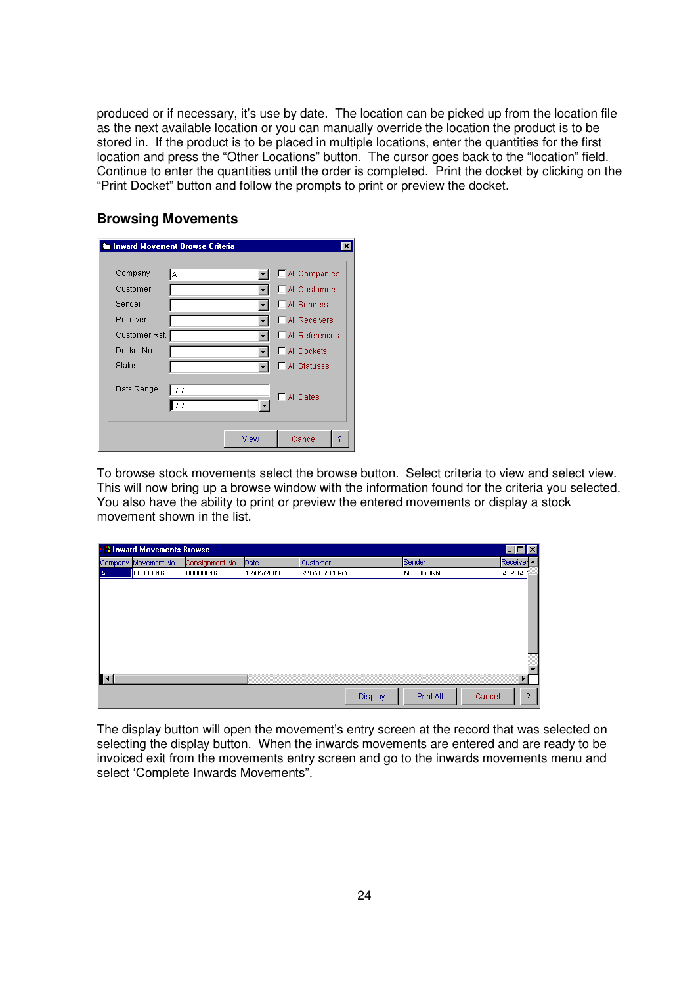produced or if necessary, it's use by date. The location can be picked up from the location file as the next available location or you can manually override the location the product is to be stored in. If the product is to be placed in multiple locations, enter the quantities for the first location and press the "Other Locations" button. The cursor goes back to the "location" field. Continue to enter the quantities until the order is completed. Print the docket by clicking on the "Print Docket" button and follow the prompts to print or preview the docket.

#### **Browsing Movements**

|               | <b>&amp; Inward Movement Browse Criteria</b> |      | ×                      |
|---------------|----------------------------------------------|------|------------------------|
| Company       | A                                            |      | MI Companies           |
| Customer      |                                              |      | <b>□ All Customers</b> |
| Sender        |                                              |      | <b>F</b> All Senders   |
| Receiver      |                                              |      | <b>F</b> All Receivers |
| Customer Ref. |                                              |      | All References         |
| Docket No.    |                                              |      | MI Dockets             |
| <b>Status</b> |                                              |      | <b>F</b> All Statuses  |
| Date Range    | 11<br>11                                     |      | All Dates<br>п         |
|               |                                              | View | Cancel<br>9            |

To browse stock movements select the browse button. Select criteria to view and select view. This will now bring up a browse window with the information found for the criteria you selected. You also have the ability to print or preview the entered movements or display a stock movement shown in the list.

|   | FOX<br><b>A Inward Movements Browse</b> |                 |            |              |         |                  |                    |  |  |  |  |  |
|---|-----------------------------------------|-----------------|------------|--------------|---------|------------------|--------------------|--|--|--|--|--|
|   | Company Movement No.                    | Consignment No. | Date       | Customer     |         | Sender           | Receiver -         |  |  |  |  |  |
| А | 00000016                                | 00000016        | 12/05/2003 | SYDNEY DEPOT |         | <b>MELBOURNE</b> | ALPHA <sup>®</sup> |  |  |  |  |  |
|   |                                         |                 |            |              |         |                  |                    |  |  |  |  |  |
|   |                                         |                 |            |              |         |                  |                    |  |  |  |  |  |
|   |                                         |                 |            |              |         |                  |                    |  |  |  |  |  |
|   |                                         |                 |            |              |         |                  |                    |  |  |  |  |  |
|   |                                         |                 |            |              |         |                  |                    |  |  |  |  |  |
|   |                                         |                 |            |              |         |                  |                    |  |  |  |  |  |
|   |                                         |                 |            |              |         |                  |                    |  |  |  |  |  |
|   |                                         |                 |            |              |         |                  |                    |  |  |  |  |  |
|   |                                         |                 |            |              |         |                  |                    |  |  |  |  |  |
|   |                                         |                 |            |              |         |                  |                    |  |  |  |  |  |
|   |                                         |                 |            |              | Display | Print All        | 2<br>Cancel        |  |  |  |  |  |

The display button will open the movement's entry screen at the record that was selected on selecting the display button. When the inwards movements are entered and are ready to be invoiced exit from the movements entry screen and go to the inwards movements menu and select 'Complete Inwards Movements".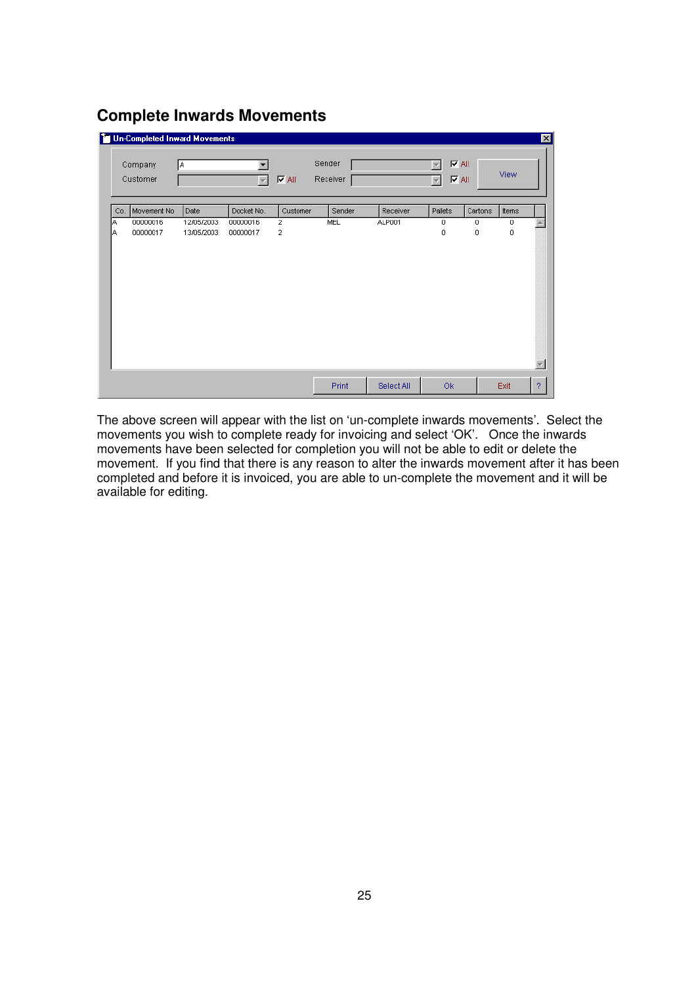## **Complete Inwards Movements**

|     |                     | <b>To Un-Completed Inward Movements</b> |                     |                                     |                    |            |                                                          |         |       | 図 |
|-----|---------------------|-----------------------------------------|---------------------|-------------------------------------|--------------------|------------|----------------------------------------------------------|---------|-------|---|
|     | Company<br>Customer | İΑ.                                     | $\overline{\nabla}$ | $\overline{\blacktriangledown}$ All | Sender<br>Receiver |            | $\nabla$ All<br>$\nabla$ All<br>$\overline{\phantom{a}}$ |         | View  |   |
| Co. | Movement No         | Date                                    | Docket No.          | Customer                            | Sender             | Receiver   | Pallets                                                  | Cartons | Items |   |
| IA. | 00000016            | 12/05/2003                              | 00000016            | 2                                   | MEL                | ALP001     | 0                                                        | 0       | 0     |   |
| ΙA  | 00000017            | 13/05/2003                              | 00000017            | 2                                   |                    |            | 0                                                        | 0       | 0     |   |
|     |                     |                                         |                     |                                     | Print              | Select All | Ok                                                       |         | Exit  | ? |

The above screen will appear with the list on 'un-complete inwards movements'. Select the movements you wish to complete ready for invoicing and select 'OK'. Once the inwards movements have been selected for completion you will not be able to edit or delete the movement. If you find that there is any reason to alter the inwards movement after it has been completed and before it is invoiced, you are able to un-complete the movement and it will be available for editing.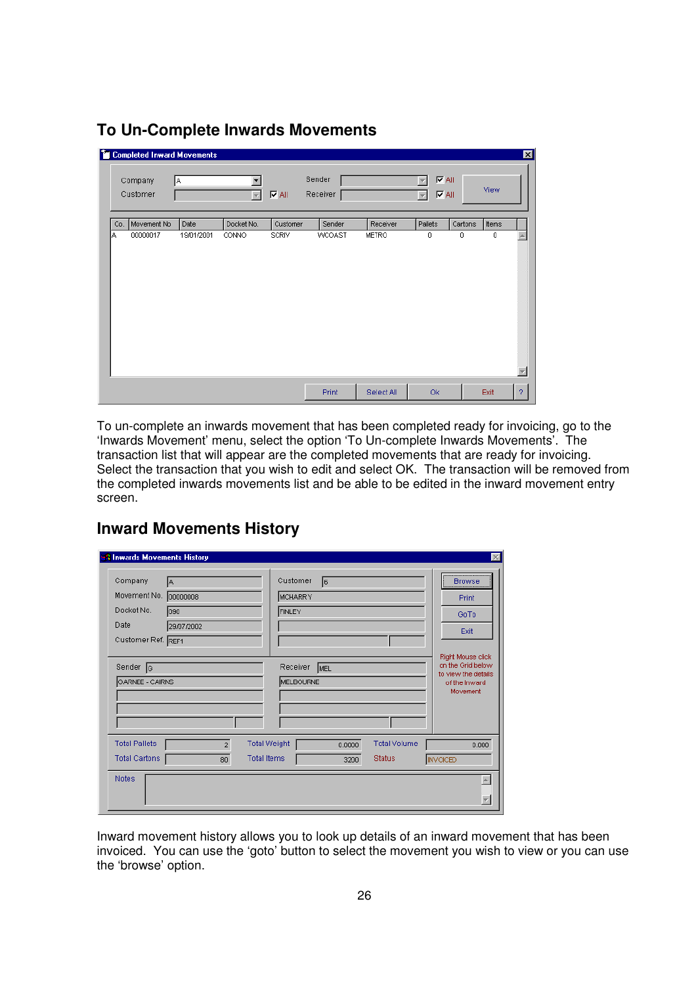|     | <b>Completed Inward Movements</b> |            |                         |              |                    |            |                                                               |             |       |                |
|-----|-----------------------------------|------------|-------------------------|--------------|--------------------|------------|---------------------------------------------------------------|-------------|-------|----------------|
|     | Company<br>Customer               | İΑ.        | $\overline{\mathbf{v}}$ | $\nabla$ All | Sender<br>Receiver |            | $\nabla$ All<br>w<br>$\nabla$ All<br>$\overline{\phantom{a}}$ |             | View  |                |
| Co. | Movement No                       | Date       | Docket No.              | Customer     | Sender             | Receiver   | Pallets                                                       | Cartons     | Items |                |
| IA. | 00000017                          | 19/01/2001 | CONNO                   | SCRIV        | <b>WCOAST</b>      | METRO      | 0                                                             | $\mathbf 0$ | 0     |                |
|     |                                   |            |                         |              |                    |            |                                                               |             |       |                |
|     |                                   |            |                         |              | Print              | Select All | Ok                                                            |             | Exit  | $\overline{?}$ |

## **To Un-Complete Inwards Movements**

To un-complete an inwards movement that has been completed ready for invoicing, go to the 'Inwards Movement' menu, select the option 'To Un-complete Inwards Movements'. The transaction list that will appear are the completed movements that are ready for invoicing. Select the transaction that you wish to edit and select OK. The transaction will be removed from the completed inwards movements list and be able to be edited in the inward movement entry screen.

### **Inward Movements History**

| <b>Almwards Movements History</b><br>Company<br>Movement No.<br>Docket No.<br>Date<br>Customer Ref. REF1 | IA.<br>00000008<br>090<br>29/07/2002 |                    | Customer<br>MCHARRY<br><b>FINLEY</b> | 16  |                |                                      | $\vert \times \vert$<br><b>Browse</b><br>Print<br>GoTo<br>Exit                             |
|----------------------------------------------------------------------------------------------------------|--------------------------------------|--------------------|--------------------------------------|-----|----------------|--------------------------------------|--------------------------------------------------------------------------------------------|
| Sender <sub>[G</sub><br>GARNEE - CAIRNS                                                                  |                                      |                    | Receiver<br>MELBOURNE                | MEL |                |                                      | Right Mouse click<br>on the Grid below<br>to view the details<br>of the Inward<br>Movement |
| <b>Total Pallets</b><br><b>Total Cartons</b><br><b>Notes</b>                                             | $\overline{a}$<br>80                 | <b>Total Items</b> | <b>Total Weight</b>                  |     | 0.0000<br>3200 | <b>Total Volume</b><br><b>Status</b> | 0.000<br><b>INVOICED</b>                                                                   |

Inward movement history allows you to look up details of an inward movement that has been invoiced. You can use the 'goto' button to select the movement you wish to view or you can use the 'browse' option.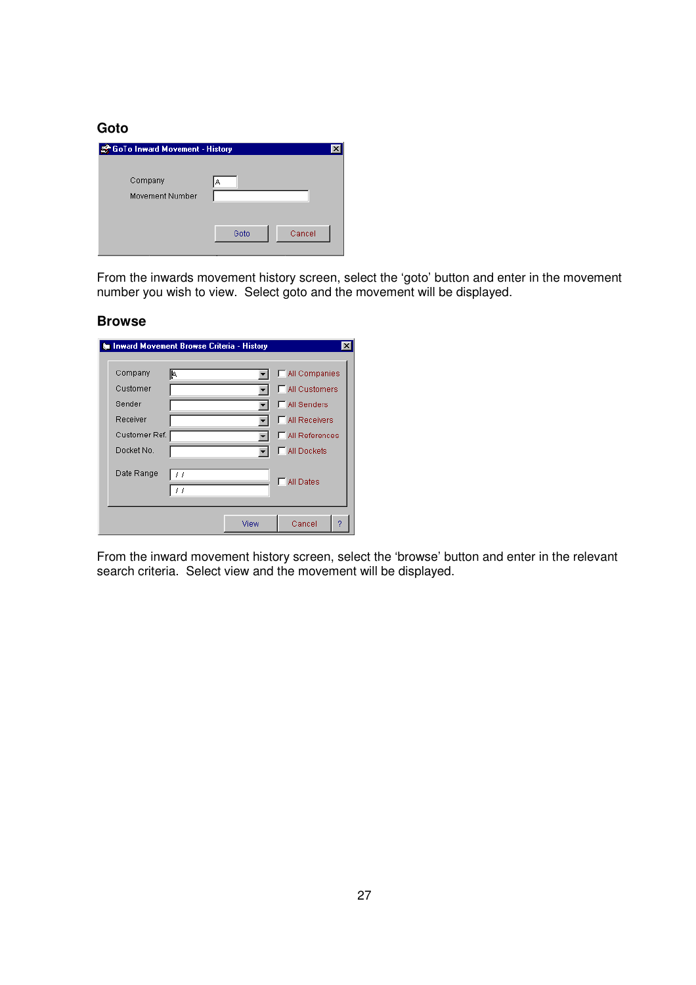**Goto** 

| GoTo Inward Movement - History |                |  |  |  |  |  |  |  |  |
|--------------------------------|----------------|--|--|--|--|--|--|--|--|
| Company<br>Movement Number     | A              |  |  |  |  |  |  |  |  |
|                                | Goto<br>Cancel |  |  |  |  |  |  |  |  |

From the inwards movement history screen, select the 'goto' button and enter in the movement number you wish to view. Select goto and the movement will be displayed.

#### **Browse**

| <b>&amp; Inward Movement Browse Criteria - History</b> |                         |      |                                                                                        |   |
|--------------------------------------------------------|-------------------------|------|----------------------------------------------------------------------------------------|---|
| Company<br>Customer<br>Sender<br>Receiver              | I۴.                     |      | MI Companies<br><b>□ All Customers</b><br><b>F</b> All Senders<br><b>NII Receivers</b> |   |
| Customer Ref.<br>Docket No.                            |                         |      | All References<br>All Dockets                                                          |   |
| Date Range                                             | 11<br>$\prime$ $\prime$ |      | <b>All Dates</b>                                                                       |   |
|                                                        |                         | View | Cancel                                                                                 | 9 |

From the inward movement history screen, select the 'browse' button and enter in the relevant search criteria. Select view and the movement will be displayed.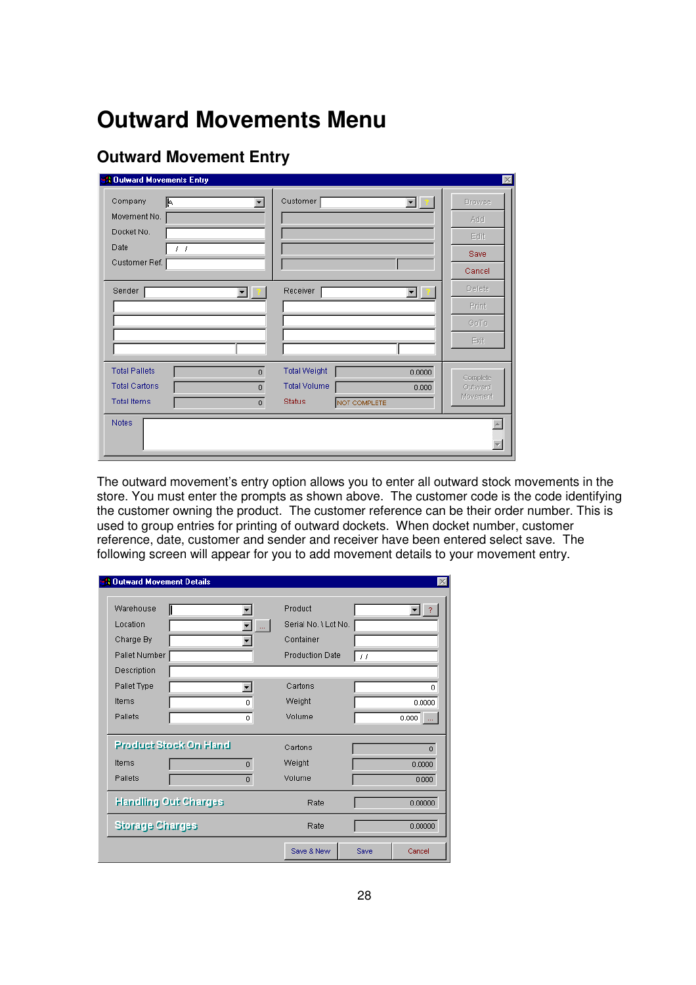## **Outward Movements Menu**

## **Outward Movement Entry**

| <b>A Outward Movements Entry</b>     |                               | $\times$            |
|--------------------------------------|-------------------------------|---------------------|
| 叵<br>Company<br>$\blacktriangledown$ | Customer<br>▼∥?               | <b>Browse</b>       |
| Movement No.                         |                               | Add                 |
| Docket No.                           |                               | Edit.               |
| Date<br>$\prime$ $\prime$            |                               | Save                |
| Customer Ref.                        |                               | Cancel              |
| Sender<br>▾▏                         | Receiver<br>▾╽                | <b>Delete</b>       |
|                                      |                               | Print               |
|                                      |                               | GoTo                |
|                                      |                               | Exit                |
| <b>Total Pallets</b><br>$\mathbf{0}$ | <b>Total Weight</b><br>0.0000 |                     |
| <b>Total Cartons</b><br>$\mathbf 0$  | <b>Total Volume</b><br>0.000  | Complete<br>Outward |
| <b>Total Items</b><br>$\theta$       | <b>Status</b><br>NOT COMPLETE | <b>Movement</b>     |
| <b>Notes</b>                         |                               |                     |
|                                      |                               |                     |
|                                      |                               |                     |

The outward movement's entry option allows you to enter all outward stock movements in the store. You must enter the prompts as shown above. The customer code is the code identifying the customer owning the product. The customer reference can be their order number. This is used to group entries for printing of outward dockets. When docket number, customer reference, date, customer and sender and receiver have been entered select save. The following screen will appear for you to add movement details to your movement entry.

| <b>1 Outward Movement Details</b>                   |                              |                                                                        |            |                             |
|-----------------------------------------------------|------------------------------|------------------------------------------------------------------------|------------|-----------------------------|
| Warehouse<br>Location<br>Charge By<br>Pallet Number |                              | Product<br>Serial No. \ Lot No.<br>Container<br><b>Production Date</b> | $\prime$ / |                             |
| Description<br>Pallet Type<br>Items<br>Pallets      | 0<br>0                       | Cartons<br>Weight<br>Volume                                            |            | ñ<br>0.0000<br>0.000        |
| <b>Product Stock On Hand</b><br>Items<br>Pallets    | $\mathbf{0}$<br>$\mathbf{0}$ | Cartons<br>Weight<br>Volume                                            |            | $\Omega$<br>0.0000<br>0.000 |
| <b>Handling Out Charges</b>                         |                              | Rate<br>Rate                                                           |            | 0.00000<br>0.00000          |
| <b>Storage Charges</b>                              |                              | Save & New                                                             | Save       | Cancel                      |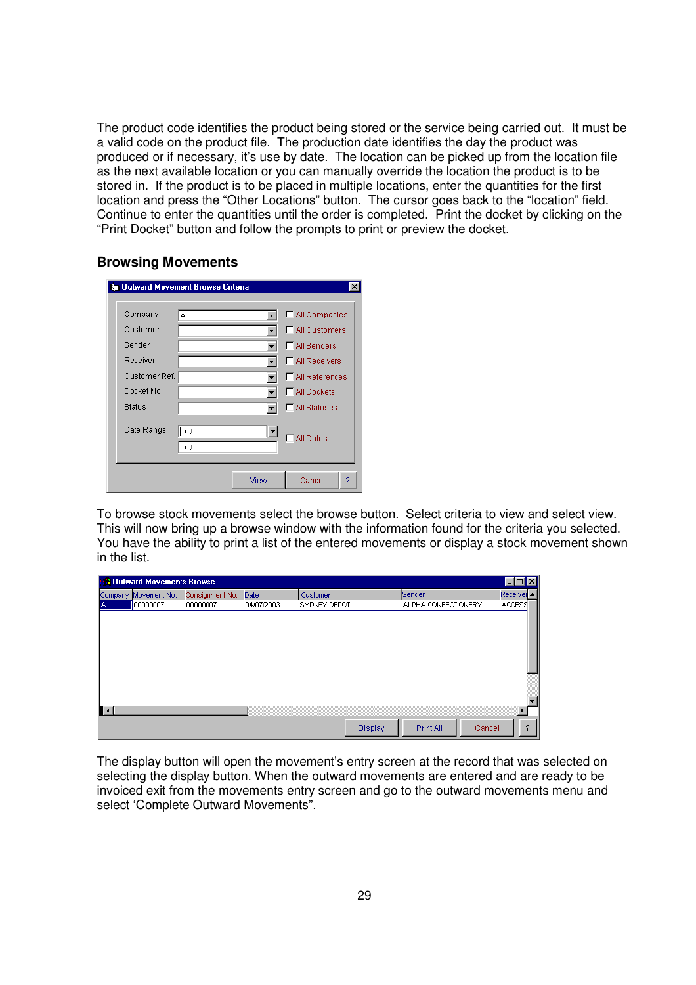The product code identifies the product being stored or the service being carried out. It must be a valid code on the product file. The production date identifies the day the product was produced or if necessary, it's use by date. The location can be picked up from the location file as the next available location or you can manually override the location the product is to be stored in. If the product is to be placed in multiple locations, enter the quantities for the first location and press the "Other Locations" button. The cursor goes back to the "location" field. Continue to enter the quantities until the order is completed. Print the docket by clicking on the "Print Docket" button and follow the prompts to print or preview the docket.

#### **Browsing Movements**

| <b>&amp; Outward Movement Browse Criteria</b> |              |      |                        |
|-----------------------------------------------|--------------|------|------------------------|
| Company                                       | A            |      | MI Companies           |
| Customer                                      |              |      | <b>□ All Customers</b> |
| Sender                                        |              |      | <b>F</b> All Senders   |
| Receiver                                      |              |      | <b>F</b> All Receivers |
| Customer Ref.                                 |              |      | All References         |
| Docket No.                                    |              |      | <b>F</b> All Dockets   |
| Status                                        |              |      | All Statuses           |
| Date Range                                    | ll / /<br>11 |      | <b>All Dates</b>       |
|                                               |              | View | Cancel<br>2            |

To browse stock movements select the browse button. Select criteria to view and select view. This will now bring up a browse window with the information found for the criteria you selected. You have the ability to print a list of the entered movements or display a stock movement shown in the list.

|    | <b>BR</b> Outward Movements Browse |                 |            |              |                     | $\Box$ D $\mathbf{X}$ |
|----|------------------------------------|-----------------|------------|--------------|---------------------|-----------------------|
|    | Company Movement No.               | Consignment No. | Date       | Customer     | Sender              | $Receivei \triangle$  |
|    | 00000007                           | 00000007        | 04/07/2003 | SYDNEY DEPOT | ALPHA CONFECTIONERY | <b>ACCESS</b>         |
|    |                                    |                 |            |              |                     |                       |
|    |                                    |                 |            |              |                     |                       |
|    |                                    |                 |            |              |                     |                       |
|    |                                    |                 |            |              |                     |                       |
|    |                                    |                 |            |              |                     |                       |
|    |                                    |                 |            |              |                     |                       |
|    |                                    |                 |            |              |                     |                       |
|    |                                    |                 |            |              |                     |                       |
| ∎∢ |                                    |                 |            |              |                     |                       |
|    |                                    |                 |            | Display      | Print All           | 2<br>Cancel           |

The display button will open the movement's entry screen at the record that was selected on selecting the display button. When the outward movements are entered and are ready to be invoiced exit from the movements entry screen and go to the outward movements menu and select 'Complete Outward Movements".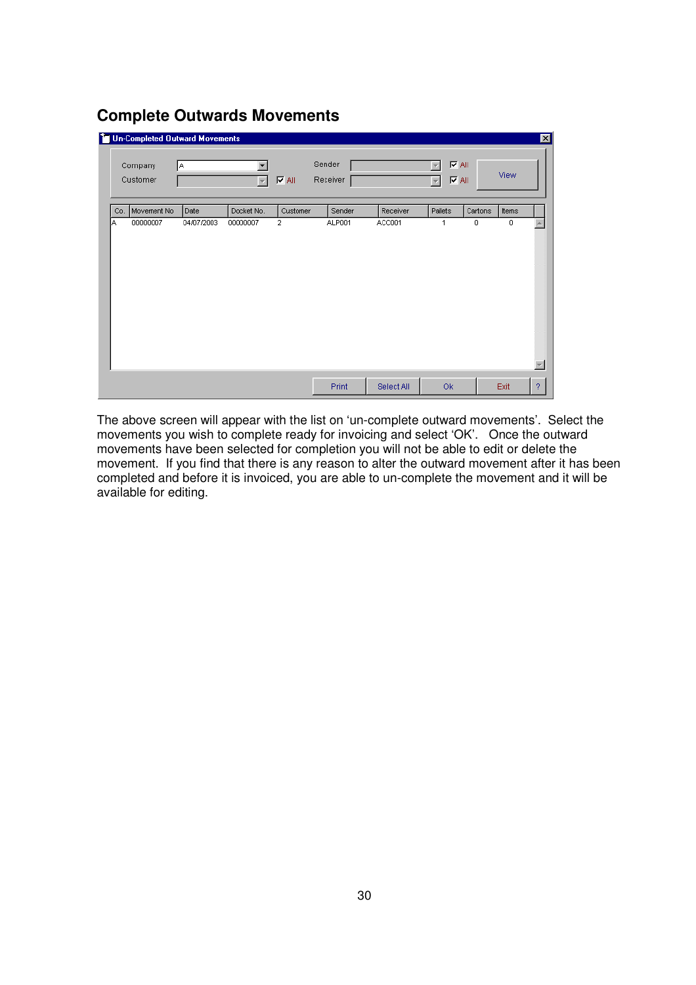## **Complete Outwards Movements**

|     | <sup>7</sup> Un-Completed Outward Movements<br>Company<br>Customer | I٨.        | $\overline{\nabla}$ | $\nabla$ All   | Sender<br>Receiver |            | $\overline{\blacktriangledown}$ All<br>$\nabla$ All<br>$\overline{\nabla}$ |         | View  | ⊠ |
|-----|--------------------------------------------------------------------|------------|---------------------|----------------|--------------------|------------|----------------------------------------------------------------------------|---------|-------|---|
| Co. | Movement No                                                        | Date       | Docket No.          | Customer       | Sender             | Receiver   | Pallets                                                                    | Cartons | Items |   |
| IΑ  | 00000007                                                           | 04/07/2003 | 00000007            | $\overline{2}$ | ALP001             | ACC001     | 1                                                                          | $\circ$ | 0     |   |
|     |                                                                    |            |                     |                | Print              | Select All | Ok                                                                         |         | Exit  | ? |

The above screen will appear with the list on 'un-complete outward movements'. Select the movements you wish to complete ready for invoicing and select 'OK'. Once the outward movements have been selected for completion you will not be able to edit or delete the movement. If you find that there is any reason to alter the outward movement after it has been completed and before it is invoiced, you are able to un-complete the movement and it will be available for editing.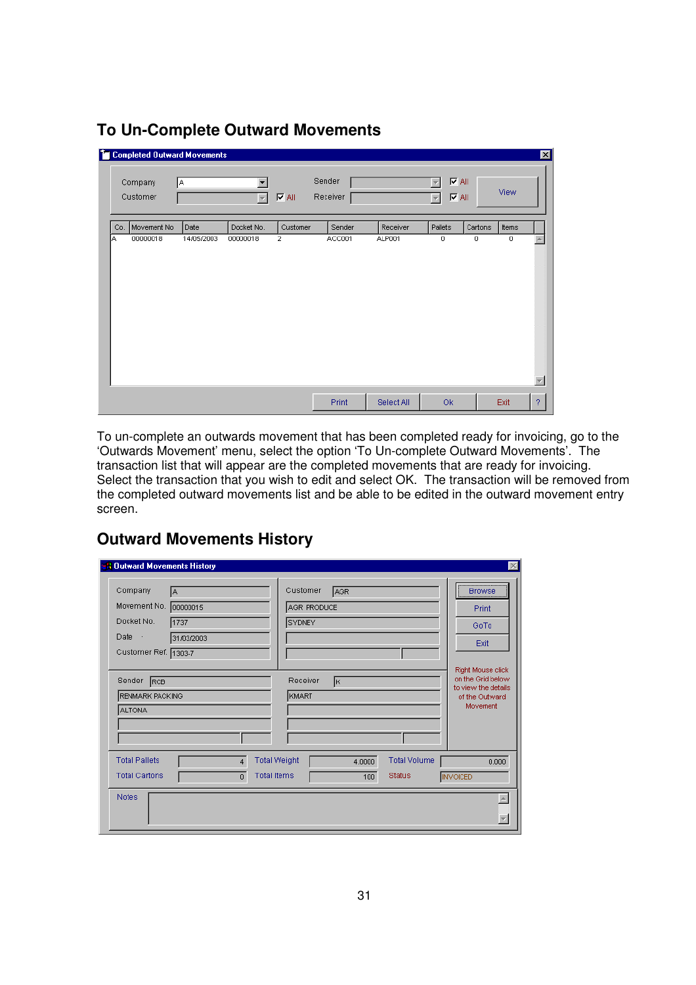|     | <sup>2</sup> Completed Outward Movements<br>Company<br>Customer | I٨.        | $\overline{\phantom{a}}$ | $\nabla$ All   | Sender<br>Receiver |            | $\nabla$ All<br><b>IZAII</b><br>$\overline{\nabla}$ |         | View  | 図 |
|-----|-----------------------------------------------------------------|------------|--------------------------|----------------|--------------------|------------|-----------------------------------------------------|---------|-------|---|
| Co. | Movement No                                                     | Date       | Docket No.               | Customer       | Sender             | Receiver   | Pallets                                             | Cartons | Items |   |
| ١A  | 00000018                                                        | 14/05/2003 | 00000018                 | $\overline{2}$ | ACC001             | ALP001     | $\mathbf 0$                                         | 0       | 0     |   |
|     |                                                                 |            |                          |                | Print              | Select All | Ok                                                  |         | Exit  | ? |

## **To Un-Complete Outward Movements**

To un-complete an outwards movement that has been completed ready for invoicing, go to the 'Outwards Movement' menu, select the option 'To Un-complete Outward Movements'. The transaction list that will appear are the completed movements that are ready for invoicing. Select the transaction that you wish to edit and select OK. The transaction will be removed from the completed outward movements list and be able to be edited in the outward movement entry screen.

## **Outward Movements History**

| <b>A Outward Movements History</b>                                                                                            | $\overline{\mathbb{X}}$                                                                                                 |
|-------------------------------------------------------------------------------------------------------------------------------|-------------------------------------------------------------------------------------------------------------------------|
| Company<br>IА<br>Movement No.<br>00000015<br>Docket No.<br>1737<br>Date<br>$\sim$<br>31/03/2003<br>Customer Ref. 1303-7       | <br>Customer<br>AGR.<br><b>Browse</b><br>AGR PRODUCE<br>Print<br><b>SYDNEY</b><br>GoTo<br>Exit                          |
| Sender<br>RCB<br>RENMARK PACKING<br><b>ALTONA</b>                                                                             | Right Mouse click<br>on the Grid below<br>Receiver<br>Įк.<br>to view the details<br>KMART<br>of the Outward<br>Movement |
| <b>Total Pallets</b><br><b>Total Weight</b><br>$\overline{4}$<br><b>Total Items</b><br><b>Total Cartons</b><br>$\overline{0}$ | <b>Total Volume</b><br>4.0000<br>0.000<br><b>Status</b><br><b>INVOICED</b><br>100                                       |
| <b>Notes</b>                                                                                                                  |                                                                                                                         |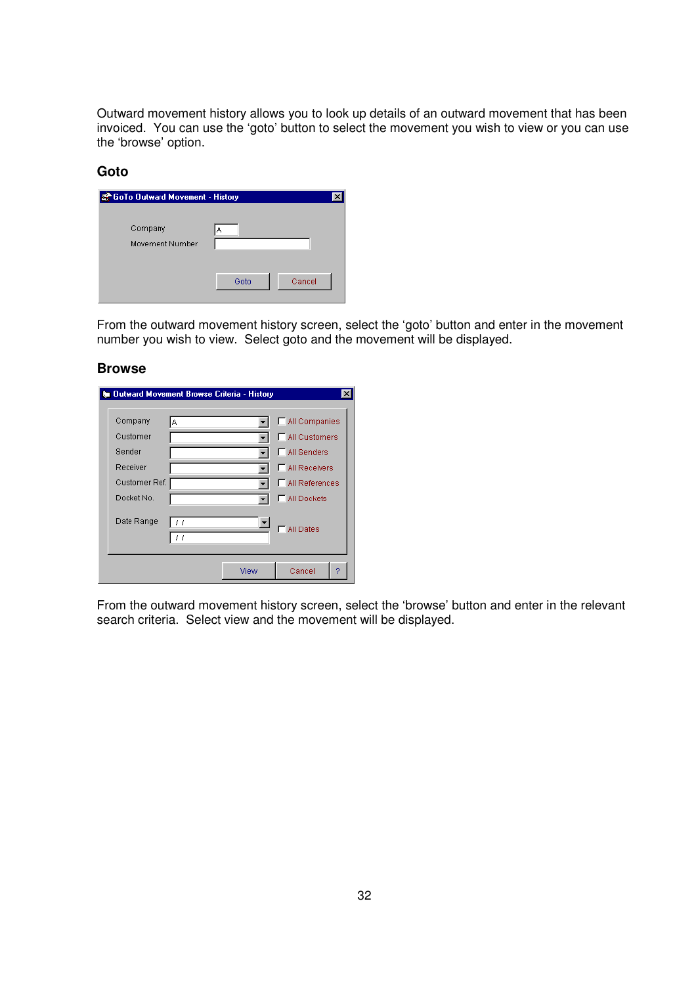Outward movement history allows you to look up details of an outward movement that has been invoiced. You can use the 'goto' button to select the movement you wish to view or you can use the 'browse' option.

#### **Goto**

| GoTo Outward Movement - History |      |        |  |  |  |  |
|---------------------------------|------|--------|--|--|--|--|
| Company<br>Movement Number      | А    |        |  |  |  |  |
|                                 | Goto | Cancel |  |  |  |  |

From the outward movement history screen, select the 'goto' button and enter in the movement number you wish to view. Select goto and the movement will be displayed.

#### **Browse**

|                                           |                      | <b>&amp; Outward Movement Browse Criteria - History</b> |                                                                                                  |
|-------------------------------------------|----------------------|---------------------------------------------------------|--------------------------------------------------------------------------------------------------|
| Company<br>Customer<br>Sender<br>Receiver | ΙA.<br>Customer Ref. |                                                         | MI Companies<br>All Customers<br><b>F</b> All Senders<br>MI Receivers<br><b>□ All References</b> |
| Docket No.                                |                      |                                                         | All Dockets                                                                                      |
| Date Range                                | 11<br>11             |                                                         | <b>All Dates</b>                                                                                 |
|                                           |                      | View                                                    | Cancel<br>2                                                                                      |

From the outward movement history screen, select the 'browse' button and enter in the relevant search criteria. Select view and the movement will be displayed.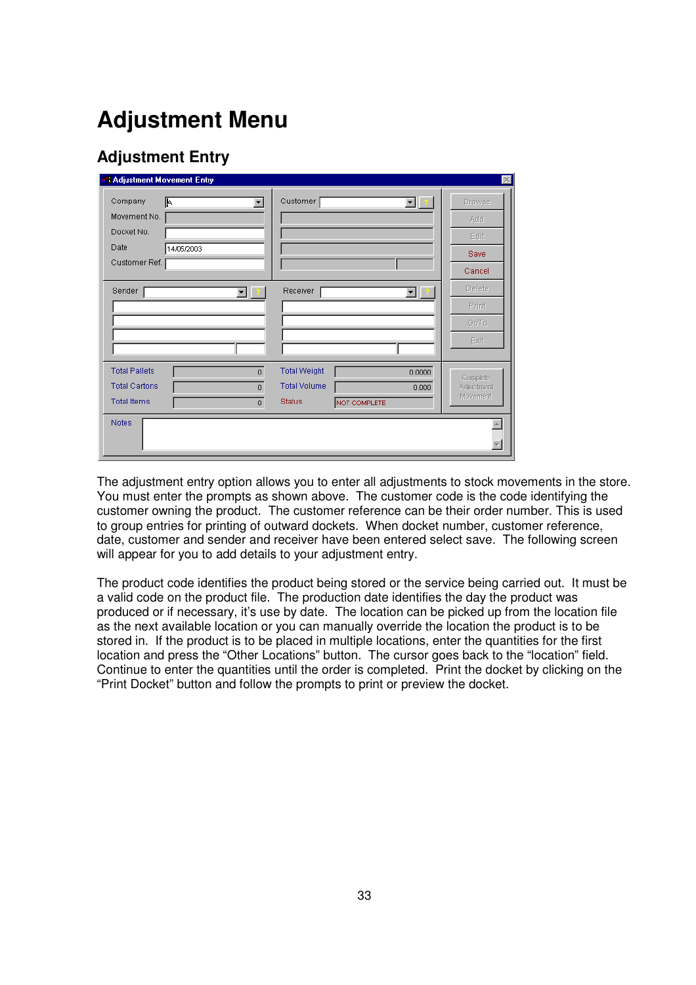## **Adjustment Menu**

## **Adjustment Entry**

| <b>A Adjustment Movement Entry</b>                                                                                                   |                                                                                                | $\propto$                                      |
|--------------------------------------------------------------------------------------------------------------------------------------|------------------------------------------------------------------------------------------------|------------------------------------------------|
| Company<br>F<br>Movement No.<br>Docket No.<br>Date<br>14/05/2003<br>Customer Ref.                                                    | Customer<br>$\blacksquare$                                                                     | <b>Browse</b><br>Add<br>Edit<br>Save<br>Cancel |
| Sender<br>▾▏                                                                                                                         | Receiver<br>┳                                                                                  | <b>Delete</b><br>Print<br>GoTo<br>Exit         |
| <b>Total Pallets</b><br>$\overline{0}$<br><b>Total Cartons</b><br>$\mathbf{0}$<br><b>Total Items</b><br>$\mathbf{0}$<br><b>Notes</b> | <b>Total Weight</b><br>0.0000<br><b>Total Volume</b><br>0.000<br><b>Status</b><br>NOT COMPLETE | Complete<br>Adjustment<br>Movement             |
|                                                                                                                                      |                                                                                                |                                                |

The adjustment entry option allows you to enter all adjustments to stock movements in the store. You must enter the prompts as shown above. The customer code is the code identifying the customer owning the product. The customer reference can be their order number. This is used to group entries for printing of outward dockets. When docket number, customer reference, date, customer and sender and receiver have been entered select save. The following screen will appear for you to add details to your adjustment entry.

The product code identifies the product being stored or the service being carried out. It must be a valid code on the product file. The production date identifies the day the product was produced or if necessary, it's use by date. The location can be picked up from the location file as the next available location or you can manually override the location the product is to be stored in. If the product is to be placed in multiple locations, enter the quantities for the first location and press the "Other Locations" button. The cursor goes back to the "location" field. Continue to enter the quantities until the order is completed. Print the docket by clicking on the "Print Docket" button and follow the prompts to print or preview the docket.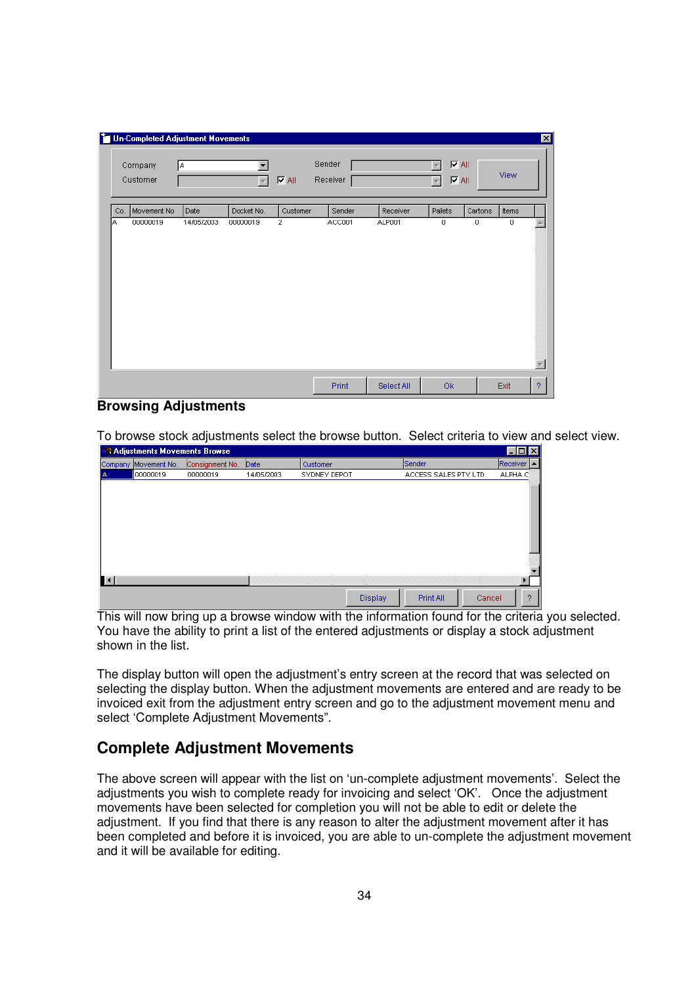|     | <b>To Un-Completed Adjustment Movements</b> |            |                          |                |                    |            |                                                                            |         |             | $\vert x \vert$ |
|-----|---------------------------------------------|------------|--------------------------|----------------|--------------------|------------|----------------------------------------------------------------------------|---------|-------------|-----------------|
|     | Company<br>Customer                         | İΑ.        | $\overline{\phantom{a}}$ | $\nabla$ All   | Sender<br>Receiver |            | $\overline{\blacktriangledown}$ All<br>$\nabla$ All<br>$\overline{\nabla}$ |         | View        |                 |
| Co. | Movement No                                 | Date       | Docket No.               | Customer       | Sender             | Receiver   | Pallets                                                                    | Cartons | Items       |                 |
| A   | 00000019                                    | 14/05/2003 | 00000019                 | $\overline{2}$ | ACC001             | ALP001     | $\mathbf 0$                                                                | 0       | $\mathbf 0$ |                 |
|     |                                             |            |                          |                |                    |            |                                                                            |         |             |                 |
|     |                                             |            |                          |                | Print              | Select All | Ok                                                                         |         | Exit        | $\mathcal{P}$   |

#### **Browsing Adjustments**

To browse stock adjustments select the browse button. Select criteria to view and select view.

|                | <b>A Adjustments Movements Browse</b> |                 |            |              |         |                      |        | $\Box$ d $\times$ |
|----------------|---------------------------------------|-----------------|------------|--------------|---------|----------------------|--------|-------------------|
|                | Company Movement No.                  | Consignment No. | Date       | Customer     |         | Sender               |        | Receiver   ▲      |
|                | 00000019                              | 00000019        | 14/05/2003 | SYDNEY DEPOT |         | ACCESS SALES PTY LTD |        | ALPHA C           |
|                |                                       |                 |            |              |         |                      |        |                   |
|                |                                       |                 |            |              |         |                      |        |                   |
|                |                                       |                 |            |              |         |                      |        |                   |
|                |                                       |                 |            |              |         |                      |        |                   |
|                |                                       |                 |            |              |         |                      |        |                   |
|                |                                       |                 |            |              |         |                      |        |                   |
|                |                                       |                 |            |              |         |                      |        |                   |
|                |                                       |                 |            |              |         |                      |        |                   |
| $\blacksquare$ |                                       |                 |            |              |         |                      |        |                   |
|                |                                       |                 |            |              | Display | Print All            | Cancel | 2                 |

This will now bring up a browse window with the information found for the criteria you selected. You have the ability to print a list of the entered adjustments or display a stock adjustment shown in the list.

The display button will open the adjustment's entry screen at the record that was selected on selecting the display button. When the adjustment movements are entered and are ready to be invoiced exit from the adjustment entry screen and go to the adjustment movement menu and select 'Complete Adjustment Movements".

### **Complete Adjustment Movements**

The above screen will appear with the list on 'un-complete adjustment movements'. Select the adjustments you wish to complete ready for invoicing and select 'OK'. Once the adjustment movements have been selected for completion you will not be able to edit or delete the adjustment. If you find that there is any reason to alter the adjustment movement after it has been completed and before it is invoiced, you are able to un-complete the adjustment movement and it will be available for editing.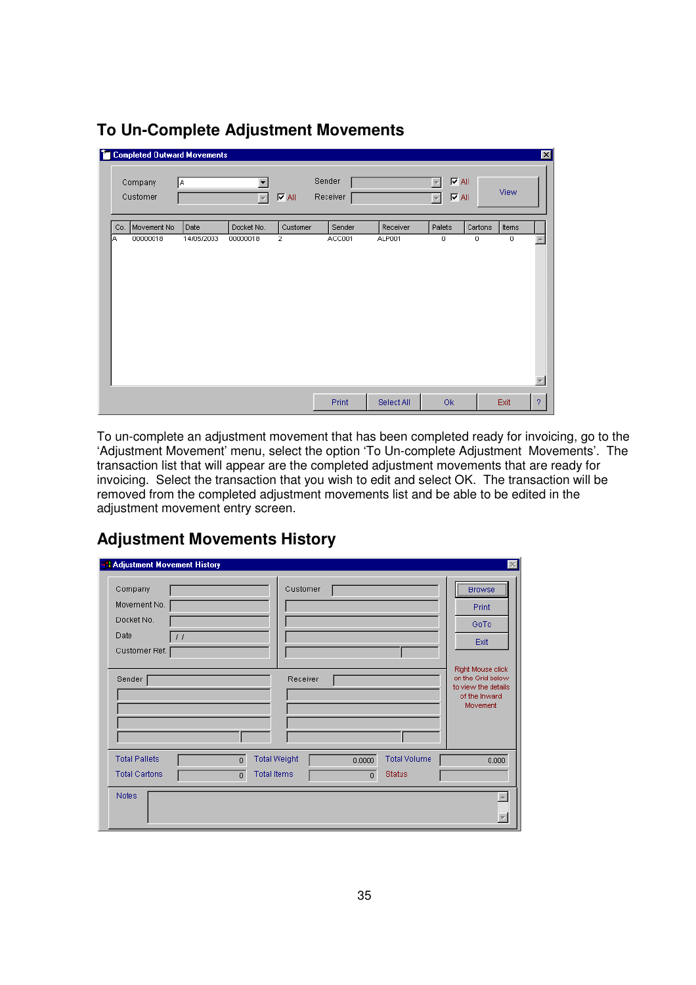|     | <sup>2</sup> Completed Outward Movements<br>Company<br>Customer | ΙA.        | $\overline{\phantom{m}}$ | $\nabla$ All   | Sender<br>Receiver |            | $\nabla$ All<br><b>I</b> ⊽ All<br>÷ |         | View  | 図 |
|-----|-----------------------------------------------------------------|------------|--------------------------|----------------|--------------------|------------|-------------------------------------|---------|-------|---|
| Co. | Movement No                                                     | Date       | Docket No.               | Customer       | Sender             | Receiver   | Pallets                             | Cartons | Items |   |
| ΙA. | 00000018                                                        | 14/05/2003 | 00000018                 | $\overline{2}$ | ACC001             | ALP001     | $\mathbf 0$                         | 0       | 0     |   |
|     |                                                                 |            |                          |                | Print              | Select All | Ok                                  |         | Exit  | ? |

## **To Un-Complete Adjustment Movements**

To un-complete an adjustment movement that has been completed ready for invoicing, go to the 'Adjustment Movement' menu, select the option 'To Un-complete Adjustment Movements'. The transaction list that will appear are the completed adjustment movements that are ready for invoicing. Select the transaction that you wish to edit and select OK. The transaction will be removed from the completed adjustment movements list and be able to be edited in the adjustment movement entry screen.

## **Adjustment Movements History**

| <b>A Adjustment Movement History</b>                                                                                                                                       | $\times$                                                                                   |
|----------------------------------------------------------------------------------------------------------------------------------------------------------------------------|--------------------------------------------------------------------------------------------|
| Company<br>Customer<br>Movement No.<br>Docket No.<br>Date<br>$\left  \right $<br>Customer Ref.                                                                             | <br><b>Browse</b><br>Print<br>GoTo<br>Exit                                                 |
| Sender<br>Receiver                                                                                                                                                         | Right Mouse click<br>on the Grid below<br>to view the details<br>of the Inward<br>Movement |
| <b>Total Weight</b><br><b>Total Pallets</b><br>0.0000<br>$\overline{0}$<br><b>Total Cartons</b><br><b>Total Items</b><br><b>Status</b><br>$\overline{0}$<br>$\overline{0}$ | <b>Total Volume</b><br>0.000                                                               |
| <b>Notes</b>                                                                                                                                                               |                                                                                            |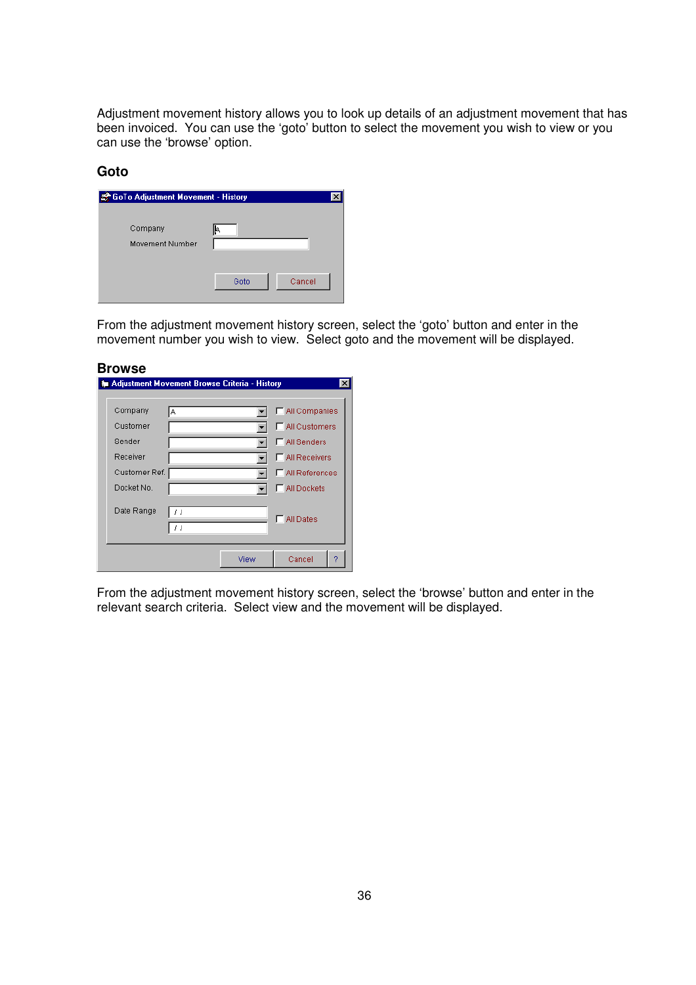Adjustment movement history allows you to look up details of an adjustment movement that has been invoiced. You can use the 'goto' button to select the movement you wish to view or you can use the 'browse' option.

#### **Goto**

| <b>E</b> GoTo Adjustment Movement - History |      |        |  |  |
|---------------------------------------------|------|--------|--|--|
| Company<br>Movement Number                  | I۴   |        |  |  |
|                                             | Goto | Cancel |  |  |

From the adjustment movement history screen, select the 'goto' button and enter in the movement number you wish to view. Select goto and the movement will be displayed.

| <b>Browse</b> |          |                                                            |                        |
|---------------|----------|------------------------------------------------------------|------------------------|
|               |          | <b>&amp; Adjustment Movement Browse Criteria - History</b> | $\times$               |
| Company       | Α        |                                                            | MI Companies           |
| Customer      |          |                                                            | <b>□ All Customers</b> |
| Sender        |          |                                                            | MI Senders             |
| Receiver      |          |                                                            | <b>NII Receivers</b>   |
| Customer Ref. |          |                                                            | All References         |
| Docket No.    |          |                                                            | MI Dockets             |
| Date Range    | 11<br>11 |                                                            | All Dates              |
|               |          | View                                                       | 2<br>Cancel            |

From the adjustment movement history screen, select the 'browse' button and enter in the relevant search criteria. Select view and the movement will be displayed.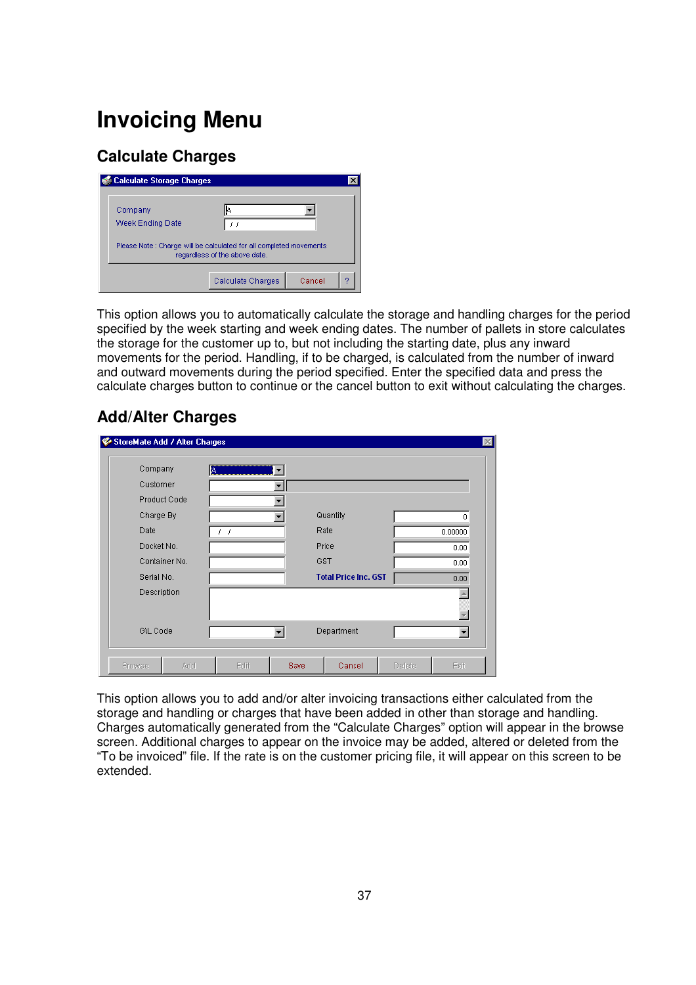## **Invoicing Menu**

## **Calculate Charges**

| <b>Calculate Storage Charges</b> |                                                                                                     |  |
|----------------------------------|-----------------------------------------------------------------------------------------------------|--|
| Company<br>Week Ending Date      |                                                                                                     |  |
|                                  | Please Note: Charge will be calculated for all completed movements<br>regardless of the above date. |  |
|                                  | Calculate Charges<br>Cancel                                                                         |  |

This option allows you to automatically calculate the storage and handling charges for the period specified by the week starting and week ending dates. The number of pallets in store calculates the storage for the customer up to, but not including the starting date, plus any inward movements for the period. Handling, if to be charged, is calculated from the number of inward and outward movements during the period specified. Enter the specified data and press the calculate charges button to continue or the cancel button to exit without calculating the charges.

## **Add/Alter Charges**

|               | C StoreMate Add / Alter Charges |      |      |                             |        |                   |
|---------------|---------------------------------|------|------|-----------------------------|--------|-------------------|
| Company       | ļΑ,                             |      |      |                             |        |                   |
| Customer      |                                 |      |      |                             |        |                   |
| Product Code  |                                 |      |      |                             |        |                   |
| Charge By     |                                 |      |      | Quantity                    |        | 0                 |
| Date          |                                 | - 1  |      | Rate                        |        | 0.00000           |
| Docket No.    |                                 |      |      | Price                       |        | 0.00              |
| Container No. |                                 |      |      | GST                         |        | 0.00              |
| Serial No.    |                                 |      |      | <b>Total Price Inc. GST</b> |        | 0.00 <sub>1</sub> |
| Description   |                                 |      |      |                             |        |                   |
|               |                                 |      |      |                             |        |                   |
| G\L Code      |                                 |      |      | Department                  |        |                   |
| <b>Browse</b> | Add                             | Edit | Save | Cancel                      | Delete | Exit              |

This option allows you to add and/or alter invoicing transactions either calculated from the storage and handling or charges that have been added in other than storage and handling. Charges automatically generated from the "Calculate Charges" option will appear in the browse screen. Additional charges to appear on the invoice may be added, altered or deleted from the "To be invoiced" file. If the rate is on the customer pricing file, it will appear on this screen to be extended.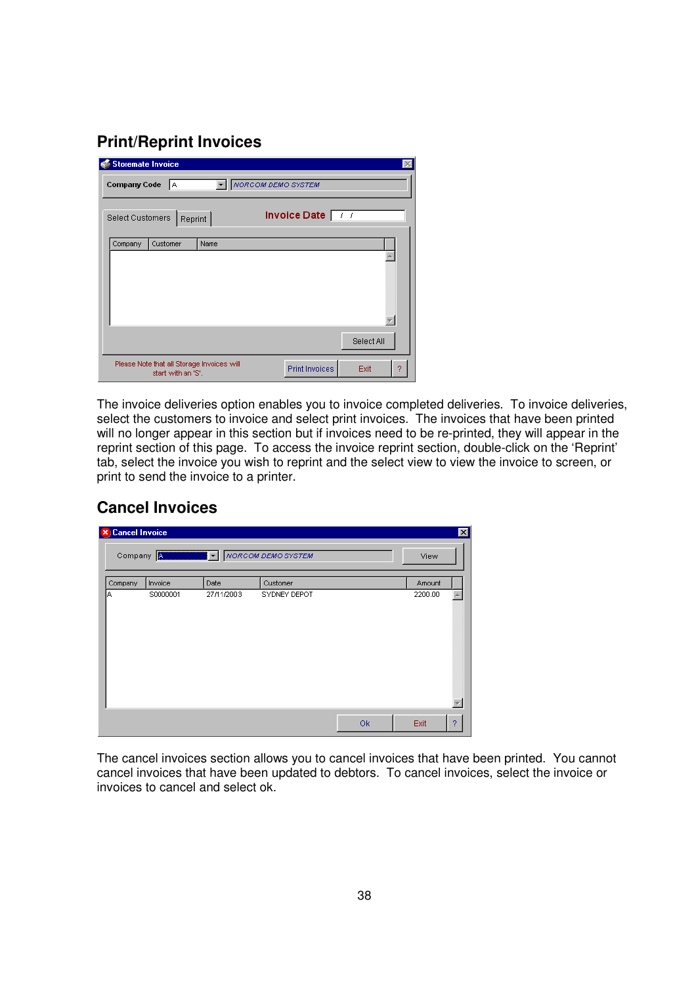## **Print/Reprint Invoices**

|                  | <b>Storemate Invoice</b>                                         |      |  |                 |            |   |
|------------------|------------------------------------------------------------------|------|--|-----------------|------------|---|
|                  | <b>Company Code</b><br><b>NORCOM DEMO SYSTEM</b><br>IA.          |      |  |                 |            |   |
| Select Customers | Reprint                                                          |      |  | Invoice Date 77 |            |   |
| Company          | Customer                                                         | Name |  |                 |            |   |
|                  |                                                                  |      |  |                 |            |   |
|                  |                                                                  |      |  |                 |            |   |
|                  |                                                                  |      |  |                 | Select All |   |
|                  | Please Note that all Storage Invoices will<br>start with an 'S'. |      |  | Print Invoices  | Exit       | 9 |

The invoice deliveries option enables you to invoice completed deliveries. To invoice deliveries, select the customers to invoice and select print invoices. The invoices that have been printed will no longer appear in this section but if invoices need to be re-printed, they will appear in the reprint section of this page. To access the invoice reprint section, double-click on the 'Reprint' tab, select the invoice you wish to reprint and the select view to view the invoice to screen, or print to send the invoice to a printer.

## **Cancel Invoices**

| <b>X</b> Cancel Invoice |                                   |            |                                   |    | ⊠         |
|-------------------------|-----------------------------------|------------|-----------------------------------|----|-----------|
|                         | Company <b>All Marian Company</b> |            | <b>WINCH Y</b> NORCOM DEMO SYSTEM |    | View      |
| Company                 | Invoice                           | Date       | Customer                          |    | Amount    |
| IΑ                      | S0000001                          | 27/11/2003 | SYDNEY DEPOT                      |    | 2200.00   |
|                         |                                   |            |                                   |    |           |
|                         |                                   |            |                                   |    |           |
|                         |                                   |            |                                   |    |           |
|                         |                                   |            |                                   |    |           |
|                         |                                   |            |                                   |    |           |
|                         |                                   |            |                                   |    |           |
|                         |                                   |            |                                   |    |           |
|                         |                                   |            |                                   | Ok | Exit<br>2 |

The cancel invoices section allows you to cancel invoices that have been printed. You cannot cancel invoices that have been updated to debtors. To cancel invoices, select the invoice or invoices to cancel and select ok.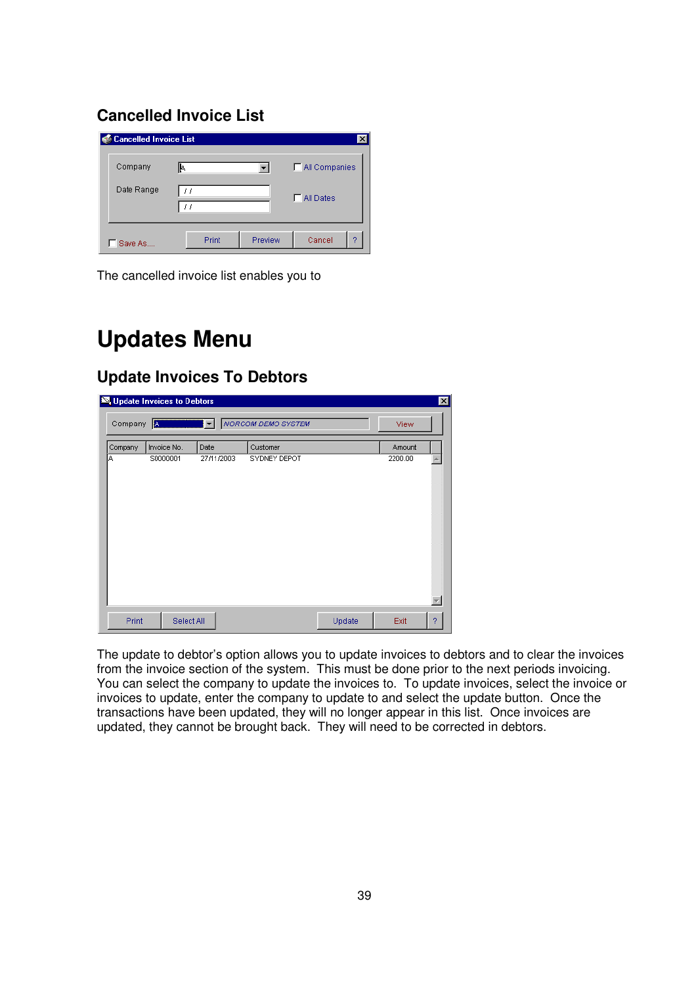## **Cancelled Invoice List**

| <b>Cancelled Invoice List</b> |       |         | $\times$           |
|-------------------------------|-------|---------|--------------------|
| Company                       | I۴.   |         | MI Companies       |
| Date Range                    |       |         | <b>F</b> All Dates |
| Save As.,                     | Print | Preview | Cancel<br>9        |

The cancelled invoice list enables you to

## **Updates Menu**

## **Update Invoices To Debtors**

| <b>So</b> Update Invoices to Debtors |             |                          |                           |        | 図         |  |
|--------------------------------------|-------------|--------------------------|---------------------------|--------|-----------|--|
| Company                              | IA.         | $\vert \mathbf{v} \vert$ | <b>NORCOM DEMO SYSTEM</b> |        | View      |  |
| Company                              | Invoice No. | Date                     | Customer                  |        | Amount    |  |
| A                                    | S0000001    | 27/11/2003               | SYDNEY DEPOT              |        | 2200.00   |  |
| Print                                | Select All  |                          |                           | Update | Exit<br>2 |  |

The update to debtor's option allows you to update invoices to debtors and to clear the invoices from the invoice section of the system. This must be done prior to the next periods invoicing. You can select the company to update the invoices to. To update invoices, select the invoice or invoices to update, enter the company to update to and select the update button. Once the transactions have been updated, they will no longer appear in this list. Once invoices are updated, they cannot be brought back. They will need to be corrected in debtors.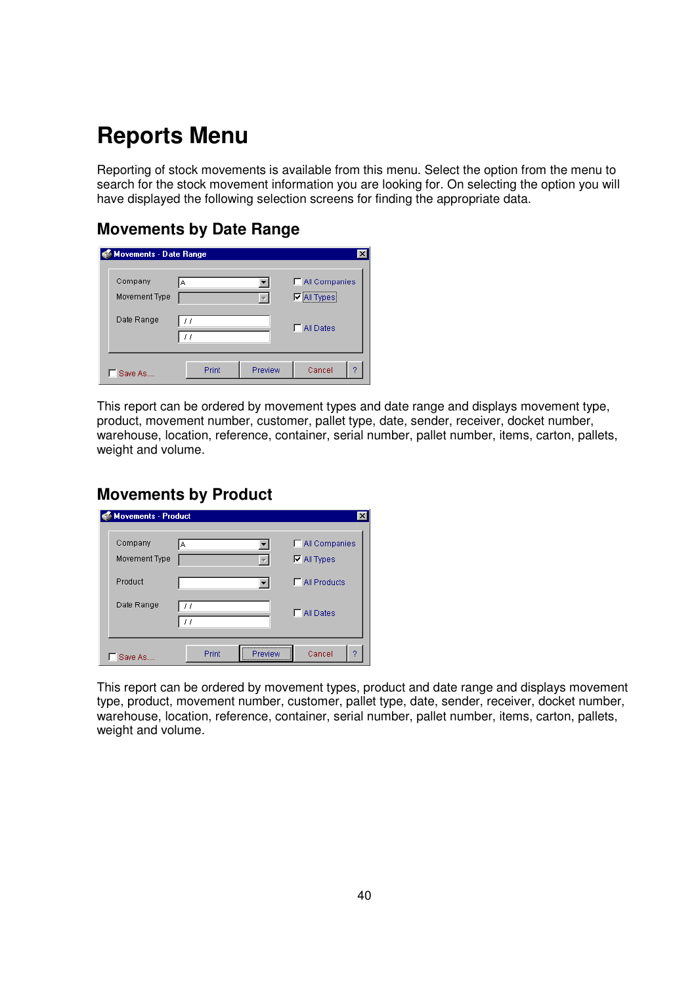## **Reports Menu**

Reporting of stock movements is available from this menu. Select the option from the menu to search for the stock movement information you are looking for. On selecting the option you will have displayed the following selection screens for finding the appropriate data.

## **Movements by Date Range**

| Movements - Date Range   |       |         |                                    |
|--------------------------|-------|---------|------------------------------------|
| Company<br>Movement Type | A     |         | MI Companies<br><b>▽ All Types</b> |
| Date Range               |       |         | <b>F</b> All Dates                 |
| Save As                  | Print | Preview | Cancel<br>0                        |

This report can be ordered by movement types and date range and displays movement type, product, movement number, customer, pallet type, date, sender, receiver, docket number, warehouse, location, reference, container, serial number, pallet number, items, carton, pallets, weight and volume.

### **Movements by Product**

| <b>Movements - Product</b> |                                                         |                                              |
|----------------------------|---------------------------------------------------------|----------------------------------------------|
| Company<br>Movement Type   | A                                                       | <b>□</b> All Companies<br>$\nabla$ All Types |
| Product                    |                                                         | $\Box$ All Products                          |
| Date Range                 | $\prime$ $\prime$<br>11                                 | <b>F</b> All Dates                           |
| Save As                    | ,,,,,,,,,,,,,,,,,,,,,,,,,,,,,,,<br>Print<br>Preview<br> | Cancel<br>ŋ                                  |

This report can be ordered by movement types, product and date range and displays movement type, product, movement number, customer, pallet type, date, sender, receiver, docket number, warehouse, location, reference, container, serial number, pallet number, items, carton, pallets, weight and volume.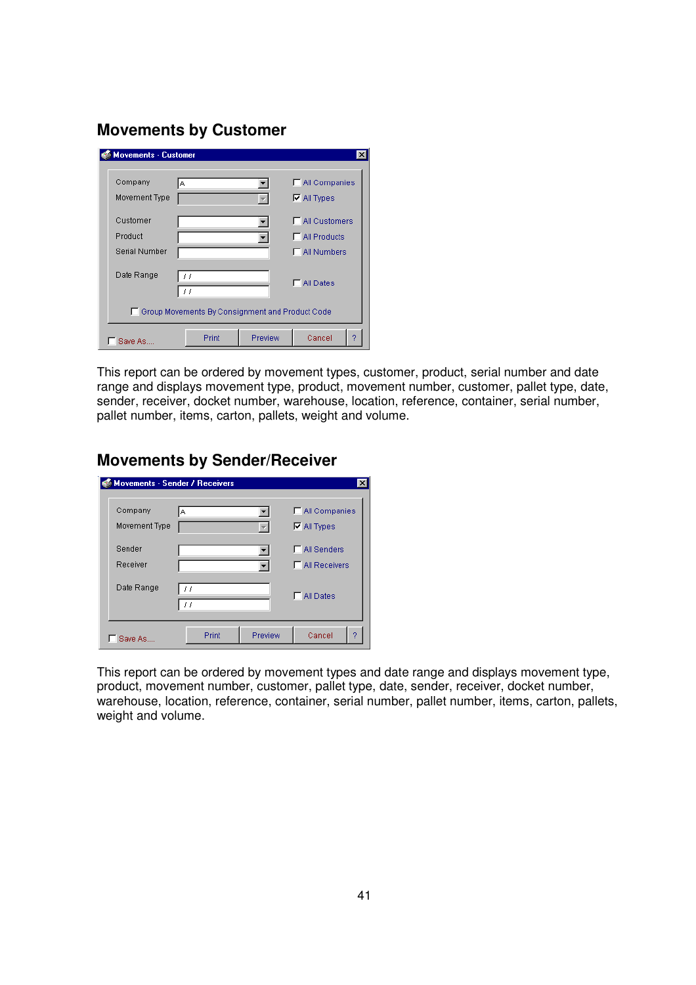### **Movements by Customer**

| <b>Movements - Customer</b> |                                                   |         | ×                      |
|-----------------------------|---------------------------------------------------|---------|------------------------|
| Company                     | A                                                 |         | <b>□</b> All Companies |
| Movement Type               |                                                   |         | $\nabla$ All Types     |
| Customer                    |                                                   |         | All Customers<br>⊓     |
| Product                     |                                                   |         | <b>F</b> All Products  |
| Serial Number               |                                                   |         | <b>NII Numbers</b>     |
| Date Range                  | 11<br>$\int f$                                    |         | All Dates              |
|                             | □ Group Movements By Consignment and Product Code |         |                        |
| Save As.                    | Print                                             | Preview | Cancel                 |

This report can be ordered by movement types, customer, product, serial number and date range and displays movement type, product, movement number, customer, pallet type, date, sender, receiver, docket number, warehouse, location, reference, container, serial number, pallet number, items, carton, pallets, weight and volume.

## **Movements by Sender/Receiver**

| <b>Movements - Sender / Receivers</b> |                  | $\times$                                     |
|---------------------------------------|------------------|----------------------------------------------|
| Company<br>Movement Type              | A                | <b>□</b> All Companies<br>$\nabla$ All Types |
| Sender<br>Receiver                    |                  | MI Senders<br><b>F</b> All Receivers         |
| Date Range                            | 11<br>11         | <b>F</b> All Dates                           |
| Save As                               | Preview<br>Print | Cancel<br>2                                  |

This report can be ordered by movement types and date range and displays movement type, product, movement number, customer, pallet type, date, sender, receiver, docket number, warehouse, location, reference, container, serial number, pallet number, items, carton, pallets, weight and volume.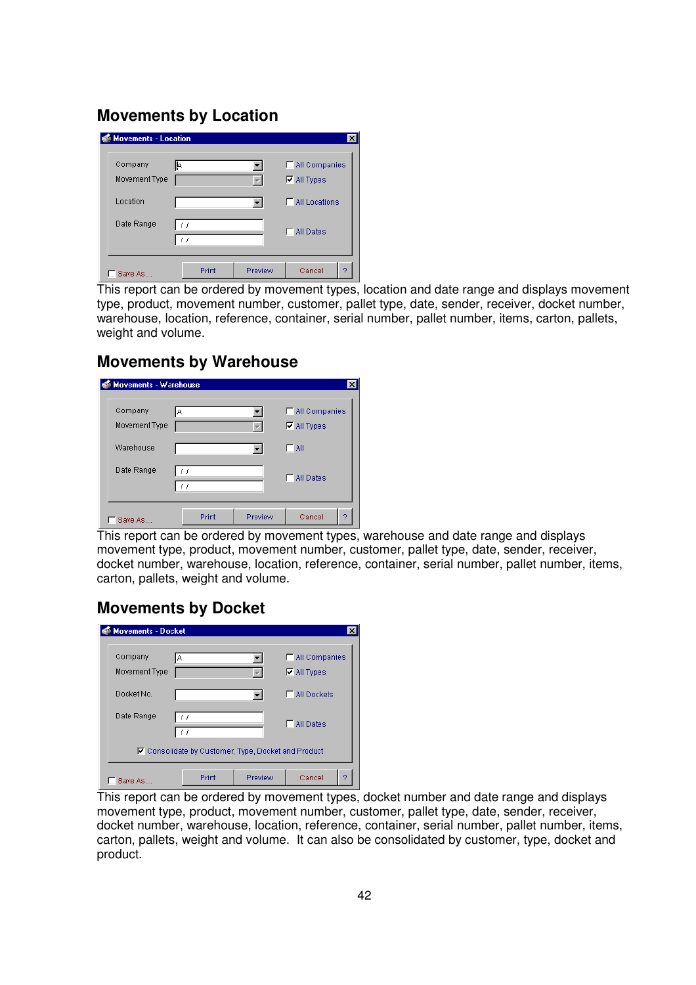## **Movements by Location**

| Company       | I۴. |  | MI Companies           |
|---------------|-----|--|------------------------|
| Movement Type |     |  | $\nabla$ All Types     |
| Location      |     |  | <b>F</b> All Locations |
| Date Range    | 11  |  | All Dates              |
|               | 11  |  |                        |

This report can be ordered by movement types, location and date range and displays movement type, product, movement number, customer, pallet type, date, sender, receiver, docket number, warehouse, location, reference, container, serial number, pallet number, items, carton, pallets, weight and volume.

### **Movements by Warehouse**

| Company       | A  | MI Companies       |
|---------------|----|--------------------|
| Movement Type |    | $\nabla$ All Types |
| Warehouse     |    | $\Box$ All         |
| Date Range    | 11 | <b>F</b> All Dates |

This report can be ordered by movement types, warehouse and date range and displays movement type, product, movement number, customer, pallet type, date, sender, receiver, docket number, warehouse, location, reference, container, serial number, pallet number, items, carton, pallets, weight and volume.

## **Movements by Docket**

| <b>Movements - Docket</b> |                                                     |         |                                       |
|---------------------------|-----------------------------------------------------|---------|---------------------------------------|
| Company<br>Movement Type  | А                                                   |         | □ All Companies<br>$\nabla$ All Types |
| Docket No.                |                                                     |         | <b>□ All Dockets</b>                  |
| Date Range                | H<br>$\left  \cdot \right $                         |         | <b>All Dates</b>                      |
|                           | 区 Consolidate by Customer, Type, Docket and Product |         |                                       |
| Save As.                  | Print                                               | Preview | Cancel                                |

This report can be ordered by movement types, docket number and date range and displays movement type, product, movement number, customer, pallet type, date, sender, receiver, docket number, warehouse, location, reference, container, serial number, pallet number, items, carton, pallets, weight and volume. It can also be consolidated by customer, type, docket and product.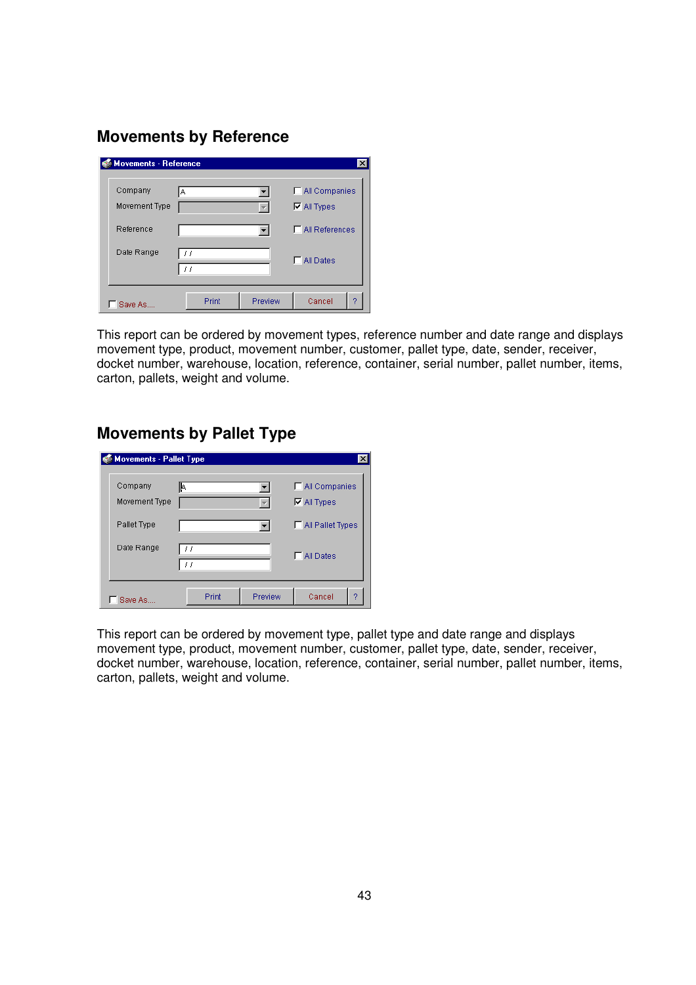## **Movements by Reference**

| <b>Movements - Reference</b> |                        |         | $\times$              |
|------------------------------|------------------------|---------|-----------------------|
| Company                      | A                      |         | MI Companies          |
| Movement Type                |                        |         | $\nabla$ All Types    |
| Reference                    |                        |         | $\Box$ All References |
| Date Range                   | $\left  \cdot \right $ |         | MI Dates              |
|                              |                        |         |                       |
| Save As                      | Print                  | Preview | Cancel<br>2           |

This report can be ordered by movement types, reference number and date range and displays movement type, product, movement number, customer, pallet type, date, sender, receiver, docket number, warehouse, location, reference, container, serial number, pallet number, items, carton, pallets, weight and volume.

## **Movements by Pallet Type**

| <b>Movements - Pallet Type</b> |                         |                                    |
|--------------------------------|-------------------------|------------------------------------|
| Company<br>Movement Type       | I۴                      | MI Companies<br>$\nabla$ All Types |
| Pallet Type                    |                         | MI Pallet Types                    |
| Date Range                     | $\prime$ $\prime$<br>11 | <b>FIAILDates</b>                  |
| Save As                        | Print                   | Cancel<br>Preview<br>2             |

This report can be ordered by movement type, pallet type and date range and displays movement type, product, movement number, customer, pallet type, date, sender, receiver, docket number, warehouse, location, reference, container, serial number, pallet number, items, carton, pallets, weight and volume.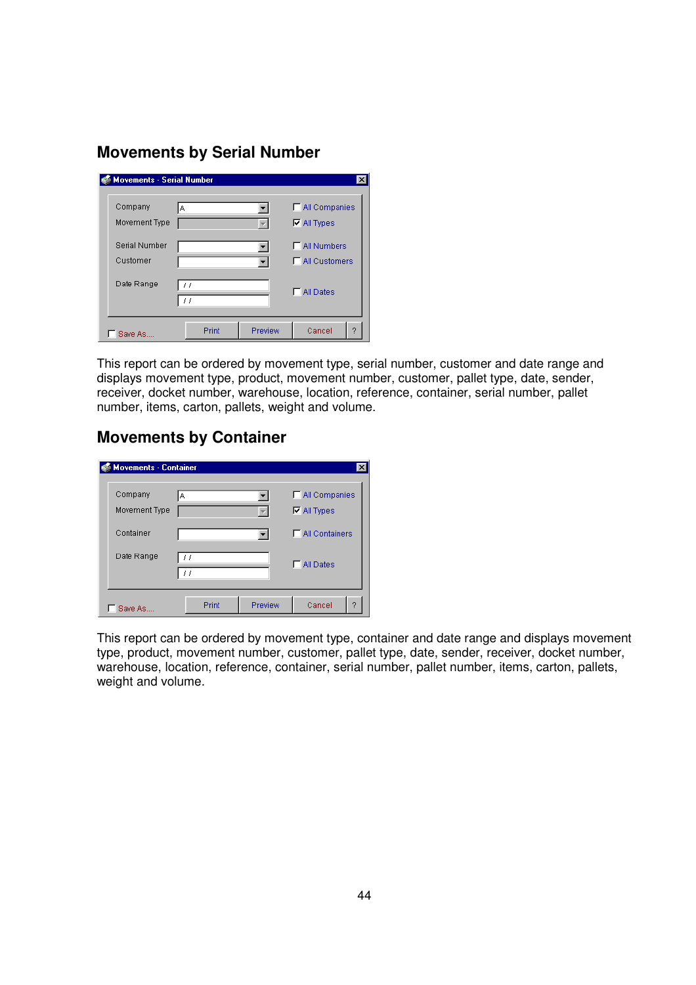## **Movements by Serial Number**

| <b>Movements - Serial Number</b> |                                                  |         | $\times$               |
|----------------------------------|--------------------------------------------------|---------|------------------------|
| Company                          | A                                                |         | □ All Companies        |
| Movement Type                    |                                                  |         | $\nabla$ All Types     |
| <b>Serial Number</b>             |                                                  |         | MI Numbers             |
| Customer                         |                                                  |         | <b>F</b> All Customers |
| Date Range                       | $\left  \cdot \right $<br>$\left  \cdot \right $ |         | MI Dates               |
|                                  |                                                  |         |                        |
| Save As                          | Print                                            | Preview | Cancel<br>o            |

This report can be ordered by movement type, serial number, customer and date range and displays movement type, product, movement number, customer, pallet type, date, sender, receiver, docket number, warehouse, location, reference, container, serial number, pallet number, items, carton, pallets, weight and volume.

## **Movements by Container**

| <b>Movements - Container</b> |       |         | $\times$                           |
|------------------------------|-------|---------|------------------------------------|
| Company<br>Movement Type     | А     |         | MI Companies<br>$\nabla$ All Types |
| Container                    |       |         | □ All Containers                   |
| Date Range                   | 11    |         | All Dates                          |
| Save As.                     | Print | Preview | Cancel<br>2                        |

This report can be ordered by movement type, container and date range and displays movement type, product, movement number, customer, pallet type, date, sender, receiver, docket number, warehouse, location, reference, container, serial number, pallet number, items, carton, pallets, weight and volume.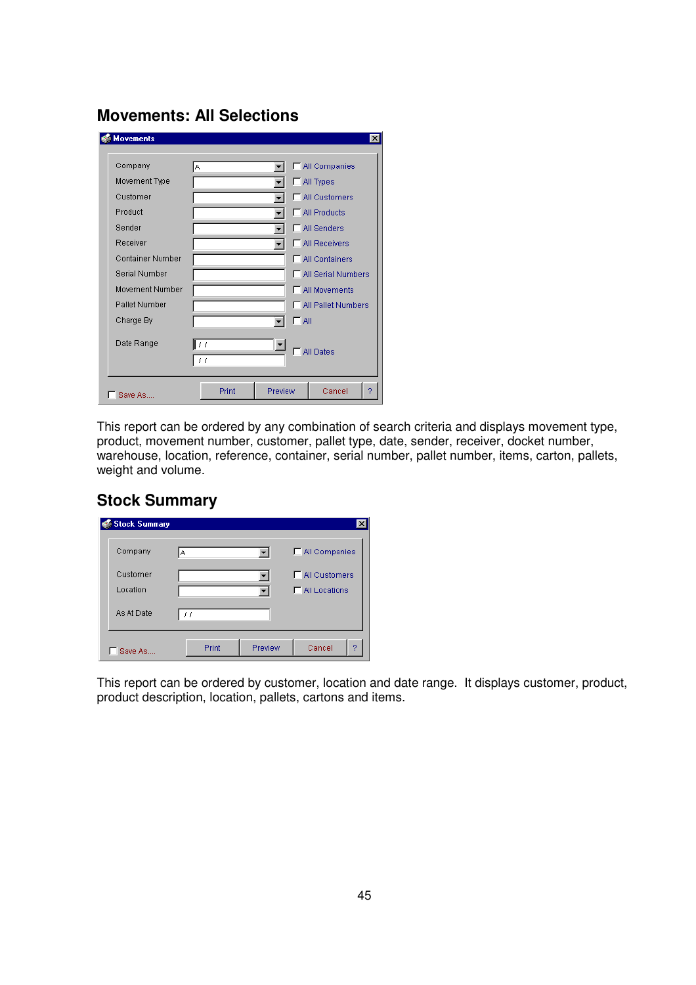## **Movements: All Selections**

| Company                 | А        | □ All Companies         |
|-------------------------|----------|-------------------------|
| Movement Type           |          | MI Types                |
| Customer                |          | <b>□ All Customers</b>  |
| Product                 |          | All Products            |
| Sender                  |          | All Senders             |
| Receiver                |          | <b>□ All Receivers</b>  |
| <b>Container Number</b> |          | <b>□</b> All Containers |
| Serial Number           |          | All Serial Numbers      |
| Movement Number         |          | All Movements           |
| Pallet Number           |          | All Pallet Numbers      |
| Charge By               |          | T All                   |
| Date Range              | 11<br>11 | All Dates               |

This report can be ordered by any combination of search criteria and displays movement type, product, movement number, customer, pallet type, date, sender, receiver, docket number, warehouse, location, reference, container, serial number, pallet number, items, carton, pallets, weight and volume.

## **Stock Summary**

| <b>Stock Summary</b> |    |       |         | $\times$               |
|----------------------|----|-------|---------|------------------------|
| Company              | A  |       | ▼∣      | MI Companies           |
| Customer             |    |       |         | <b>□ All Customers</b> |
| Location             |    |       |         | <b>F</b> All Locations |
| As At Date           | 11 |       |         |                        |
| Save As              |    | Print | Preview | Cancel<br>9            |

This report can be ordered by customer, location and date range. It displays customer, product, product description, location, pallets, cartons and items.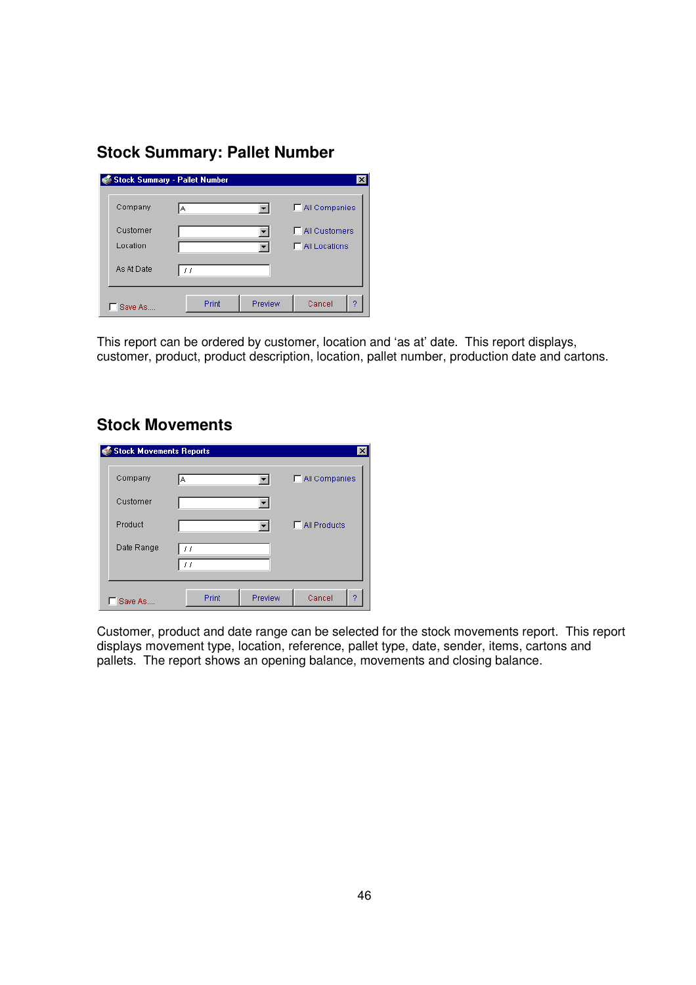## **Stock Summary: Pallet Number**

| Stock Summary - Pallet Number |       |         | $\times$             |
|-------------------------------|-------|---------|----------------------|
| Company                       | IA.   |         | MI Companies         |
| Customer                      |       |         | $\Box$ All Customers |
| Location                      |       |         | $\Box$ All Locations |
| As At Date                    | 77    |         |                      |
| Save As                       | Print | Preview | Cancel<br>9          |

This report can be ordered by customer, location and 'as at' date. This report displays, customer, product, product description, location, pallet number, production date and cartons.

## **Stock Movements**

| <b>Stock Movements Reports</b> |                                   |         | ×                   |
|--------------------------------|-----------------------------------|---------|---------------------|
| Company                        | lА                                |         | MI Companies        |
| Customer                       |                                   |         |                     |
| Product                        |                                   |         | $\Box$ All Products |
| Date Range                     | $\left  \cdot \right $<br>$\pm$ 1 |         |                     |
| Save As                        | Print                             | Preview | Cancel<br>o         |

Customer, product and date range can be selected for the stock movements report. This report displays movement type, location, reference, pallet type, date, sender, items, cartons and pallets. The report shows an opening balance, movements and closing balance.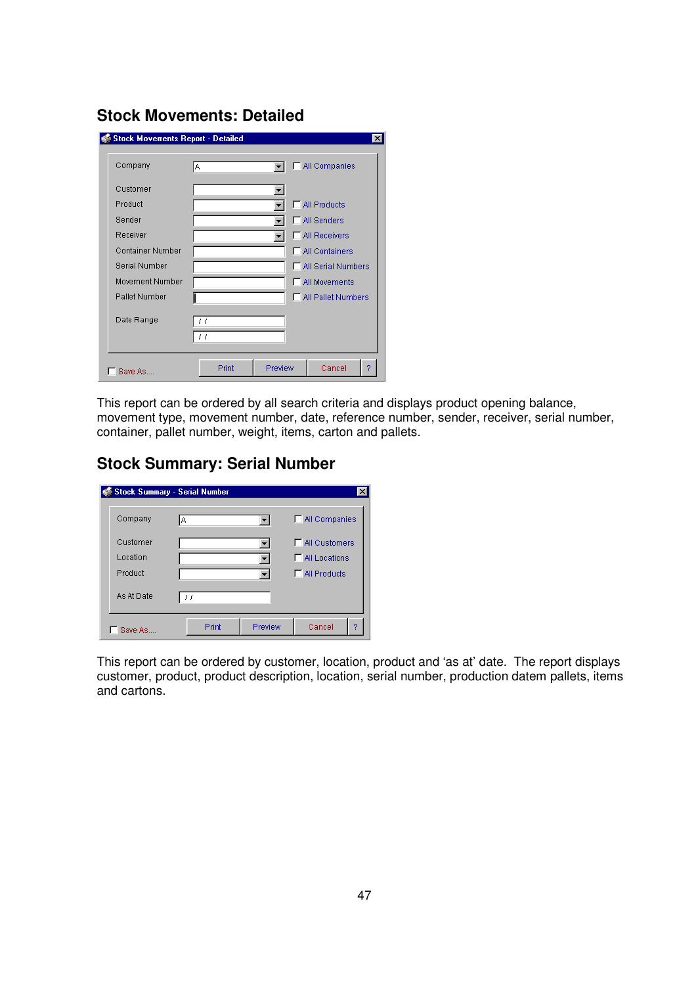| Company          | A                                               | All Companies             |
|------------------|-------------------------------------------------|---------------------------|
| Customer         |                                                 |                           |
| Product          |                                                 | All Products              |
| Sender           |                                                 | <b>F</b> All Senders      |
| Receiver         |                                                 | MI Receivers              |
| Container Number |                                                 | All Containers            |
| Serial Number    |                                                 | <b>All Serial Numbers</b> |
| Movement Number  |                                                 | All Movements             |
| Pallet Number    |                                                 | All Pallet Numbers        |
| Date Range       | $\left( \begin{array}{c} 1 \end{array} \right)$ |                           |
|                  | $\prime$ $\prime$                               |                           |

**Stock Movements: Detailed** 

This report can be ordered by all search criteria and displays product opening balance, movement type, movement number, date, reference number, sender, receiver, serial number, container, pallet number, weight, items, carton and pallets.

## **Stock Summary: Serial Number**

|            | Stock Summary - Serial Number |         |                        |
|------------|-------------------------------|---------|------------------------|
| Company    | А                             |         | MI Companies           |
| Customer   |                               |         | <b>F</b> All Customers |
| Location   |                               |         | $\Box$ All Locations   |
| Product    |                               |         | $\Box$ All Products    |
| As At Date | $\left  \cdot \right $        |         |                        |
| Save As.   | Print                         | Preview | Cancel<br>o            |

This report can be ordered by customer, location, product and 'as at' date. The report displays customer, product, product description, location, serial number, production datem pallets, items and cartons.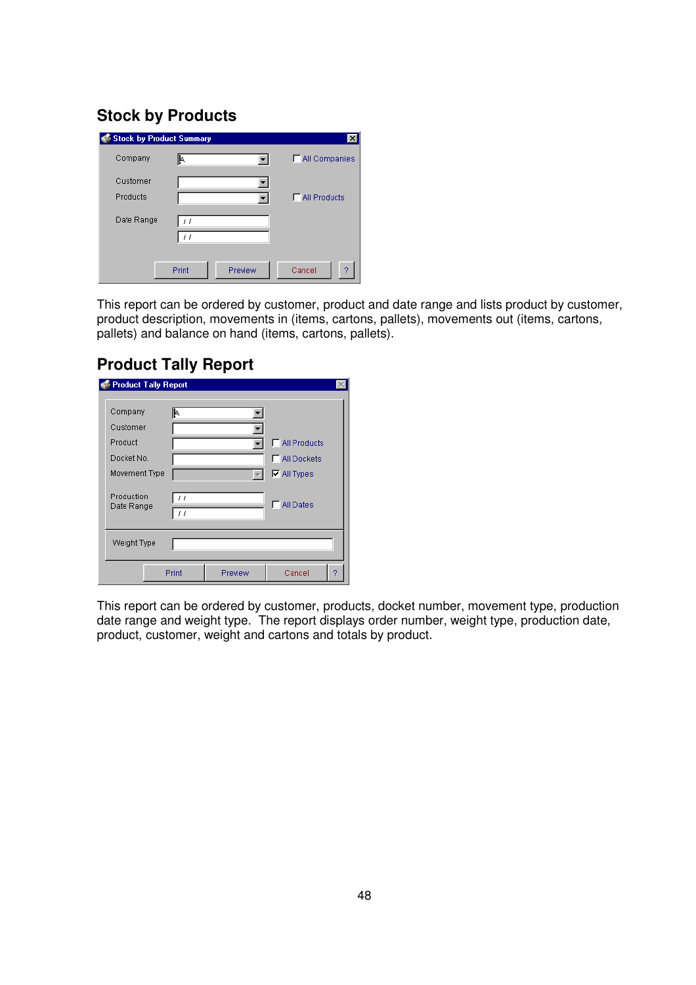## **Stock by Products**

| <b>Stock by Product Summary</b> |                  | ×                   |
|---------------------------------|------------------|---------------------|
| Company                         | I۴               | MI Companies        |
| Customer                        |                  |                     |
| Products                        |                  | $\Box$ All Products |
| Date Range                      | 11<br>11         |                     |
|                                 | Print<br>Preview | Cancel<br>2         |

This report can be ordered by customer, product and date range and lists product by customer, product description, movements in (items, cartons, pallets), movements out (items, cartons, pallets) and balance on hand (items, cartons, pallets).

## **Product Tally Report**

| <b>Product Tally Report</b> |                         |         |                      |  |
|-----------------------------|-------------------------|---------|----------------------|--|
|                             |                         |         |                      |  |
| Company                     | I۴                      |         |                      |  |
| Customer                    |                         |         |                      |  |
| Product                     |                         |         | $\Box$ All Products  |  |
| Docket No.                  |                         |         | <b>F</b> All Dockets |  |
| Movement Type               |                         |         | $\nabla$ All Types   |  |
| Production<br>Date Range    | 11<br>$\prime$ $\prime$ |         | <b>All Dates</b>     |  |
| Weight Type                 |                         |         |                      |  |
|                             | Print                   | Preview | Cancel<br>2          |  |

This report can be ordered by customer, products, docket number, movement type, production date range and weight type. The report displays order number, weight type, production date, product, customer, weight and cartons and totals by product.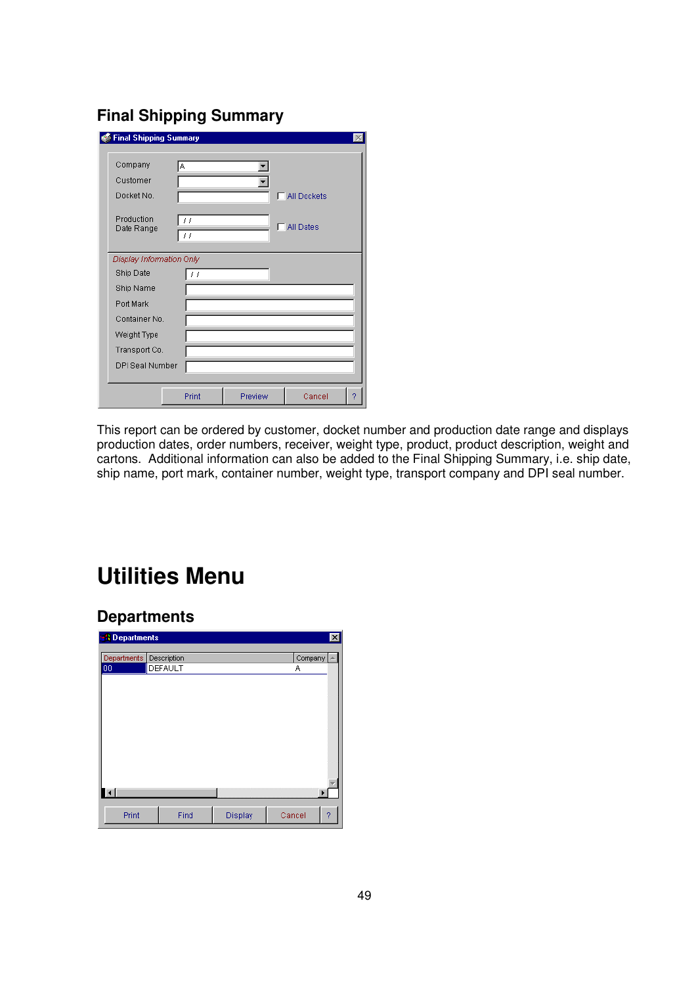## **Final Shipping Summary**

| <b>Final Shipping Summary</b> |                                        |         |                  |
|-------------------------------|----------------------------------------|---------|------------------|
| Company                       | А                                      |         |                  |
| Customer                      |                                        |         |                  |
| Docket No.                    |                                        |         | г<br>All Dockets |
| Production<br>Date Range      | $\prime$ $\prime$<br>$\prime$ $\prime$ |         | <b>All Dates</b> |
| Display Information Only      |                                        |         |                  |
| Ship Date                     | , ,                                    |         |                  |
| Ship Name                     |                                        |         |                  |
| Port Mark                     |                                        |         |                  |
| Container No.                 |                                        |         |                  |
| Weight Type                   |                                        |         |                  |
| Transport Co.                 |                                        |         |                  |
| <b>DPI Seal Number</b>        |                                        |         |                  |
|                               | Print                                  | Preview | Cancel<br>2      |

This report can be ordered by customer, docket number and production date range and displays production dates, order numbers, receiver, weight type, product, product description, weight and cartons. Additional information can also be added to the Final Shipping Summary, i.e. ship date, ship name, port mark, container number, weight type, transport company and DPI seal number.

## **Utilities Menu**

## **Departments**

| <b>N</b> Departments    |         |         |         | $ \mathbf{x} $ |
|-------------------------|---------|---------|---------|----------------|
|                         |         |         |         |                |
| Departments Description |         |         | Company |                |
| 00                      | DEFAULT |         | Α       |                |
|                         |         |         |         |                |
|                         |         |         |         |                |
|                         |         |         |         |                |
|                         |         |         |         |                |
|                         |         |         |         |                |
|                         |         |         |         |                |
|                         |         |         |         |                |
|                         |         |         |         |                |
|                         |         |         |         |                |
|                         |         |         |         |                |
|                         |         |         |         |                |
|                         |         |         |         |                |
| $\vert \cdot \vert$     |         |         |         | ٠              |
|                         |         |         |         |                |
| Print                   | Find    | Display | Cancel  | 2              |
|                         |         |         |         |                |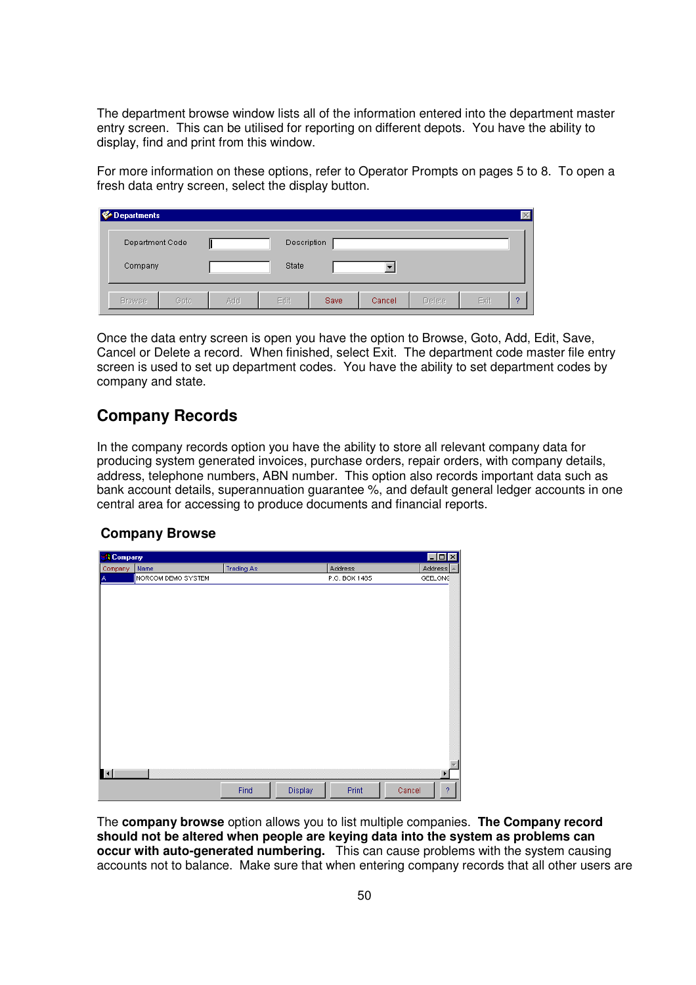The department browse window lists all of the information entered into the department master entry screen. This can be utilised for reporting on different depots. You have the ability to display, find and print from this window.

For more information on these options, refer to Operator Prompts on pages 5 to 8. To open a fresh data entry screen, select the display button.

| Departments     |      |     |             |      |        |        |      |   |
|-----------------|------|-----|-------------|------|--------|--------|------|---|
| Department Code |      |     | Description |      |        |        |      |   |
| Company         |      |     | State       |      |        |        |      |   |
| <b>Browse</b>   | Goto | Add | Edit        | Save | Cancel | Delete | Exit | o |

Once the data entry screen is open you have the option to Browse, Goto, Add, Edit, Save, Cancel or Delete a record. When finished, select Exit. The department code master file entry screen is used to set up department codes. You have the ability to set department codes by company and state.

## **Company Records**

In the company records option you have the ability to store all relevant company data for producing system generated invoices, purchase orders, repair orders, with company details, address, telephone numbers, ABN number. This option also records important data such as bank account details, superannuation guarantee %, and default general ledger accounts in one central area for accessing to produce documents and financial reports.

#### **Company Browse**

| <b>R</b> Company |                    |                   |         |               | <b>LOX</b>               |
|------------------|--------------------|-------------------|---------|---------------|--------------------------|
| Company          | Name               | <b>Trading As</b> |         | Address       | Address<br>Ä             |
| A                | NORCOM DEMO SYSTEM |                   |         | P.O. BOX 1485 | GEELONG                  |
|                  |                    |                   |         |               |                          |
|                  |                    |                   |         |               |                          |
|                  |                    |                   |         |               |                          |
|                  |                    |                   |         |               |                          |
|                  |                    |                   |         |               |                          |
|                  |                    |                   |         |               |                          |
|                  |                    |                   |         |               |                          |
|                  |                    |                   |         |               |                          |
|                  |                    |                   |         |               |                          |
|                  |                    |                   |         |               |                          |
|                  |                    |                   |         |               |                          |
|                  |                    |                   |         |               |                          |
|                  |                    |                   |         |               |                          |
|                  |                    |                   |         |               |                          |
|                  |                    |                   |         |               |                          |
|                  |                    |                   |         |               |                          |
|                  |                    |                   |         |               |                          |
| $\blacksquare$   |                    |                   |         |               | ٠                        |
|                  |                    |                   |         |               |                          |
|                  |                    | Find              | Display | Print         | $\overline{?}$<br>Cancel |

The **company browse** option allows you to list multiple companies. **The Company record should not be altered when people are keying data into the system as problems can occur with auto-generated numbering.** This can cause problems with the system causing accounts not to balance. Make sure that when entering company records that all other users are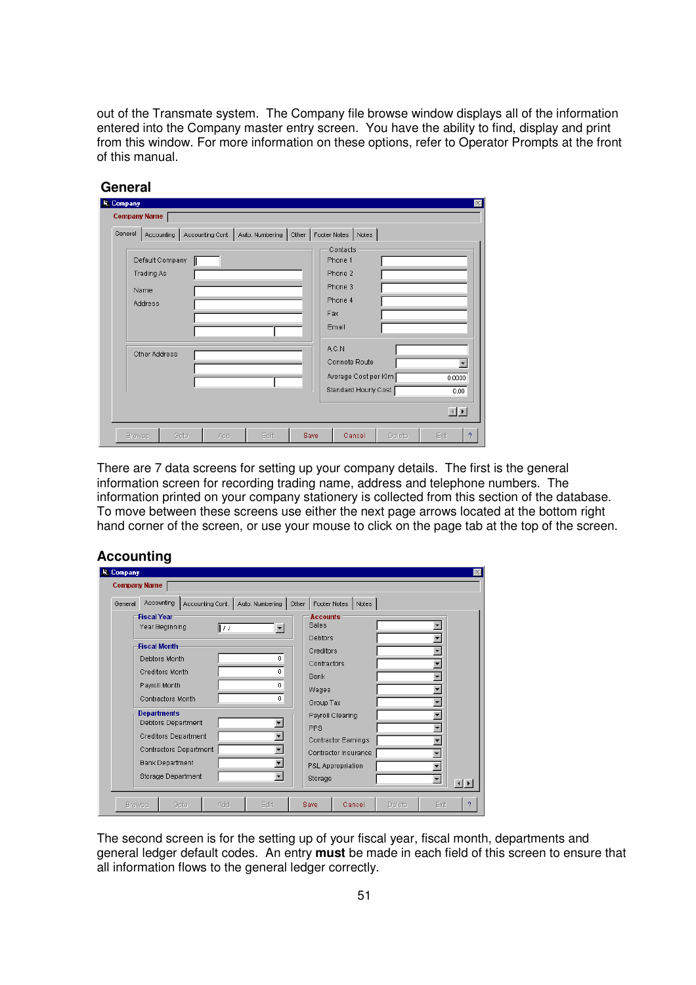out of the Transmate system. The Company file browse window displays all of the information entered into the Company master entry screen. You have the ability to find, display and print from this window. For more information on these options, refer to Operator Prompts at the front of this manual.

| <b>Company Name</b> |                 |     |                                            |      |                      |                      |        |                          |
|---------------------|-----------------|-----|--------------------------------------------|------|----------------------|----------------------|--------|--------------------------|
| General             | Accounting      |     | Accounting Cont.   Auto. Numbering   Other |      | Footer Notes   Notes |                      |        |                          |
|                     |                 |     |                                            |      | Contacts             |                      |        |                          |
|                     | Default Company |     |                                            |      | Phone 1              |                      |        |                          |
|                     | Trading As      |     |                                            |      | Phone 2              |                      |        |                          |
|                     | Name            |     |                                            |      | Phone 3              |                      |        |                          |
|                     | Address         |     |                                            |      | Phone 4              |                      |        |                          |
|                     |                 |     |                                            |      | Fax                  |                      |        |                          |
|                     |                 |     |                                            |      | Email                |                      |        |                          |
|                     |                 |     |                                            |      |                      |                      |        |                          |
|                     | Other Address   |     |                                            |      | A.C.N                |                      |        |                          |
|                     |                 |     |                                            |      |                      | Connote Route        |        | $\overline{\phantom{0}}$ |
|                     |                 |     |                                            |      |                      | Average Cost per Kim |        | 0.0000                   |
|                     |                 |     |                                            |      |                      | Standard Hourly Cost |        | 0.00                     |
|                     |                 |     |                                            |      |                      |                      |        |                          |
|                     |                 |     |                                            |      |                      |                      |        | $\left  \cdot \right $   |
| <b>Browse</b>       | Goto            | Add | Edit                                       | Save |                      | Cancel               | Delete | Exit                     |

#### **General**

There are 7 data screens for setting up your company details. The first is the general information screen for recording trading name, address and telephone numbers. The information printed on your company stationery is collected from this section of the database. To move between these screens use either the next page arrows located at the bottom right hand corner of the screen, or use your mouse to click on the page tab at the top of the screen.

#### **Accounting**

| General | <b>Accounting</b><br>Accounting Cont. |     | Auto. Numbering      | Other | Footer Notes             | Notes |                          |  |
|---------|---------------------------------------|-----|----------------------|-------|--------------------------|-------|--------------------------|--|
|         | <b>Fiscal Year</b><br>Year Beginning  | 117 | $\blacktriangledown$ |       | <b>Accounts</b><br>Sales |       |                          |  |
|         | <b>Fiscal Month</b>                   |     |                      |       | <b>Debtors</b>           |       |                          |  |
|         | Debtors Month                         |     | 0                    |       | Creditors                |       |                          |  |
|         |                                       |     |                      |       | Contractors              |       |                          |  |
|         | <b>Creditors Month</b>                |     | 0                    |       | <b>Bank</b>              |       |                          |  |
|         | Payroll Month                         |     | n                    |       | Wages                    |       |                          |  |
|         | Contractors Month                     |     | 0                    |       | Group Tax                |       |                          |  |
|         | <b>Departments</b>                    |     |                      |       | Payroll Clearing         |       |                          |  |
|         | Debtors Department                    |     |                      |       | <b>PPS</b>               |       |                          |  |
|         | <b>Creditors Department</b>           |     |                      |       | Contractor Earnings      |       |                          |  |
|         | Contractors Department                |     |                      |       | Contractor Insurance     |       |                          |  |
|         | <b>Bank Department</b>                |     |                      |       |                          |       |                          |  |
|         | <b>Storage Department</b>             |     |                      |       | P&L Appropriation        |       |                          |  |
|         |                                       |     |                      |       | Storage                  |       | $\overline{\phantom{a}}$ |  |

The second screen is for the setting up of your fiscal year, fiscal month, departments and general ledger default codes. An entry **must** be made in each field of this screen to ensure that all information flows to the general ledger correctly.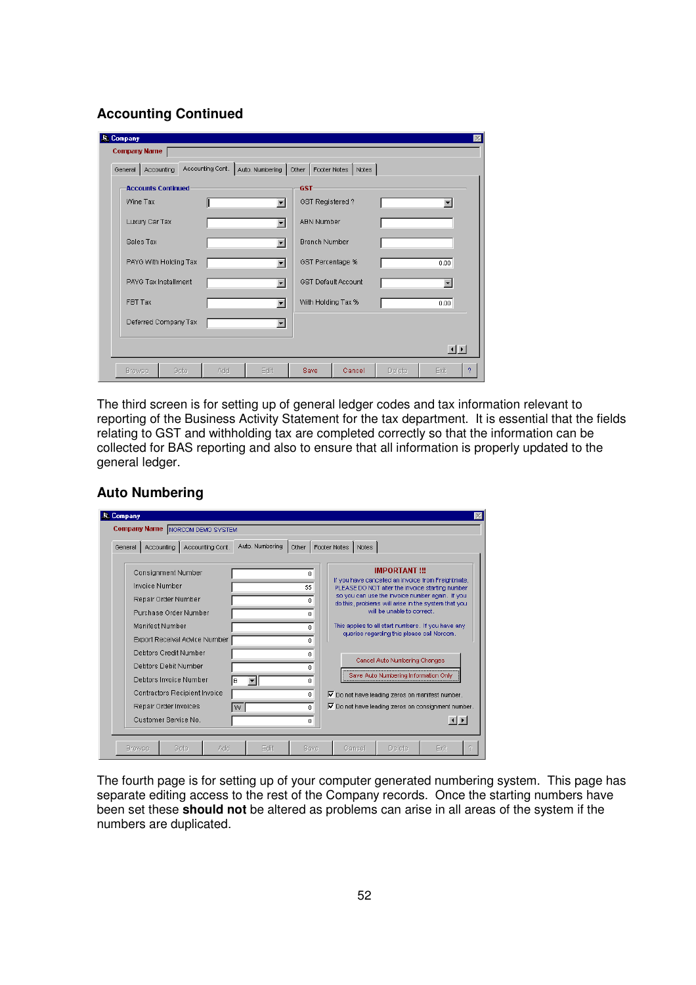#### **Accounting Continued**

| Accounting<br>General     | Accounting Cont.   Auto. Numbering   Other   Footer Notes   Notes |                      |                            |                        |
|---------------------------|-------------------------------------------------------------------|----------------------|----------------------------|------------------------|
| <b>Accounts Continued</b> |                                                                   | <b>GST</b>           |                            |                        |
| Wine Tax                  | $\blacktriangledown$                                              | GST Registered?      |                            |                        |
| Luxury Car Tax            | $\blacksquare$                                                    | <b>ABN Number</b>    |                            |                        |
| Sales Tax                 | $\blacksquare$                                                    | <b>Branch Number</b> |                            |                        |
| PAYG With Holding Tax     | $\blacktriangledown$                                              | GST Percentage %     |                            | 0.00                   |
| PAYG Tax Installment      | $\blacktriangledown$                                              |                      | <b>GST Default Account</b> |                        |
| FBT Tax                   | $\blacksquare$                                                    | With Holding Tax %   |                            | 0.00                   |
| Deferred Company Tax      | $\blacksquare$                                                    |                      |                            |                        |
|                           |                                                                   |                      |                            | $\left  \cdot \right $ |

The third screen is for setting up of general ledger codes and tax information relevant to reporting of the Business Activity Statement for the tax department. It is essential that the fields relating to GST and withholding tax are completed correctly so that the information can be collected for BAS reporting and also to ensure that all information is properly updated to the general ledger.

#### **Auto Numbering**

| General       | Accounting                                                                                                                                                                                                                                        | Accounting Cont.                                                      | Auto. Numbering | Other   Footer Notes                                  | Notes                                                                                                                             |                                                                                                                                                                                                                                                                                                                                                                                                                                                    |                        |  |
|---------------|---------------------------------------------------------------------------------------------------------------------------------------------------------------------------------------------------------------------------------------------------|-----------------------------------------------------------------------|-----------------|-------------------------------------------------------|-----------------------------------------------------------------------------------------------------------------------------------|----------------------------------------------------------------------------------------------------------------------------------------------------------------------------------------------------------------------------------------------------------------------------------------------------------------------------------------------------------------------------------------------------------------------------------------------------|------------------------|--|
|               | <b>Consignment Number</b><br><b>Invoice Number</b><br>Repair Order Number<br>Purchase Order Number<br>Manifest Number<br>Debtors Credit Number<br>Debtors Debit Number<br>Debtors Invoice Number<br>Repair Order Invoices<br>Customer Service No. | Export Receival Advice Number<br><b>Contractors Recipient Invoice</b> | в<br>W          | n<br>55<br>n<br>n<br>n<br>n<br>0<br>n<br>0<br>n.<br>0 | $\triangledown$ Do not have leading zeros on manifest number.<br>$\triangledown$ Do not have leading zeros on consignment number. | <b>IMPORTANT !!!</b><br>If you have cancelled an invoice from Freightmate,<br>PLEASE DO NOT after the invoice starting number<br>so you can use the invoice number again. If you<br>do this, problems will arise in the system that you<br>will be unable to correct.<br>This applies to all start numbers. If you have any<br>queries regarding this please call Norcom.<br>Cancel Auto Numbering Changes<br>Save Auto Numbering Information Only | $\left  \cdot \right $ |  |
| <b>Browse</b> |                                                                                                                                                                                                                                                   | Gota<br>Add                                                           | Erlit           | Save                                                  | Cancel                                                                                                                            | Delete                                                                                                                                                                                                                                                                                                                                                                                                                                             | Exit                   |  |

The fourth page is for setting up of your computer generated numbering system. This page has separate editing access to the rest of the Company records. Once the starting numbers have been set these **should not** be altered as problems can arise in all areas of the system if the numbers are duplicated.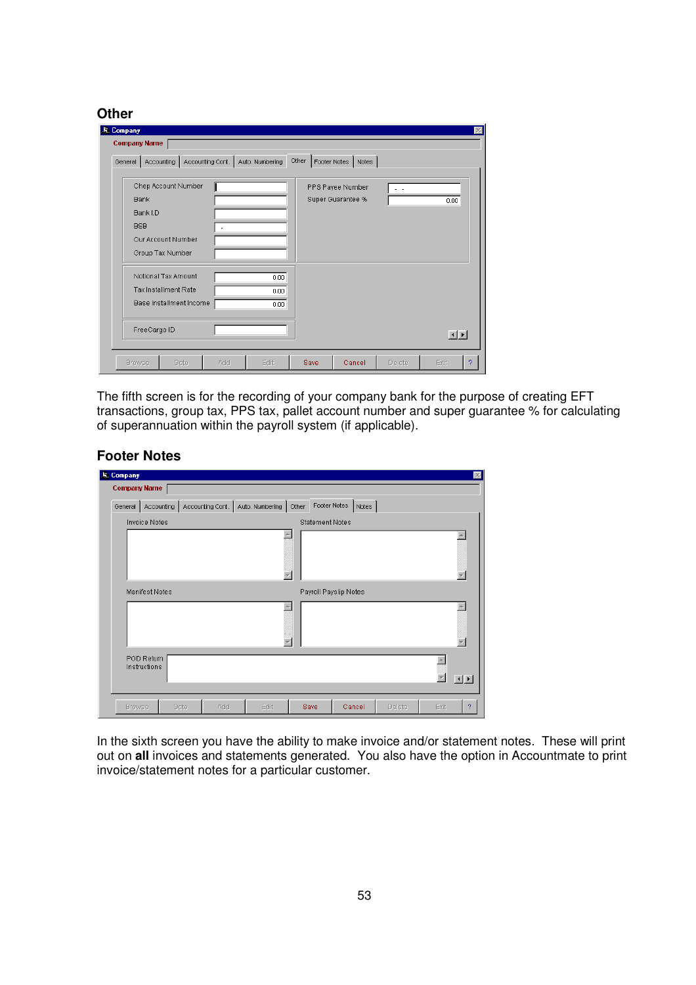#### **Other**

| <b>R.</b> Company<br><b>Company Name</b>                                                               |                                  |                      |       |                                       |        |                        |
|--------------------------------------------------------------------------------------------------------|----------------------------------|----------------------|-------|---------------------------------------|--------|------------------------|
| General   Accounting                                                                                   | Accounting Cont. Auto. Numbering |                      | Other | Footer Notes   Notes                  |        |                        |
| Chep Account Number<br><b>Bank</b><br>Bank I.D<br><b>BSB</b><br>Our Account Number<br>Group Tax Number |                                  |                      |       | PPS Payee Number<br>Super Guarantee % | . .    | 0.00.                  |
| Notional Tax Amount<br>Tax Installment Rate<br>Base Installment Income<br>FreeCargo ID                 |                                  | 0.00<br>0.00<br>0.00 |       |                                       |        | $\left  \cdot \right $ |
| <b>Browse</b><br>Goto                                                                                  | Add                              | Edit                 | Save  | Cancel                                | Delete | Exit<br>?              |

The fifth screen is for the recording of your company bank for the purpose of creating EFT transactions, group tax, PPS tax, pallet account number and super guarantee % for calculating of superannuation within the payroll system (if applicable).

#### **Footer Notes**

| <b>R. Company</b>                              |                       |      |     |                                    |       |                       |        |      |                        |
|------------------------------------------------|-----------------------|------|-----|------------------------------------|-------|-----------------------|--------|------|------------------------|
|                                                | <b>Company Name</b>   |      |     |                                    |       |                       |        |      |                        |
| General                                        | Accounting            |      |     | Accounting Cont.   Auto. Numbering | Other | Footer Notes Notes    |        |      |                        |
| <b>Invoice Notes</b><br><b>Statement Notes</b> |                       |      |     |                                    |       |                       |        |      |                        |
|                                                |                       |      |     |                                    |       |                       |        |      |                        |
|                                                |                       |      |     |                                    |       |                       |        |      |                        |
|                                                |                       |      |     |                                    |       |                       |        |      |                        |
|                                                |                       |      |     |                                    |       |                       |        |      |                        |
|                                                | <b>Manifest Notes</b> |      |     |                                    |       | Payroll Payslip Notes |        |      |                        |
|                                                |                       |      |     |                                    |       |                       |        |      |                        |
|                                                |                       |      |     |                                    |       |                       |        |      |                        |
|                                                |                       |      |     |                                    |       |                       |        |      |                        |
|                                                | POD Return            |      |     |                                    |       |                       |        |      |                        |
|                                                | Instructions          |      |     |                                    |       |                       |        |      |                        |
|                                                |                       |      |     |                                    |       |                       |        |      | $\left  \cdot \right $ |
|                                                |                       |      |     |                                    |       |                       |        |      |                        |
| <b>Browse</b>                                  |                       | Goto | Add | Edit                               | Save  | Cancel                | Delete | Exit | 2                      |

In the sixth screen you have the ability to make invoice and/or statement notes. These will print out on **all** invoices and statements generated. You also have the option in Accountmate to print invoice/statement notes for a particular customer.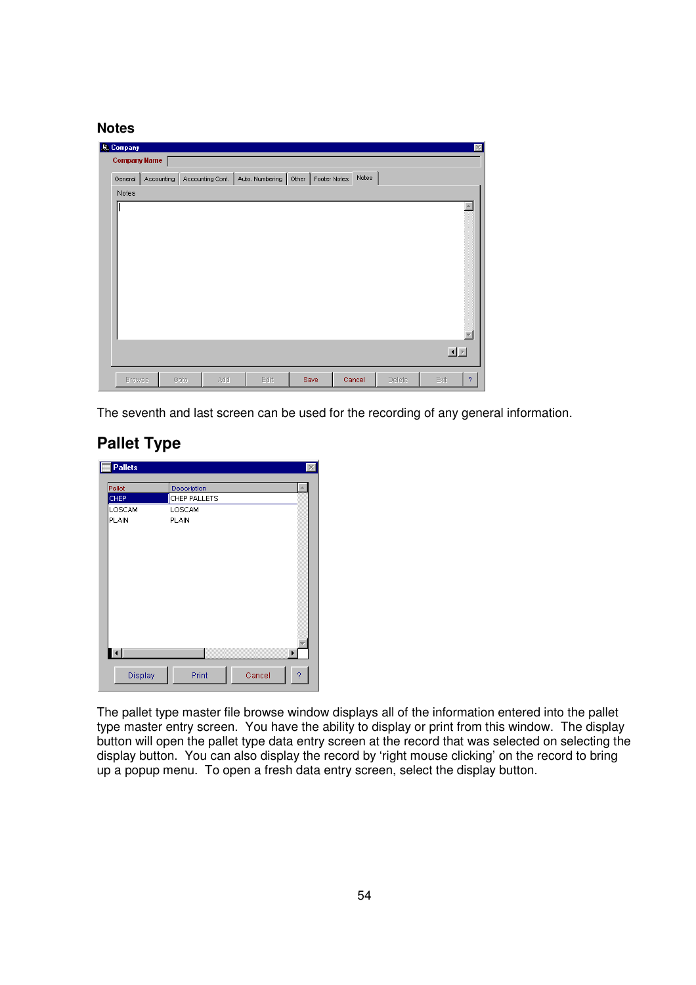#### **Notes**

| <b>J. Company</b> |                     |      |     |                                                                                  |      |        |        |      | $\vert \times \vert$ |
|-------------------|---------------------|------|-----|----------------------------------------------------------------------------------|------|--------|--------|------|----------------------|
|                   | <b>Company Name</b> |      |     |                                                                                  |      |        |        |      |                      |
|                   |                     |      |     | General   Accounting   Accounting Cont.   Auto. Numbering   Other   Footer Notes |      | Notes  |        |      |                      |
| Notes             |                     |      |     |                                                                                  |      |        |        |      |                      |
|                   |                     |      |     |                                                                                  |      |        |        |      |                      |
|                   |                     |      |     |                                                                                  |      |        |        |      |                      |
|                   |                     |      |     |                                                                                  |      |        |        |      |                      |
|                   |                     |      |     |                                                                                  |      |        |        |      |                      |
|                   |                     |      |     |                                                                                  |      |        |        |      |                      |
|                   |                     |      |     |                                                                                  |      |        |        |      |                      |
|                   |                     |      |     |                                                                                  |      |        |        |      |                      |
|                   |                     |      |     |                                                                                  |      |        |        |      |                      |
|                   |                     |      |     |                                                                                  |      |        |        |      |                      |
|                   |                     |      |     |                                                                                  |      |        |        |      |                      |
|                   |                     |      |     |                                                                                  |      |        |        |      |                      |
|                   |                     |      |     |                                                                                  |      |        |        |      |                      |
|                   |                     |      |     |                                                                                  |      |        |        |      | 国国                   |
|                   |                     |      |     |                                                                                  |      |        |        |      |                      |
| <b>Browse</b>     |                     | Goto | Add | Edit                                                                             | Save | Cancel | Delete | Exit | $\overline{?}$       |

The seventh and last screen can be used for the recording of any general information.

## **Pallet Type**

| Pallet              | Description          |
|---------------------|----------------------|
|                     |                      |
| CHEP                | CHEP PALLETS         |
| LOSCAM              | LOSCAM               |
| PLAIN               | <b>PLAIN</b>         |
|                     |                      |
|                     |                      |
|                     |                      |
|                     |                      |
|                     |                      |
|                     |                      |
|                     |                      |
|                     |                      |
|                     |                      |
|                     |                      |
|                     |                      |
|                     |                      |
| $\vert \cdot \vert$ | ▶                    |
|                     |                      |
| Display             | Print<br>Cancel<br>? |

The pallet type master file browse window displays all of the information entered into the pallet type master entry screen. You have the ability to display or print from this window. The display button will open the pallet type data entry screen at the record that was selected on selecting the display button. You can also display the record by 'right mouse clicking' on the record to bring up a popup menu. To open a fresh data entry screen, select the display button.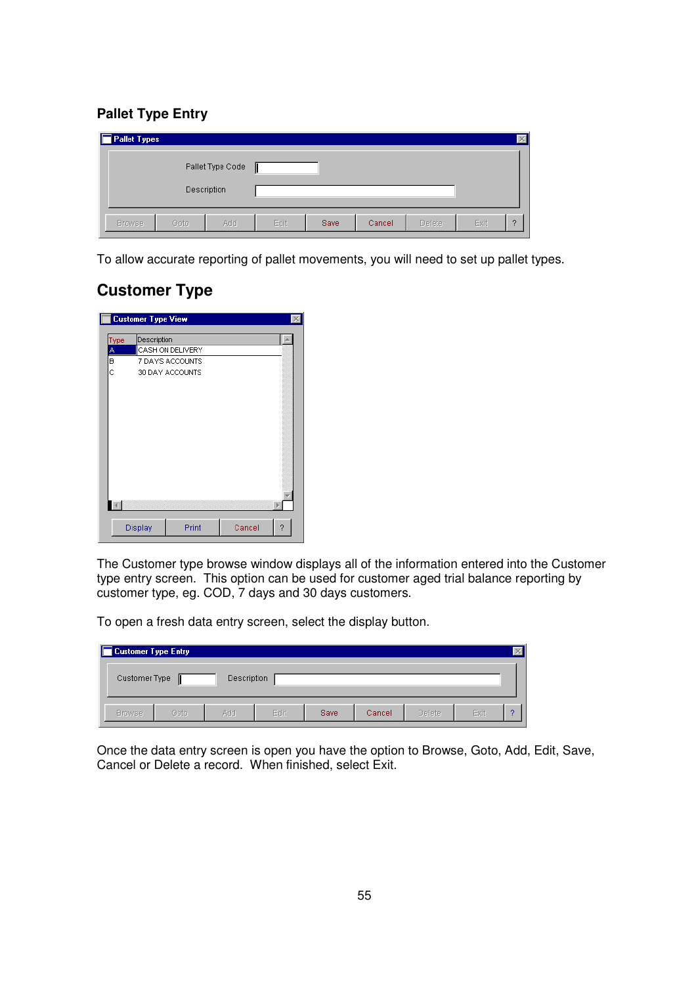#### **Pallet Type Entry**

| Pallet Types  |      |                                 |      |             |        |        |      |   |
|---------------|------|---------------------------------|------|-------------|--------|--------|------|---|
|               |      | Pallet Type Code<br>Description |      |             |        |        |      |   |
| <b>Browse</b> | Goto | Add                             | Edit | <b>Save</b> | Cancel | Delete | Exit | 2 |

To allow accurate reporting of pallet movements, you will need to set up pallet types.

## **Customer Type**

|               | <b>Customer Type View</b> |                  |        |   |
|---------------|---------------------------|------------------|--------|---|
| Type          | Description               |                  |        |   |
|               |                           | CASH ON DELIVERY |        |   |
| $\frac{A}{B}$ |                           | 7 DAYS ACCOUNTS  |        |   |
| Ċ             |                           | 30 DAY ACCOUNTS  |        |   |
|               |                           |                  |        |   |
|               |                           |                  |        |   |
|               |                           |                  |        |   |
|               |                           |                  |        |   |
|               |                           |                  |        |   |
|               |                           |                  |        |   |
|               |                           |                  |        |   |
|               |                           |                  |        |   |
|               |                           |                  |        |   |
|               |                           |                  |        |   |
|               |                           |                  |        |   |
|               |                           |                  |        |   |
|               |                           |                  |        |   |
|               | Display                   | Print            | Cancel | ? |
|               |                           |                  |        |   |

The Customer type browse window displays all of the information entered into the Customer type entry screen. This option can be used for customer aged trial balance reporting by customer type, eg. COD, 7 days and 30 days customers.

To open a fresh data entry screen, select the display button.

| <b>Customer Type Entry</b> |      |             |      |             |        |        |      |   |
|----------------------------|------|-------------|------|-------------|--------|--------|------|---|
| Customer Type              |      | Description |      |             |        |        |      |   |
| <b>Browse</b>              | Goto | Add         | Edit | <b>Save</b> | Cancel | Delete | Exit | o |

Once the data entry screen is open you have the option to Browse, Goto, Add, Edit, Save, Cancel or Delete a record. When finished, select Exit.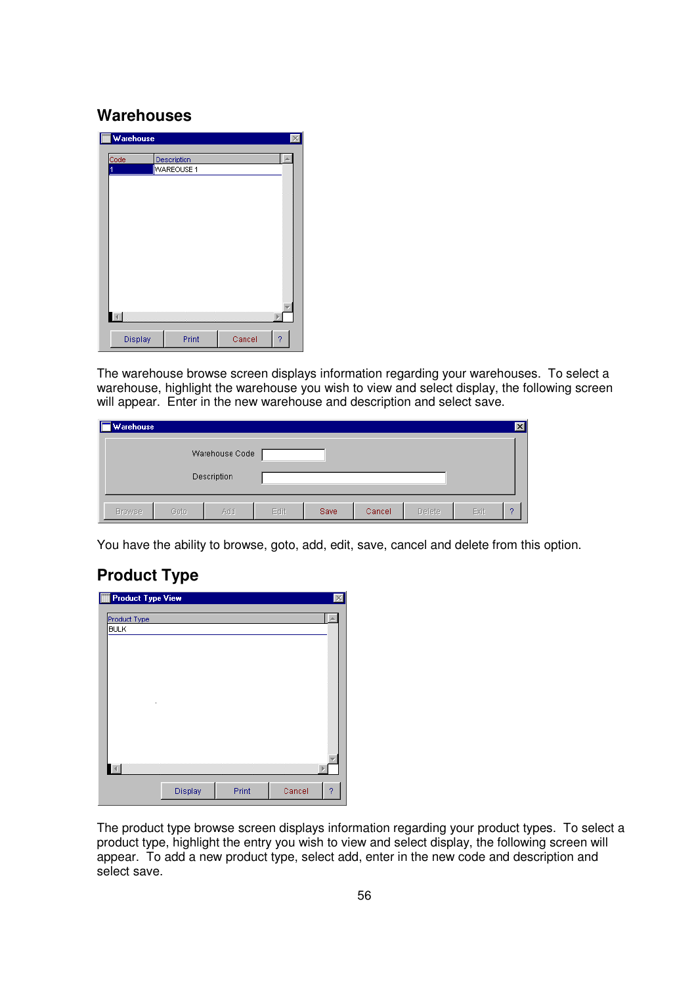### **Warehouses**

| Warehouse |                   |   |
|-----------|-------------------|---|
| Code      | Description       |   |
| 1         | <b>WAREOUSE 1</b> |   |
|           |                   |   |
|           |                   |   |
|           |                   |   |
|           |                   |   |
|           |                   |   |
|           |                   |   |
|           |                   |   |
|           |                   |   |
|           |                   |   |
|           |                   |   |
|           |                   |   |
|           |                   |   |
|           |                   |   |
| Display   | Print<br>Cancel   | 2 |
|           |                   |   |

The warehouse browse screen displays information regarding your warehouses. To select a warehouse, highlight the warehouse you wish to view and select display, the following screen will appear. Enter in the new warehouse and description and select save.

| Warehouse     |      |                |      |      |        |        |      | $\mathbf{x}$ |
|---------------|------|----------------|------|------|--------|--------|------|--------------|
|               |      | Warehouse Code |      |      |        |        |      |              |
|               |      | Description    |      |      |        |        |      |              |
| <b>Browse</b> | Goto | Add            | Edit | Save | Cancel | Delete | Exit | 9            |

You have the ability to browse, goto, add, edit, save, cancel and delete from this option.

## **Product Type**

| F<br><b>Product Type View</b> |         |       |        |   |
|-------------------------------|---------|-------|--------|---|
| Product Type                  |         |       |        |   |
| <b>BULK</b>                   |         |       |        |   |
|                               |         |       |        |   |
|                               |         |       |        |   |
|                               |         |       |        |   |
|                               |         |       |        |   |
|                               |         |       |        |   |
| ×                             |         |       |        |   |
|                               |         |       |        |   |
|                               |         |       |        |   |
|                               |         |       |        |   |
|                               |         |       |        |   |
| $\left\Vert \cdot\right\Vert$ |         |       |        |   |
|                               |         |       |        |   |
|                               | Display | Print | Cancel | 2 |

The product type browse screen displays information regarding your product types. To select a product type, highlight the entry you wish to view and select display, the following screen will appear. To add a new product type, select add, enter in the new code and description and select save.